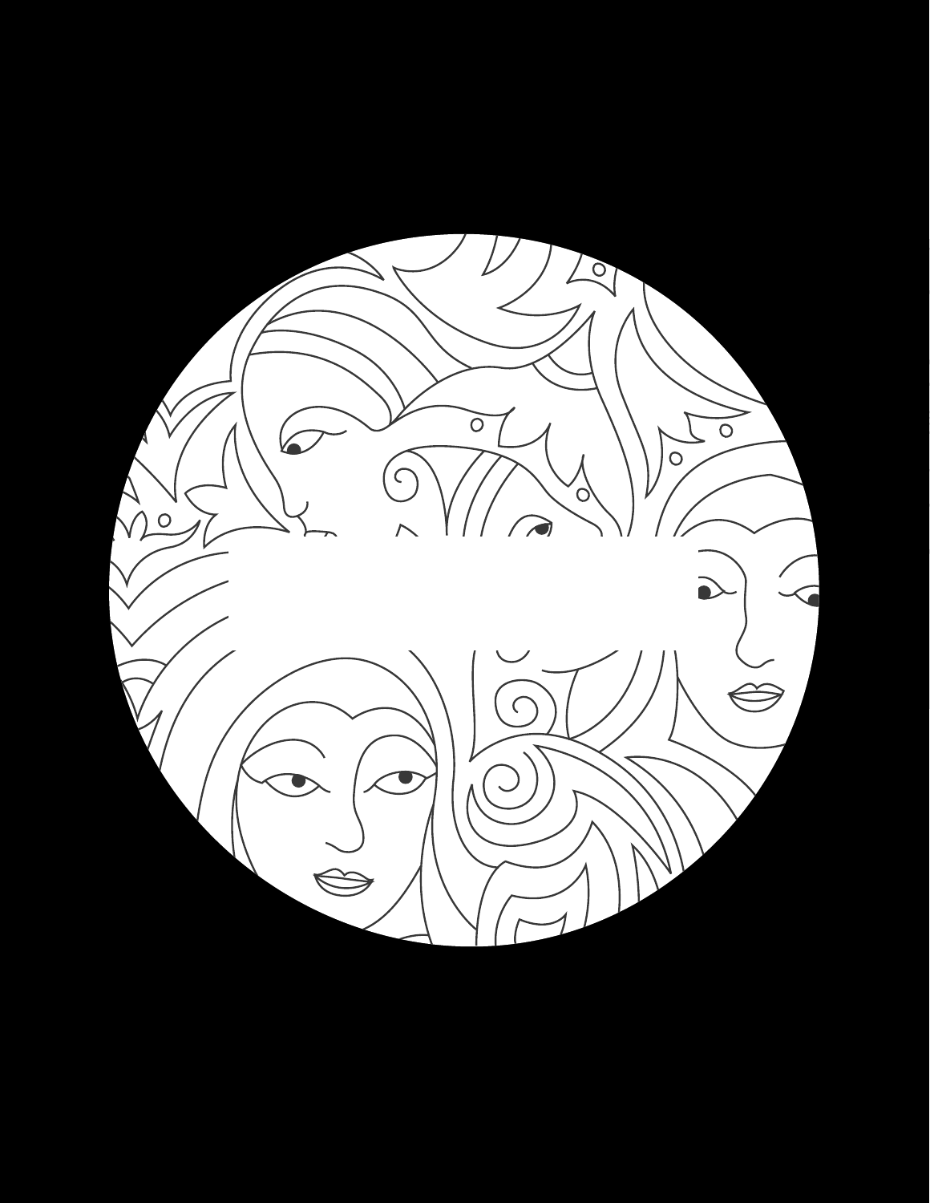Women Human Rights Defenders

 $\bigg($ 

 $\overline{O}$ 

 $\subset$ 

 $\overline{C}$ 

 $\overline{O}$ 

 $\overline{\circ}$ 

 $\overline{O}$ 

€

 $\sqrt{2}$ 

်ဝ



 $\circ$ 

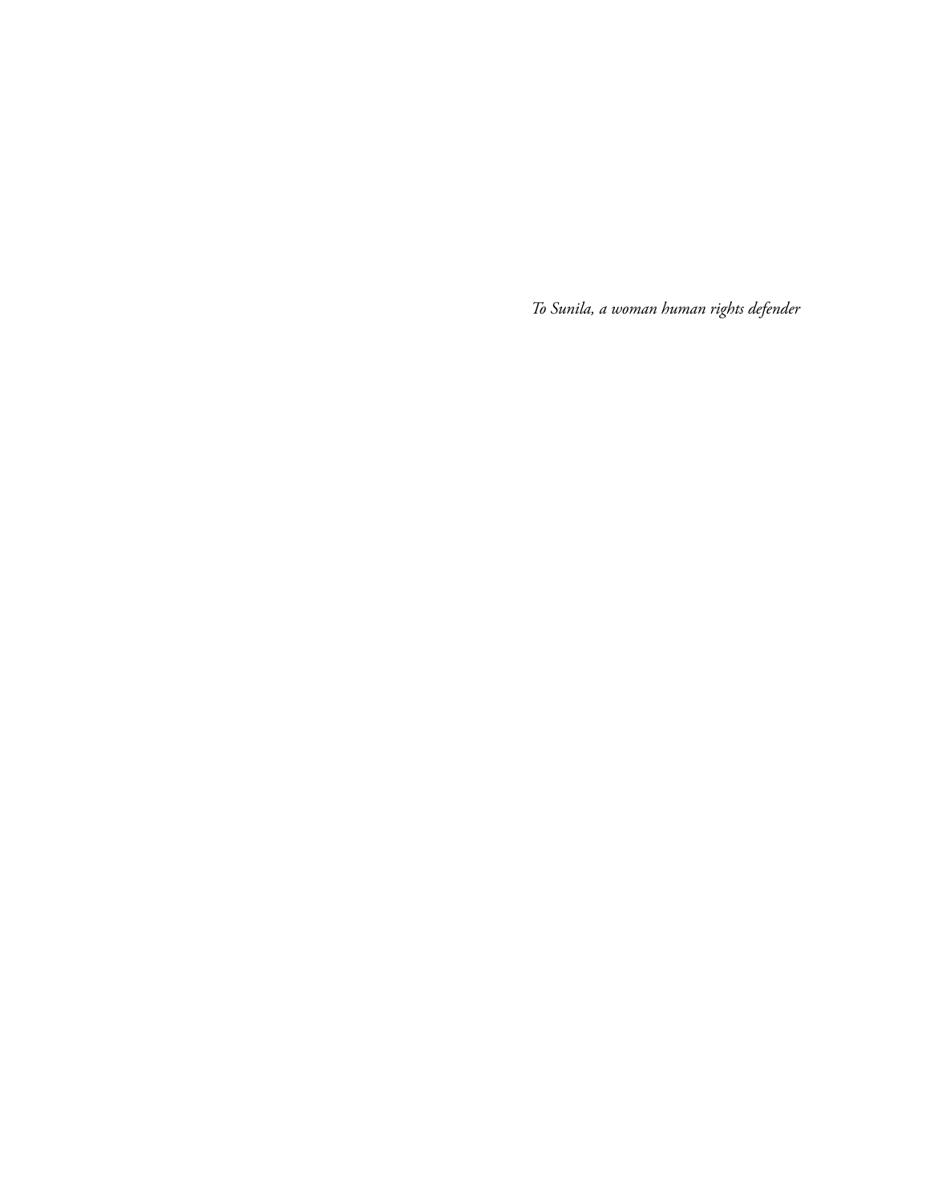*To Sunila, a woman human rights defender*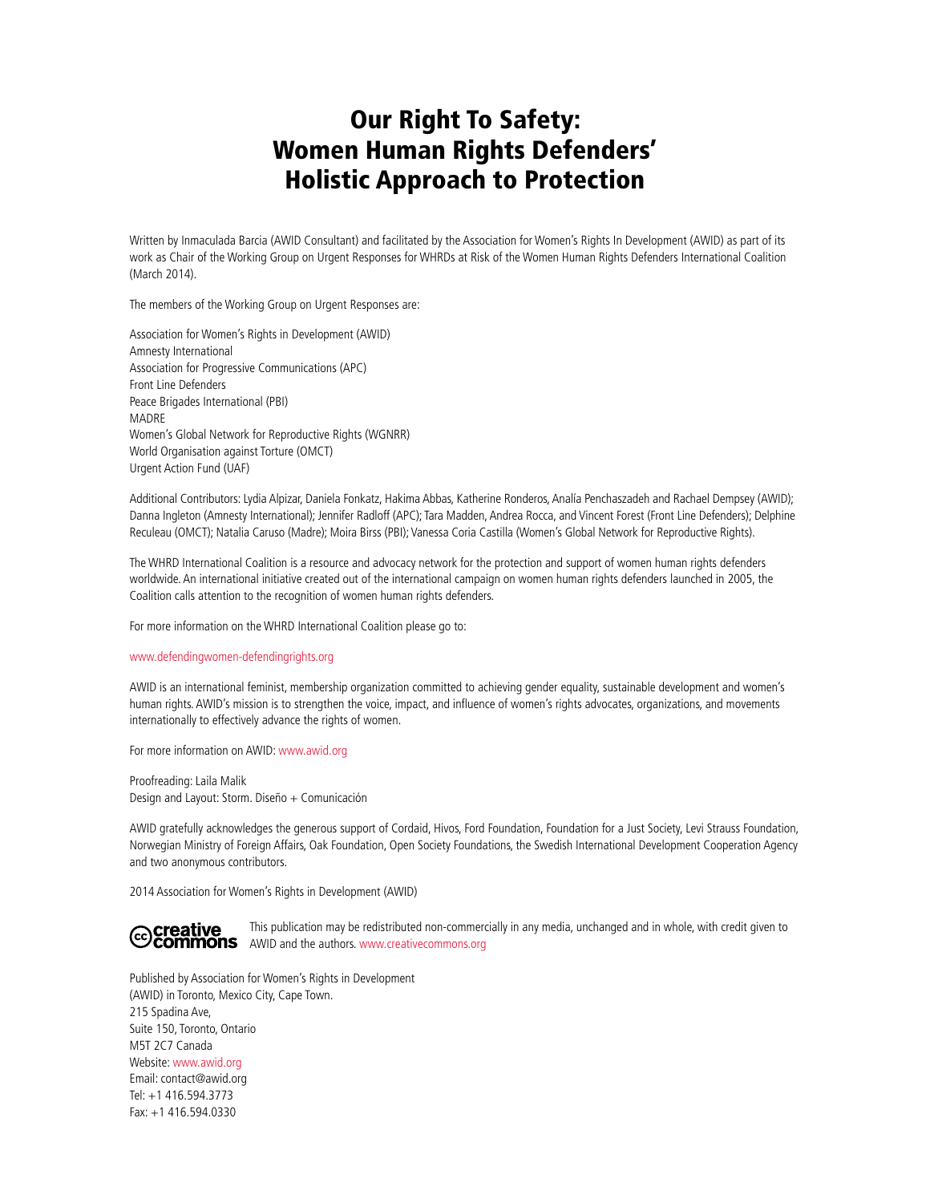# Our Right To Safety: Women Human Rights Defenders' Holistic Approach to Protection

Written by Inmaculada Barcia (AWID Consultant) and facilitated by the Association for Women's Rights In Development (AWID) as part of its work as Chair of the Working Group on Urgent Responses for WHRDs at Risk of the Women Human Rights Defenders International Coalition (March 2014).

The members of the Working Group on Urgent Responses are:

Association for Women's Rights in Development (AWID) Amnesty International Association for Progressive Communications (APC) Front Line Defenders Peace Brigades International (PBI) MADRE Women's Global Network for Reproductive Rights (WGNRR) World Organisation against Torture (OMCT) Urgent Action Fund (UAF)

Additional Contributors: Lydia Alpizar, Daniela Fonkatz, Hakima Abbas, Katherine Ronderos, Analía Penchaszadeh and Rachael Dempsey (AWID); Danna Ingleton (Amnesty International); Jennifer Radloff (APC); Tara Madden, Andrea Rocca, and Vincent Forest (Front Line Defenders); Delphine Reculeau (OMCT); Natalia Caruso (Madre); Moira Birss (PBI); Vanessa Coria Castilla (Women's Global Network for Reproductive Rights).

The WHRD International Coalition is a resource and advocacy network for the protection and support of women human rights defenders worldwide. An international initiative created out of the international campaign on women human rights defenders launched in 2005, the Coalition calls attention to the recognition of women human rights defenders.

For more information on the WHRD International Coalition please go to:

#### www.defendingwomen-defendingrights.org

AWID is an international feminist, membership organization committed to achieving gender equality, sustainable development and women's human rights. AWID's mission is to strengthen the voice, impact, and influence of women's rights advocates, organizations, and movements internationally to effectively advance the rights of women.

For more information on AWID: www.awid.org

Proofreading: Laila Malik Design and Layout: Storm. Diseño + Comunicación

AWID gratefully acknowledges the generous support of Cordaid, Hivos, Ford Foundation, Foundation for a Just Society, Levi Strauss Foundation, Norwegian Ministry of Foreign Affairs, Oak Foundation, Open Society Foundations, the Swedish International Development Cooperation Agency and two anonymous contributors.

2014 Association for Women's Rights in Development (AWID)



 This publication may be redistributed non-commercially in any media, unchanged and in whole, with credit given to **Creative** This publication may be redistributed non-commerced Commons. AWID and the authors. www.creativecommons.org

Published by Association for Women's Rights in Development (AWID) in Toronto, Mexico City, Cape Town. 215 Spadina Ave, Suite 150, Toronto, Ontario M5T 2C7 Canada Website: www.awid.org Email: contact@awid.org Tel: +1 416.594.3773 Fax: +1 416.594.0330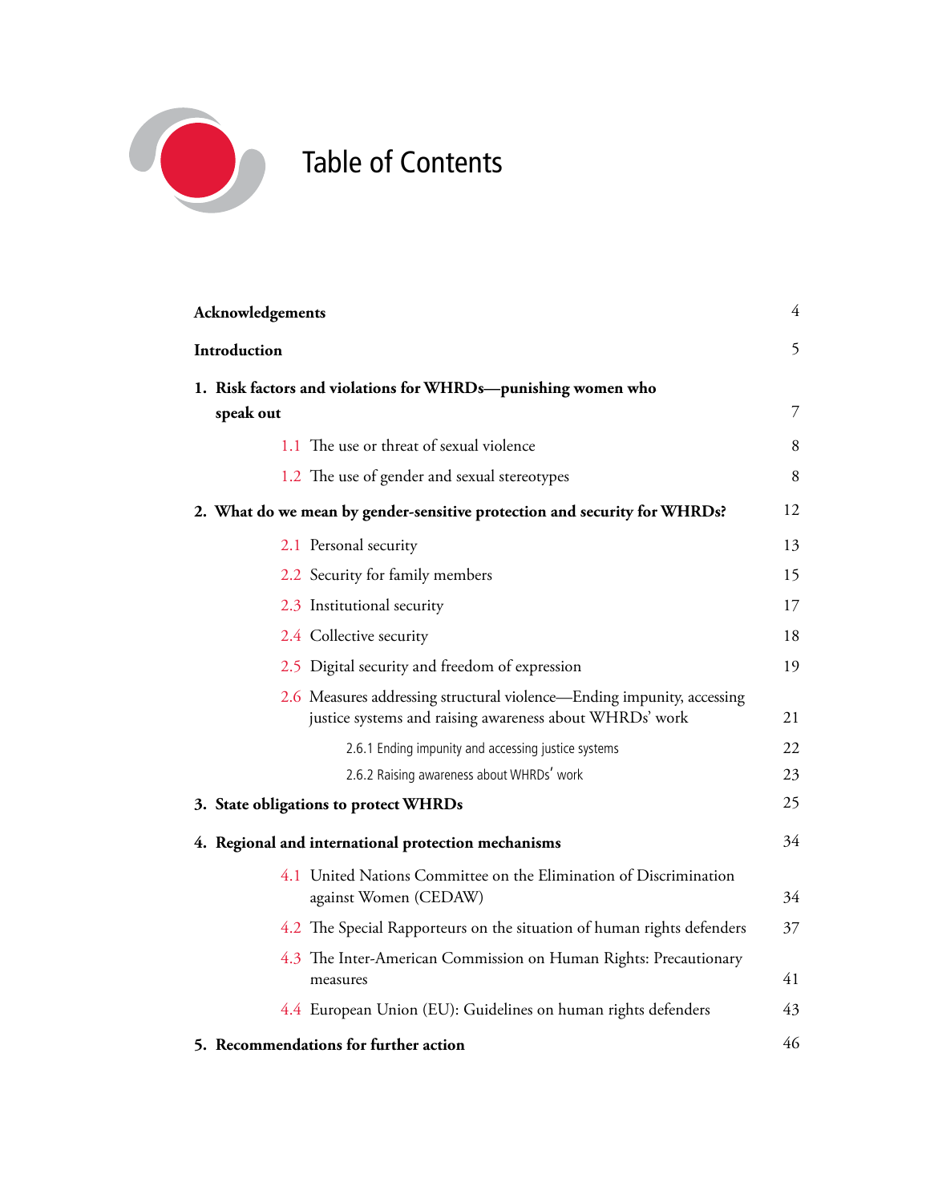

| Acknowledgements                                                                                                                  | 4              |
|-----------------------------------------------------------------------------------------------------------------------------------|----------------|
| Introduction                                                                                                                      | 5              |
| 1. Risk factors and violations for WHRDs-punishing women who<br>speak out                                                         | $\overline{7}$ |
| 1.1 The use or threat of sexual violence                                                                                          | 8              |
| 1.2 The use of gender and sexual stereotypes                                                                                      | 8              |
| 2. What do we mean by gender-sensitive protection and security for WHRDs?                                                         | 12             |
| 2.1 Personal security                                                                                                             | 13             |
| 2.2 Security for family members                                                                                                   | 15             |
| 2.3 Institutional security                                                                                                        | 17             |
| 2.4 Collective security                                                                                                           | 18             |
| 2.5 Digital security and freedom of expression                                                                                    | 19             |
| 2.6 Measures addressing structural violence—Ending impunity, accessing<br>justice systems and raising awareness about WHRDs' work | 21             |
| 2.6.1 Ending impunity and accessing justice systems                                                                               | 22             |
| 2.6.2 Raising awareness about WHRDs' work                                                                                         | 23             |
| 3. State obligations to protect WHRDs                                                                                             | 25             |
| 4. Regional and international protection mechanisms                                                                               | 34             |
| 4.1 United Nations Committee on the Elimination of Discrimination<br>against Women (CEDAW)                                        | 34             |
| 4.2 The Special Rapporteurs on the situation of human rights defenders                                                            | 37             |
| 4.3 The Inter-American Commission on Human Rights: Precautionary<br>measures                                                      | 41             |
| 4.4 European Union (EU): Guidelines on human rights defenders                                                                     | 43             |
| 5. Recommendations for further action                                                                                             | 46             |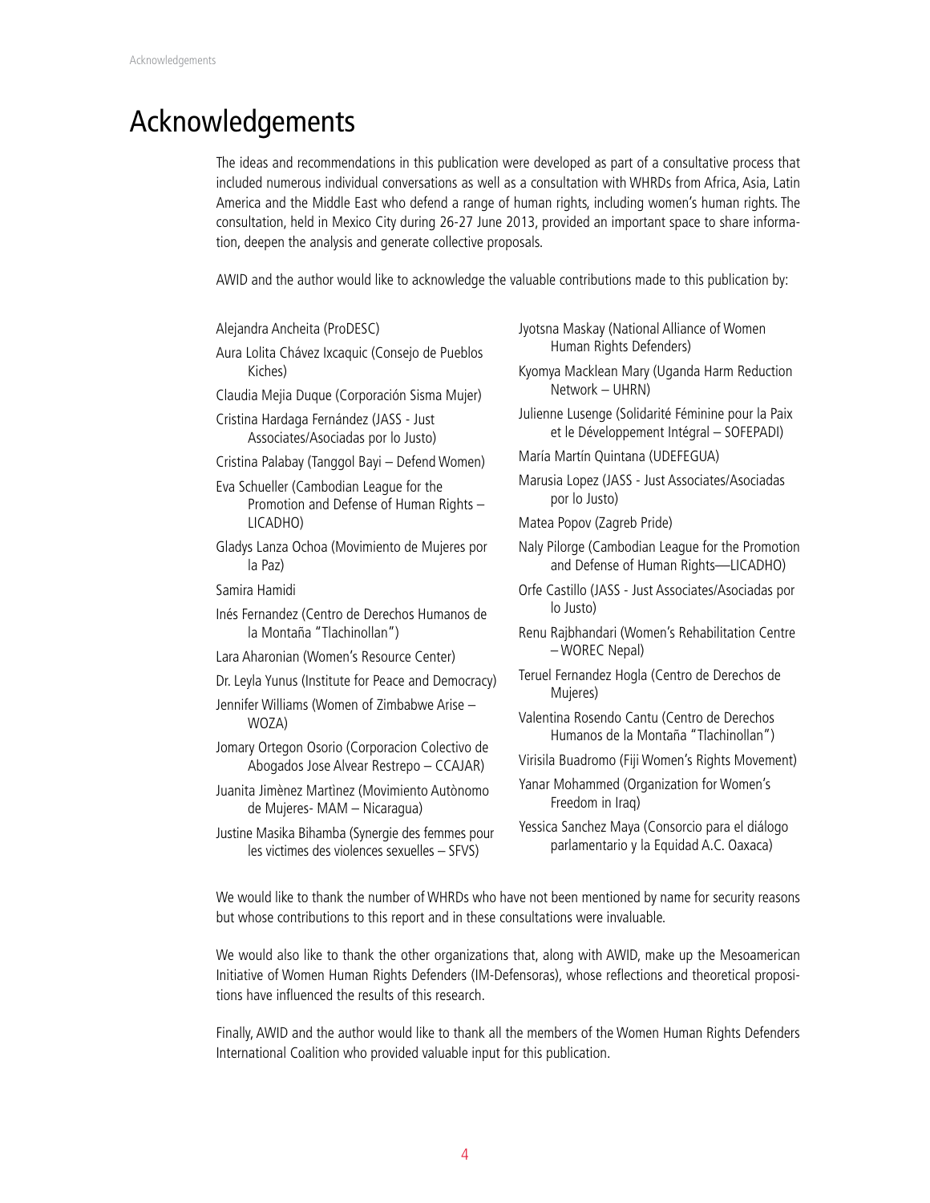# Acknowledgements

The ideas and recommendations in this publication were developed as part of a consultative process that included numerous individual conversations as well as a consultation with WHRDs from Africa, Asia, Latin America and the Middle East who defend a range of human rights, including women's human rights. The consultation, held in Mexico City during 26-27 June 2013, provided an important space to share information, deepen the analysis and generate collective proposals.

AWID and the author would like to acknowledge the valuable contributions made to this publication by:

| Alejandra Ancheita (ProDESC)                                                                     |
|--------------------------------------------------------------------------------------------------|
| Aura Lolita Chávez Ixcaquic (Consejo de Pueblos<br>Kiches)                                       |
| Claudia Mejia Duque (Corporación Sisma Mujer)                                                    |
| Cristina Hardaga Fernández (JASS - Just<br>Associates/Asociadas por lo Justo)                    |
| Cristina Palabay (Tanggol Bayi - Defend Women)                                                   |
| Eva Schueller (Cambodian League for the<br>Promotion and Defense of Human Rights -<br>LICADHO)   |
| Gladys Lanza Ochoa (Movimiento de Mujeres por<br>la Paz)                                         |
| Samira Hamidi                                                                                    |
| Inés Fernandez (Centro de Derechos Humanos de<br>la Montaña "Tlachinollan")                      |
| Lara Aharonian (Women's Resource Center)                                                         |
| Dr. Leyla Yunus (Institute for Peace and Democracy)                                              |
| Jennifer Williams (Women of Zimbabwe Arise -<br>WOZA)                                            |
| Jomary Ortegon Osorio (Corporacion Colectivo de<br>Abogados Jose Alvear Restrepo - CCAJAR)       |
| Juanita Jimènez Martìnez (Movimiento Autònomo<br>de Mujeres- MAM - Nicaragua)                    |
| Justine Masika Bihamba (Synergie des femmes pour<br>les victimes des violences sexuelles - SFVS) |

| Jyotsna Maskay (National Alliance of Women |
|--------------------------------------------|
| Human Rights Defenders)                    |

- Kyomya Macklean Mary (Uganda Harm Reduction Network – UHRN)
- Julienne Lusenge (Solidarité Féminine pour la Paix et le Développement Intégral – SOFEPADI)
- María Martín Quintana (UDEFEGUA)
- Marusia Lopez (JASS Just Associates/Asociadas por lo Justo)
- Matea Popov (Zagreb Pride)
- Naly Pilorge (Cambodian League for the Promotion and Defense of Human Rights—LICADHO)
- Orfe Castillo (JASS Just Associates/Asociadas por lo Justo)
- Renu Rajbhandari (Women's Rehabilitation Centre – WOREC Nepal)
- Teruel Fernandez Hogla (Centro de Derechos de Mujeres)
- Valentina Rosendo Cantu (Centro de Derechos Humanos de la Montaña "Tlachinollan")
- Virisila Buadromo (Fiji Women's Rights Movement)
- Yanar Mohammed (Organization for Women's Freedom in Iraq)
- Yessica Sanchez Maya (Consorcio para el diálogo parlamentario y la Equidad A.C. Oaxaca)

We would like to thank the number of WHRDs who have not been mentioned by name for security reasons but whose contributions to this report and in these consultations were invaluable.

We would also like to thank the other organizations that, along with AWID, make up the Mesoamerican Initiative of Women Human Rights Defenders (IM-Defensoras), whose reflections and theoretical propositions have influenced the results of this research.

Finally, AWID and the author would like to thank all the members of the Women Human Rights Defenders International Coalition who provided valuable input for this publication.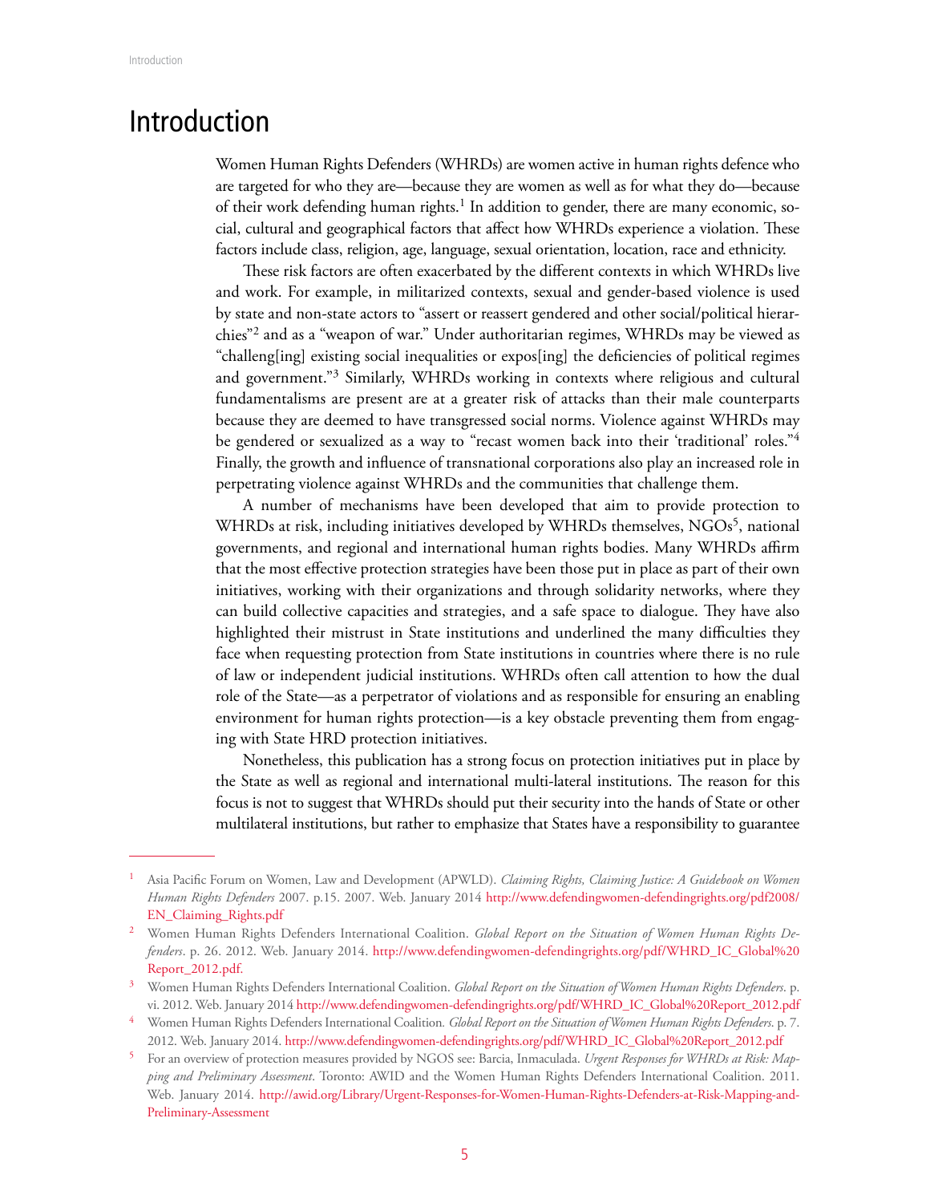# Introduction

Women Human Rights Defenders (WHRDs) are women active in human rights defence who are targeted for who they are—because they are women as well as for what they do—because of their work defending human rights.<sup>1</sup> In addition to gender, there are many economic, social, cultural and geographical factors that affect how WHRDs experience a violation. These factors include class, religion, age, language, sexual orientation, location, race and ethnicity.

These risk factors are often exacerbated by the different contexts in which WHRDs live and work. For example, in militarized contexts, sexual and gender-based violence is used by state and non-state actors to "assert or reassert gendered and other social/political hierarchies"<sup>2</sup> and as a "weapon of war." Under authoritarian regimes, WHRDs may be viewed as "challeng[ing] existing social inequalities or expos[ing] the deficiencies of political regimes and government."<sup>3</sup> Similarly, WHRDs working in contexts where religious and cultural fundamentalisms are present are at a greater risk of attacks than their male counterparts because they are deemed to have transgressed social norms. Violence against WHRDs may be gendered or sexualized as a way to "recast women back into their 'traditional' roles."<sup>4</sup> Finally, the growth and influence of transnational corporations also play an increased role in perpetrating violence against WHRDs and the communities that challenge them.

A number of mechanisms have been developed that aim to provide protection to WHRDs at risk, including initiatives developed by WHRDs themselves,  $NGOs<sup>5</sup>$ , national governments, and regional and international human rights bodies. Many WHRDs affirm that the most effective protection strategies have been those put in place as part of their own initiatives, working with their organizations and through solidarity networks, where they can build collective capacities and strategies, and a safe space to dialogue. They have also highlighted their mistrust in State institutions and underlined the many difficulties they face when requesting protection from State institutions in countries where there is no rule of law or independent judicial institutions. WHRDs often call attention to how the dual role of the State—as a perpetrator of violations and as responsible for ensuring an enabling environment for human rights protection—is a key obstacle preventing them from engaging with State HRD protection initiatives.

Nonetheless, this publication has a strong focus on protection initiatives put in place by the State as well as regional and international multi-lateral institutions. The reason for this focus is not to suggest that WHRDs should put their security into the hands of State or other multilateral institutions, but rather to emphasize that States have a responsibility to guarantee

<sup>1</sup> Asia Pacific Forum on Women, Law and Development (APWLD). *Claiming Rights, Claiming Justice: A Guidebook on Women Human Rights Defenders* 2007. p.15. 2007. Web. January 2014 http://www.defendingwomen-defendingrights.org/pdf2008/ EN\_Claiming\_Rights.pdf

<sup>2</sup> Women Human Rights Defenders International Coalition. *Global Report on the Situation of Women Human Rights Defenders*. p. 26. 2012. Web. January 2014. http://www.defendingwomen-defendingrights.org/pdf/WHRD\_IC\_Global%20 Report\_2012.pdf.

<sup>3</sup> Women Human Rights Defenders International Coalition. *Global Report on the Situation of Women Human Rights Defenders*. p. vi. 2012. Web. January 2014 http://www.defendingwomen-defendingrights.org/pdf/WHRD\_IC\_Global%20Report\_2012.pdf

<sup>4</sup> Women Human Rights Defenders International Coalition*. Global Report on the Situation of Women Human Rights Defenders*. p. 7. 2012. Web. January 2014. http://www.defendingwomen-defendingrights.org/pdf/WHRD\_IC\_Global%20Report\_2012.pdf

<sup>5</sup> For an overview of protection measures provided by NGOS see: Barcia, Inmaculada. *Urgent Responses for WHRDs at Risk: Mapping and Preliminary Assessment*. Toronto: AWID and the Women Human Rights Defenders International Coalition. 2011. Web. January 2014. http://awid.org/Library/Urgent-Responses-for-Women-Human-Rights-Defenders-at-Risk-Mapping-and-Preliminary-Assessment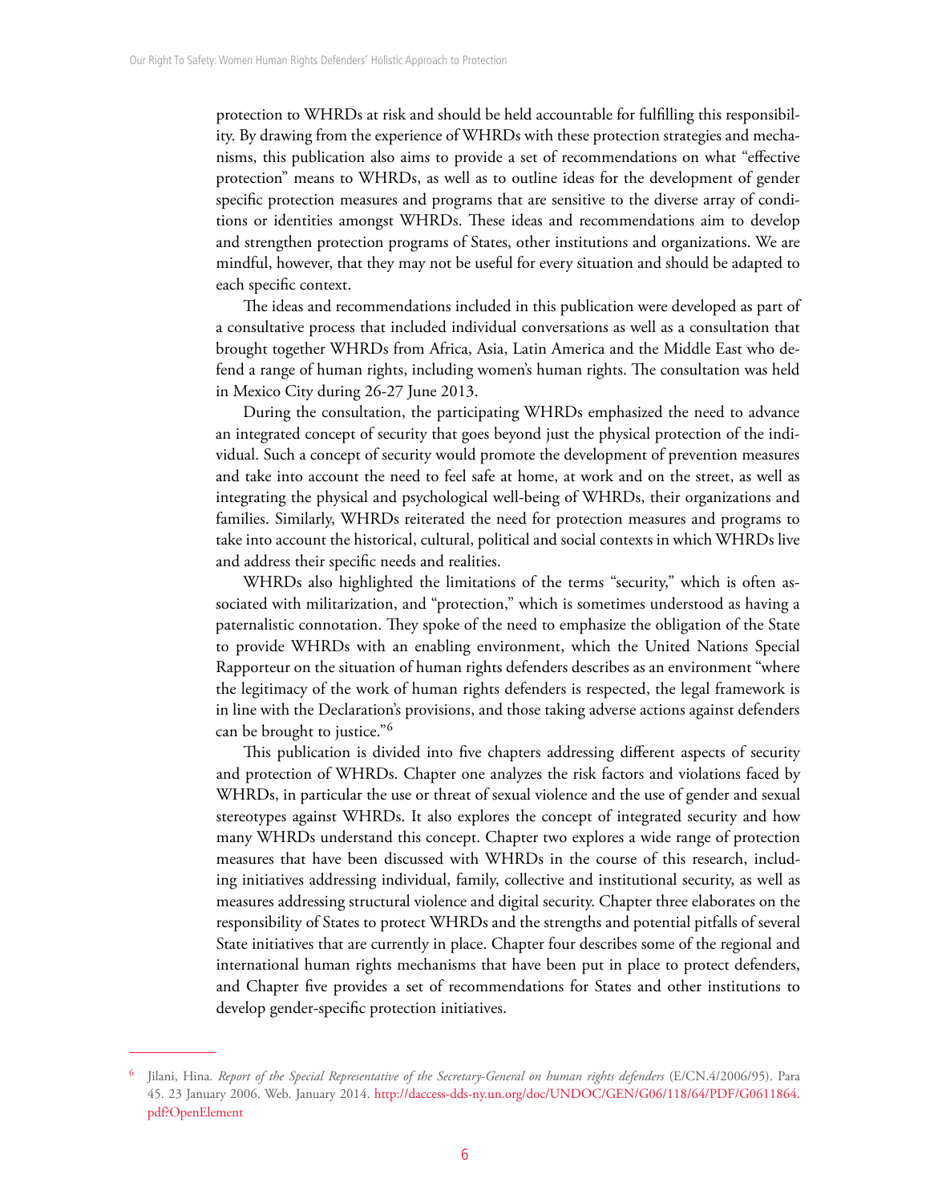protection to WHRDs at risk and should be held accountable for fulfilling this responsibility. By drawing from the experience of WHRDs with these protection strategies and mechanisms, this publication also aims to provide a set of recommendations on what "effective protection" means to WHRDs, as well as to outline ideas for the development of gender specific protection measures and programs that are sensitive to the diverse array of conditions or identities amongst WHRDs. These ideas and recommendations aim to develop and strengthen protection programs of States, other institutions and organizations. We are mindful, however, that they may not be useful for every situation and should be adapted to each specific context.

The ideas and recommendations included in this publication were developed as part of a consultative process that included individual conversations as well as a consultation that brought together WHRDs from Africa, Asia, Latin America and the Middle East who defend a range of human rights, including women's human rights. The consultation was held in Mexico City during 26-27 June 2013.

During the consultation, the participating WHRDs emphasized the need to advance an integrated concept of security that goes beyond just the physical protection of the individual. Such a concept of security would promote the development of prevention measures and take into account the need to feel safe at home, at work and on the street, as well as integrating the physical and psychological well-being of WHRDs, their organizations and families. Similarly, WHRDs reiterated the need for protection measures and programs to take into account the historical, cultural, political and social contexts in which WHRDs live and address their specific needs and realities.

WHRDs also highlighted the limitations of the terms "security," which is often associated with militarization, and "protection," which is sometimes understood as having a paternalistic connotation. They spoke of the need to emphasize the obligation of the State to provide WHRDs with an enabling environment, which the United Nations Special Rapporteur on the situation of human rights defenders describes as an environment "where the legitimacy of the work of human rights defenders is respected, the legal framework is in line with the Declaration's provisions, and those taking adverse actions against defenders can be brought to justice."<sup>6</sup>

This publication is divided into five chapters addressing different aspects of security and protection of WHRDs. Chapter one analyzes the risk factors and violations faced by WHRDs, in particular the use or threat of sexual violence and the use of gender and sexual stereotypes against WHRDs. It also explores the concept of integrated security and how many WHRDs understand this concept. Chapter two explores a wide range of protection measures that have been discussed with WHRDs in the course of this research, including initiatives addressing individual, family, collective and institutional security, as well as measures addressing structural violence and digital security. Chapter three elaborates on the responsibility of States to protect WHRDs and the strengths and potential pitfalls of several State initiatives that are currently in place. Chapter four describes some of the regional and international human rights mechanisms that have been put in place to protect defenders, and Chapter five provides a set of recommendations for States and other institutions to develop gender-specific protection initiatives.

<sup>6</sup> Jilani, Hina. *Report of the Special Representative of the Secretary-General on human rights defenders* (E/CN.4/2006/95). Para 45. 23 January 2006. Web. January 2014. http://daccess-dds-ny.un.org/doc/UNDOC/GEN/G06/118/64/PDF/G0611864. pdf?OpenElement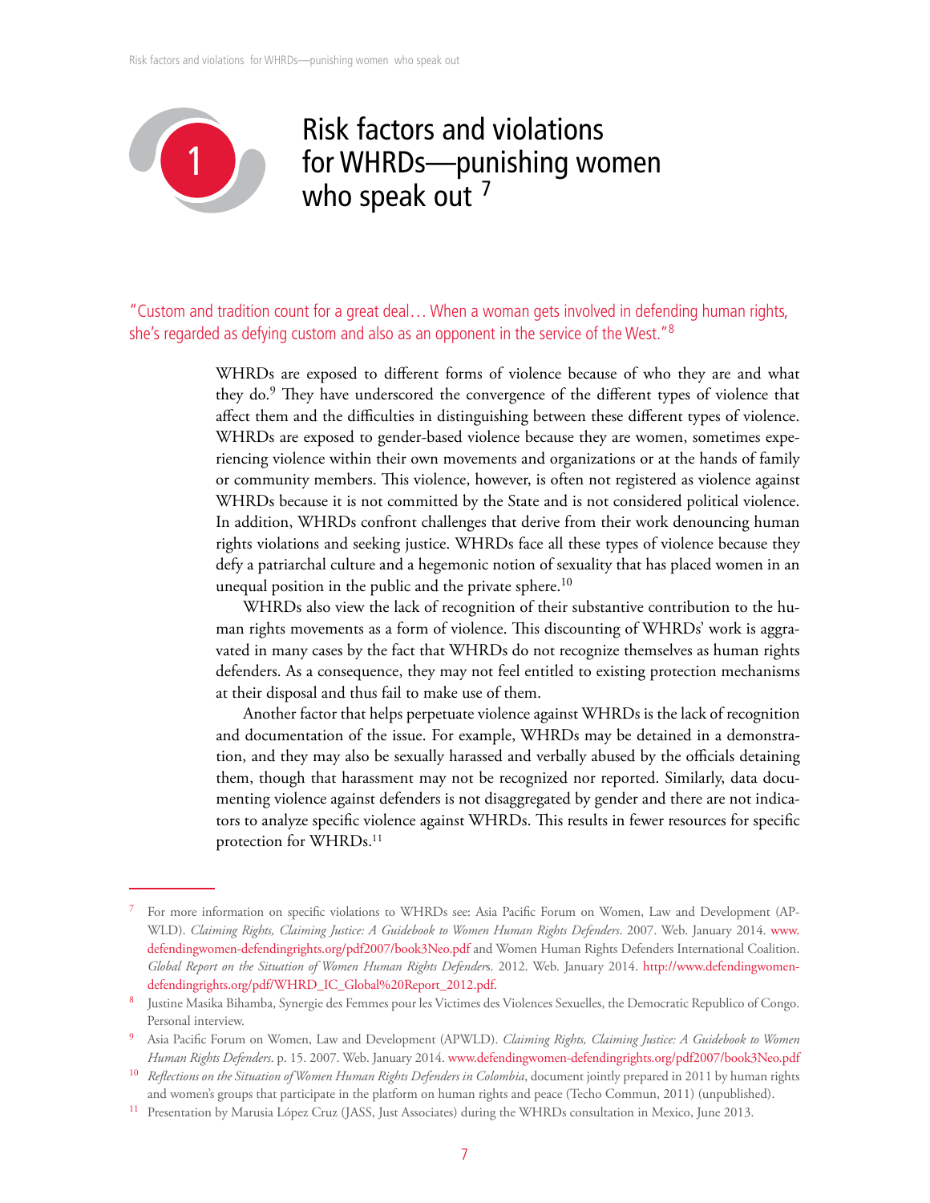

# Risk factors and violations for WHRDs—punishing women who speak out <sup>7</sup>

"Custom and tradition count for a great deal… When a woman gets involved in defending human rights, she's regarded as defying custom and also as an opponent in the service of the West."8

> WHRDs are exposed to different forms of violence because of who they are and what they do.<sup>9</sup> They have underscored the convergence of the different types of violence that affect them and the difficulties in distinguishing between these different types of violence. WHRDs are exposed to gender-based violence because they are women, sometimes experiencing violence within their own movements and organizations or at the hands of family or community members. This violence, however, is often not registered as violence against WHRDs because it is not committed by the State and is not considered political violence. In addition, WHRDs confront challenges that derive from their work denouncing human rights violations and seeking justice. WHRDs face all these types of violence because they defy a patriarchal culture and a hegemonic notion of sexuality that has placed women in an unequal position in the public and the private sphere.<sup>10</sup>

> WHRDs also view the lack of recognition of their substantive contribution to the human rights movements as a form of violence. This discounting of WHRDs' work is aggravated in many cases by the fact that WHRDs do not recognize themselves as human rights defenders. As a consequence, they may not feel entitled to existing protection mechanisms at their disposal and thus fail to make use of them.

> Another factor that helps perpetuate violence against WHRDs is the lack of recognition and documentation of the issue. For example, WHRDs may be detained in a demonstration, and they may also be sexually harassed and verbally abused by the officials detaining them, though that harassment may not be recognized nor reported. Similarly, data documenting violence against defenders is not disaggregated by gender and there are not indicators to analyze specific violence against WHRDs. This results in fewer resources for specific protection for WHRDs.<sup>11</sup>

<sup>7</sup> For more information on specific violations to WHRDs see: Asia Pacific Forum on Women, Law and Development (AP-WLD). *Claiming Rights, Claiming Justice: A Guidebook to Women Human Rights Defenders*. 2007. Web. January 2014. www. defendingwomen-defendingrights.org/pdf2007/book3Neo.pdf and Women Human Rights Defenders International Coalition. *Global Report on the Situation of Women Human Rights Defender*s. 2012. Web. January 2014. http://www.defendingwomendefendingrights.org/pdf/WHRD\_IC\_Global%20Report\_2012.pdf.

<sup>8</sup> Justine Masika Bihamba, Synergie des Femmes pour les Victimes des Violences Sexuelles, the Democratic Republico of Congo. Personal interview.

<sup>9</sup> Asia Pacific Forum on Women, Law and Development (APWLD). *Claiming Rights, Claiming Justice: A Guidebook to Women Human Rights Defenders*. p. 15. 2007. Web. January 2014. www.defendingwomen-defendingrights.org/pdf2007/book3Neo.pdf

<sup>&</sup>lt;sup>10</sup> *Reflections on the Situation of Women Human Rights Defenders in Colombia*, document jointly prepared in 2011 by human rights and women's groups that participate in the platform on human rights and peace (Techo Commun, 2011) (unpublished).

<sup>&</sup>lt;sup>11</sup> Presentation by Marusia López Cruz (JASS, Just Associates) during the WHRDs consultation in Mexico, June 2013.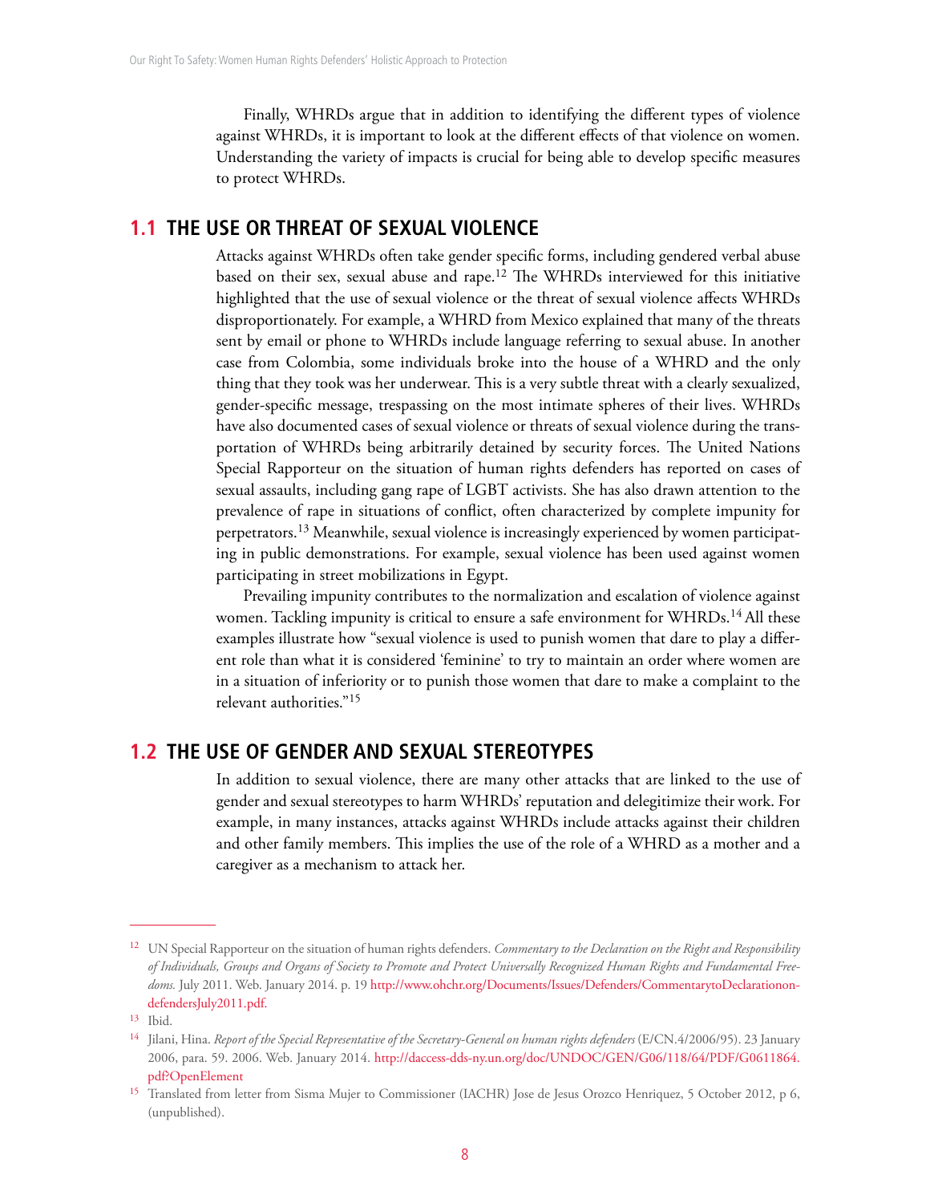Finally, WHRDs argue that in addition to identifying the different types of violence against WHRDs, it is important to look at the different effects of that violence on women. Understanding the variety of impacts is crucial for being able to develop specific measures to protect WHRDs.

### **1.1 The use or threat of sexual violence**

Attacks against WHRDs often take gender specific forms, including gendered verbal abuse based on their sex, sexual abuse and rape.12 The WHRDs interviewed for this initiative highlighted that the use of sexual violence or the threat of sexual violence affects WHRDs disproportionately. For example, a WHRD from Mexico explained that many of the threats sent by email or phone to WHRDs include language referring to sexual abuse. In another case from Colombia, some individuals broke into the house of a WHRD and the only thing that they took was her underwear. This is a very subtle threat with a clearly sexualized, gender-specific message, trespassing on the most intimate spheres of their lives. WHRDs have also documented cases of sexual violence or threats of sexual violence during the transportation of WHRDs being arbitrarily detained by security forces. The United Nations Special Rapporteur on the situation of human rights defenders has reported on cases of sexual assaults, including gang rape of LGBT activists. She has also drawn attention to the prevalence of rape in situations of conflict, often characterized by complete impunity for perpetrators.<sup>13</sup> Meanwhile, sexual violence is increasingly experienced by women participating in public demonstrations. For example, sexual violence has been used against women participating in street mobilizations in Egypt.

Prevailing impunity contributes to the normalization and escalation of violence against women. Tackling impunity is critical to ensure a safe environment for WHRDs.<sup>14</sup> All these examples illustrate how "sexual violence is used to punish women that dare to play a different role than what it is considered 'feminine' to try to maintain an order where women are in a situation of inferiority or to punish those women that dare to make a complaint to the relevant authorities."<sup>15</sup>

### **1.2 The use of gender and sexual stereotypes**

In addition to sexual violence, there are many other attacks that are linked to the use of gender and sexual stereotypes to harm WHRDs' reputation and delegitimize their work. For example, in many instances, attacks against WHRDs include attacks against their children and other family members. This implies the use of the role of a WHRD as a mother and a caregiver as a mechanism to attack her.

<sup>12</sup> UN Special Rapporteur on thesituation of human rights defenders. *Commentary to the Declaration on the Right and Responsibility of Individuals, Groups and Organs of Society to Promote and Protect Universally Recognized Human Rights and Fundamental Freedoms.* July 2011. Web. January 2014. p. 19 http://www.ohchr.org/Documents/Issues/Defenders/CommentarytoDeclarationondefendersJuly2011.pdf.

<sup>13</sup> Ibid.

<sup>14</sup> Jilani, Hina. *Report of the Special Representative of the Secretary-General on human rights defenders* (E/CN.4/2006/95). 23 January 2006, para. 59. 2006. Web. January 2014. http://daccess-dds-ny.un.org/doc/UNDOC/GEN/G06/118/64/PDF/G0611864. pdf?OpenElement

<sup>15</sup> Translated from letter from Sisma Mujer to Commissioner (IACHR) Jose de Jesus Orozco Henriquez, 5 October 2012, p 6, (unpublished).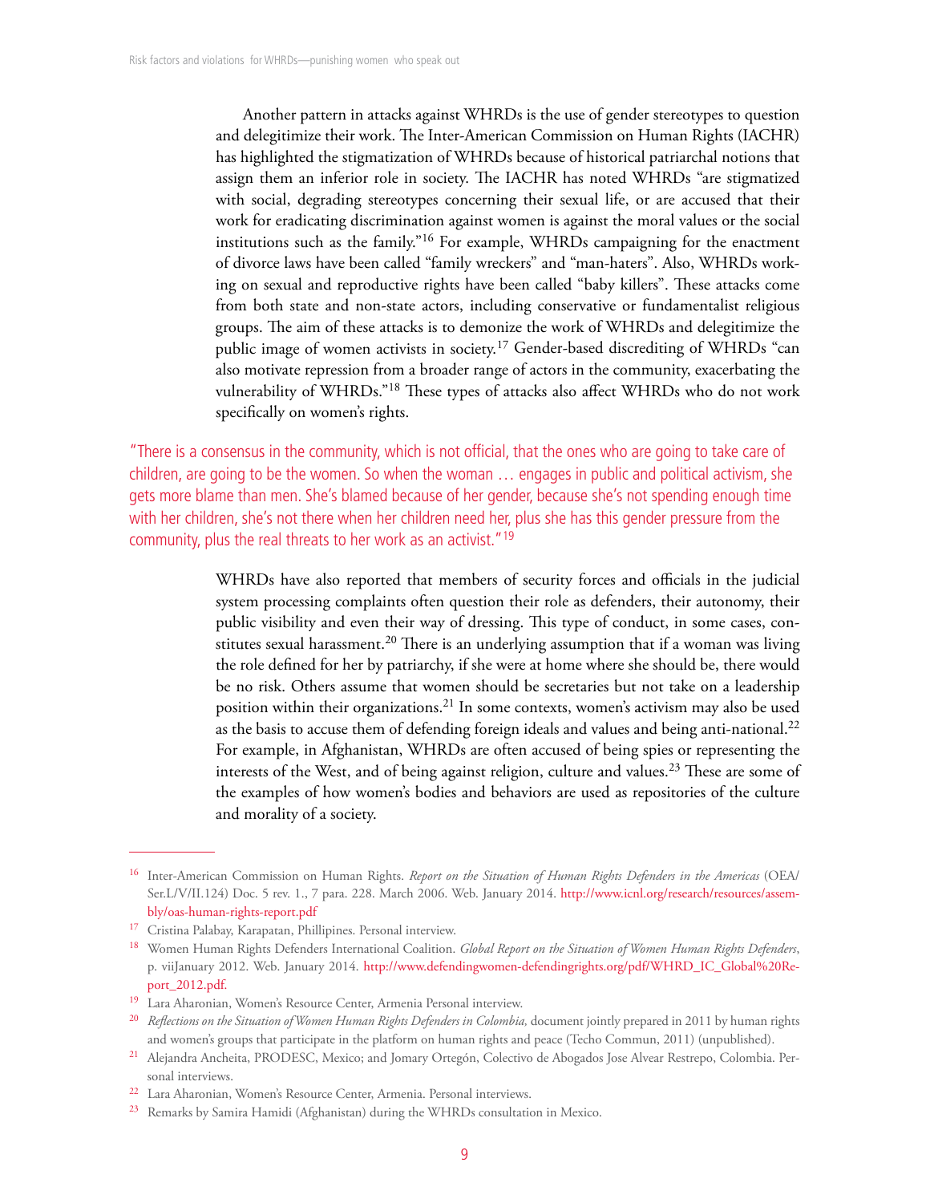Another pattern in attacks against WHRDs is the use of gender stereotypes to question and delegitimize their work. The Inter-American Commission on Human Rights (IACHR) has highlighted the stigmatization of WHRDs because of historical patriarchal notions that assign them an inferior role in society. The IACHR has noted WHRDs "are stigmatized with social, degrading stereotypes concerning their sexual life, or are accused that their work for eradicating discrimination against women is against the moral values or the social institutions such as the family."<sup>16</sup> For example, WHRDs campaigning for the enactment of divorce laws have been called "family wreckers" and "man-haters". Also, WHRDs working on sexual and reproductive rights have been called "baby killers". These attacks come from both state and non-state actors, including conservative or fundamentalist religious groups. The aim of these attacks is to demonize the work of WHRDs and delegitimize the public image of women activists in society.<sup>17</sup> Gender-based discrediting of WHRDs "can also motivate repression from a broader range of actors in the community, exacerbating the vulnerability of WHRDs."<sup>18</sup> These types of attacks also affect WHRDs who do not work specifically on women's rights.

"There is a consensus in the community, which is not official, that the ones who are going to take care of children, are going to be the women. So when the woman … engages in public and political activism, she gets more blame than men. She's blamed because of her gender, because she's not spending enough time with her children, she's not there when her children need her, plus she has this gender pressure from the community, plus the real threats to her work as an activist."19

> WHRDs have also reported that members of security forces and officials in the judicial system processing complaints often question their role as defenders, their autonomy, their public visibility and even their way of dressing. This type of conduct, in some cases, constitutes sexual harassment.<sup>20</sup> There is an underlying assumption that if a woman was living the role defined for her by patriarchy, if she were at home where she should be, there would be no risk. Others assume that women should be secretaries but not take on a leadership position within their organizations.<sup>21</sup> In some contexts, women's activism may also be used as the basis to accuse them of defending foreign ideals and values and being anti-national.<sup>22</sup> For example, in Afghanistan, WHRDs are often accused of being spies or representing the interests of the West, and of being against religion, culture and values.<sup>23</sup> These are some of the examples of how women's bodies and behaviors are used as repositories of the culture and morality of a society.

<sup>16</sup> Inter-American Commission on Human Rights. *Report on the Situation of Human Rights Defenders in the Americas* (OEA/ Ser.L/V/II.124) Doc. 5 rev. 1., 7 para. 228. March 2006. Web. January 2014. http://www.icnl.org/research/resources/assembly/oas-human-rights-report.pdf

<sup>17</sup> Cristina Palabay, Karapatan, Phillipines. Personal interview.

<sup>18</sup> Women Human Rights Defenders International Coalition. *Global Report on the Situation of Women Human Rights Defenders*, p. viiJanuary 2012. Web. January 2014. http://www.defendingwomen-defendingrights.org/pdf/WHRD\_IC\_Global%20Report\_2012.pdf.

<sup>19</sup> Lara Aharonian, Women's Resource Center, Armenia Personal interview.

<sup>20</sup> *Reflections on the Situation of Women Human Rights Defenders in Colombia,* document jointly prepared in 2011 by human rights and women's groups that participate in the platform on human rights and peace (Techo Commun, 2011) (unpublished).

<sup>21</sup> Alejandra Ancheita, PRODESC, Mexico; and Jomary Ortegón, Colectivo de Abogados Jose Alvear Restrepo, Colombia. Personal interviews.

<sup>22</sup> Lara Aharonian, Women's Resource Center, Armenia. Personal interviews.

<sup>23</sup> Remarks by Samira Hamidi (Afghanistan) during the WHRDs consultation in Mexico.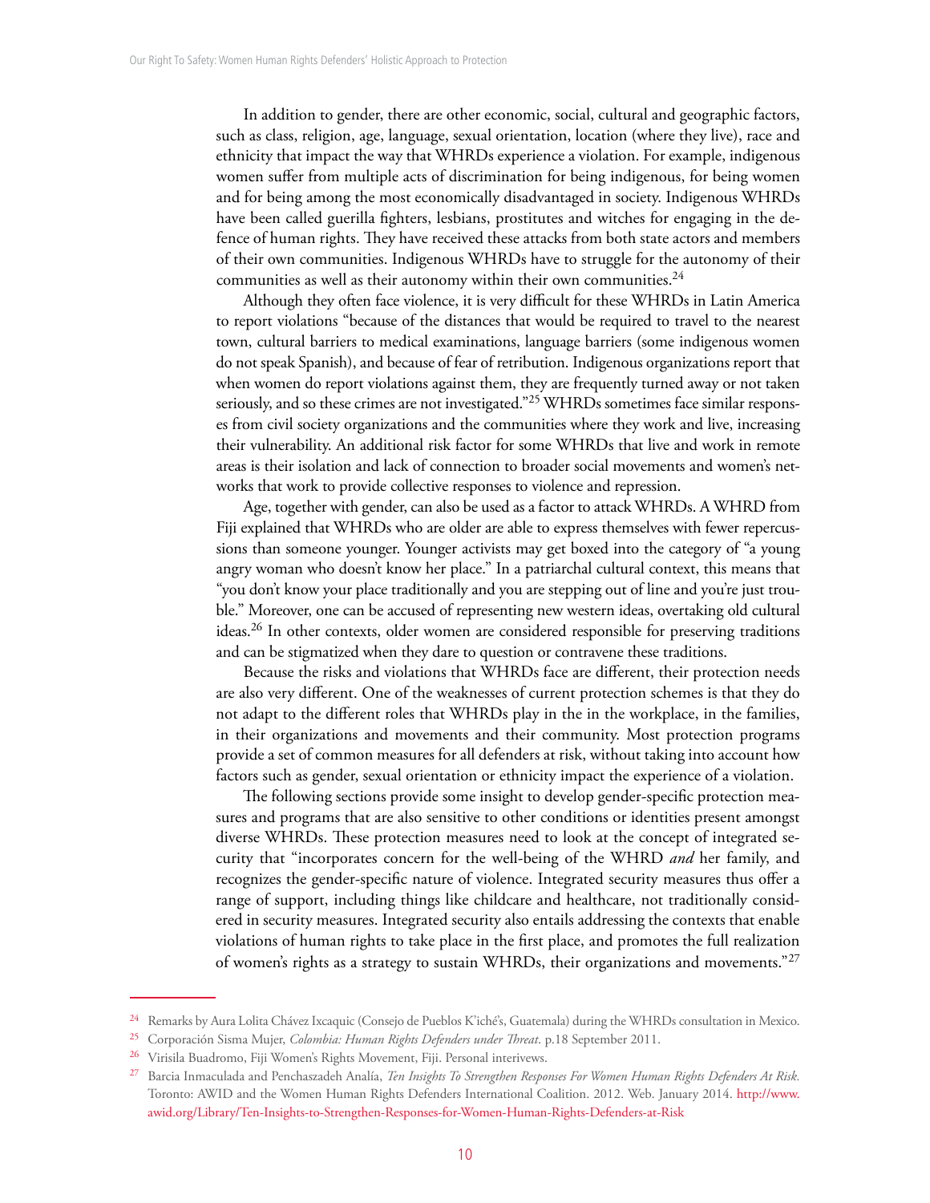In addition to gender, there are other economic, social, cultural and geographic factors, such as class, religion, age, language, sexual orientation, location (where they live), race and ethnicity that impact the way that WHRDs experience a violation. For example, indigenous women suffer from multiple acts of discrimination for being indigenous, for being women and for being among the most economically disadvantaged in society. Indigenous WHRDs have been called guerilla fighters, lesbians, prostitutes and witches for engaging in the defence of human rights. They have received these attacks from both state actors and members of their own communities. Indigenous WHRDs have to struggle for the autonomy of their communities as well as their autonomy within their own communities. $24$ 

Although they often face violence, it is very difficult for these WHRDs in Latin America to report violations "because of the distances that would be required to travel to the nearest town, cultural barriers to medical examinations, language barriers (some indigenous women do not speak Spanish), and because of fear of retribution. Indigenous organizations report that when women do report violations against them, they are frequently turned away or not taken seriously, and so these crimes are not investigated."<sup>25</sup> WHRDs sometimes face similar responses from civil society organizations and the communities where they work and live, increasing their vulnerability. An additional risk factor for some WHRDs that live and work in remote areas is their isolation and lack of connection to broader social movements and women's networks that work to provide collective responses to violence and repression.

Age, together with gender, can also be used as a factor to attack WHRDs. A WHRD from Fiji explained that WHRDs who are older are able to express themselves with fewer repercussions than someone younger. Younger activists may get boxed into the category of "a young angry woman who doesn't know her place." In a patriarchal cultural context, this means that "you don't know your place traditionally and you are stepping out of line and you're just trouble." Moreover, one can be accused of representing new western ideas, overtaking old cultural ideas.<sup>26</sup> In other contexts, older women are considered responsible for preserving traditions and can be stigmatized when they dare to question or contravene these traditions.

Because the risks and violations that WHRDs face are different, their protection needs are also very different. One of the weaknesses of current protection schemes is that they do not adapt to the different roles that WHRDs play in the in the workplace, in the families, in their organizations and movements and their community. Most protection programs provide a set of common measures for all defenders at risk, without taking into account how factors such as gender, sexual orientation or ethnicity impact the experience of a violation.

The following sections provide some insight to develop gender-specific protection measures and programs that are also sensitive to other conditions or identities present amongst diverse WHRDs. These protection measures need to look at the concept of integrated security that "incorporates concern for the well-being of the WHRD *and* her family, and recognizes the gender-specific nature of violence. Integrated security measures thus offer a range of support, including things like childcare and healthcare, not traditionally considered in security measures. Integrated security also entails addressing the contexts that enable violations of human rights to take place in the first place, and promotes the full realization of women's rights as a strategy to sustain WHRDs, their organizations and movements."<sup>27</sup>

<sup>&</sup>lt;sup>24</sup> Remarks by Aura Lolita Chávez Ixcaquic (Consejo de Pueblos K'iché's, Guatemala) during the WHRDs consultation in Mexico.

<sup>25</sup> Corporación Sisma Mujer, *Colombia: Human Rights Defenders under Threat*. p.18 September 2011.

<sup>&</sup>lt;sup>26</sup> Virisila Buadromo, Fiji Women's Rights Movement, Fiji. Personal interivews.

<sup>27</sup> Barcia Inmaculada and Penchaszadeh Analía, *Ten Insights To Strengthen Responses For Women Human Rights Defenders At Risk.* Toronto: AWID and the Women Human Rights Defenders International Coalition. 2012. Web. January 2014. http://www. awid.org/Library/Ten-Insights-to-Strengthen-Responses-for-Women-Human-Rights-Defenders-at-Risk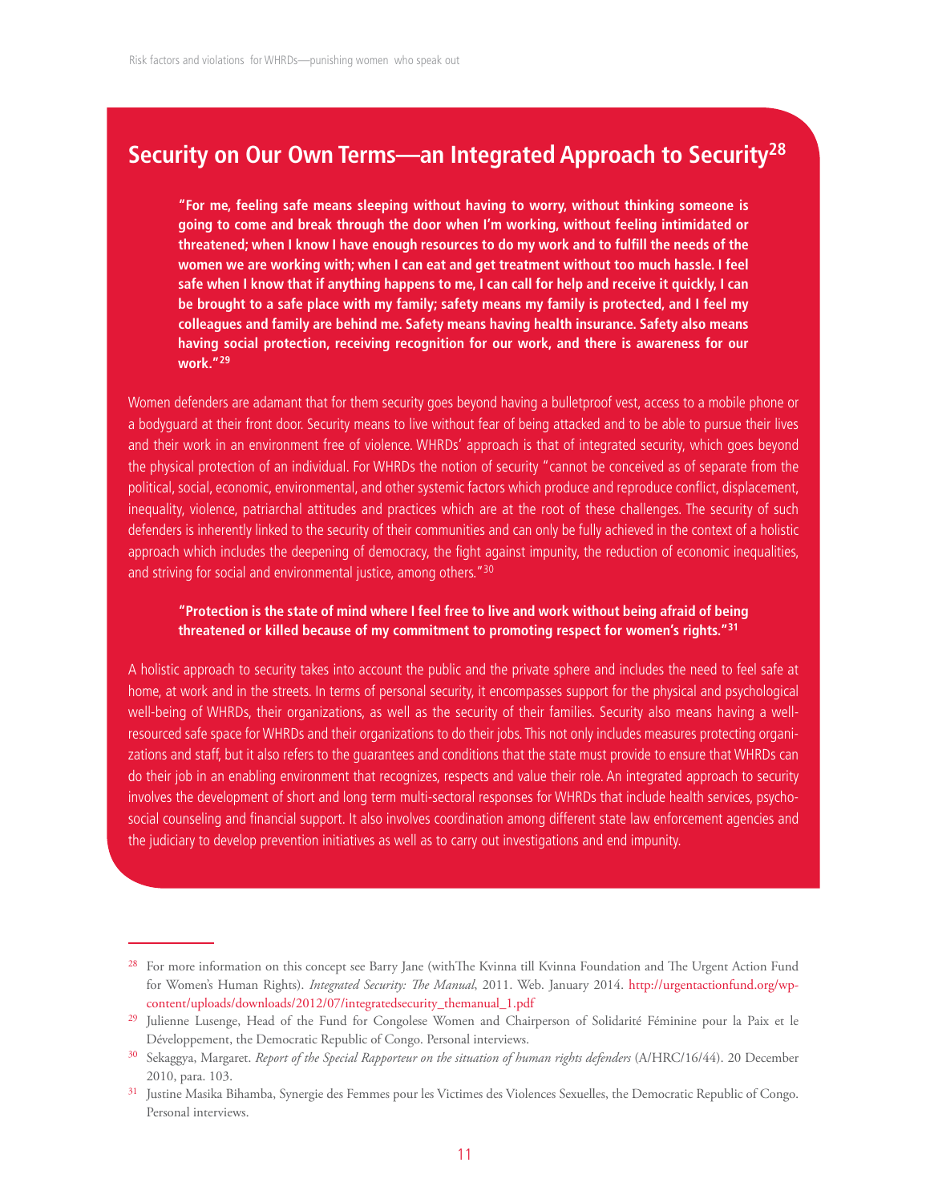# **Security on Our Own Terms—an Integrated Approach to Security28**

**"For me, feeling safe means sleeping without having to worry, without thinking someone is going to come and break through the door when I'm working, without feeling intimidated or threatened; when I know I have enough resources to do my work and to fulfill the needs of the women we are working with; when I can eat and get treatment without too much hassle. I feel safe when I know that if anything happens to me, I can call for help and receive it quickly, I can be brought to a safe place with my family; safety means my family is protected, and I feel my colleagues and family are behind me. Safety means having health insurance. Safety also means having social protection, receiving recognition for our work, and there is awareness for our work."29**

Women defenders are adamant that for them security goes beyond having a bulletproof vest, access to a mobile phone or a bodyguard at their front door. Security means to live without fear of being attacked and to be able to pursue their lives and their work in an environment free of violence. WHRDs' approach is that of integrated security, which goes beyond the physical protection of an individual. For WHRDs the notion of security "cannot be conceived as of separate from the political, social, economic, environmental, and other systemic factors which produce and reproduce conflict, displacement, inequality, violence, patriarchal attitudes and practices which are at the root of these challenges. The security of such defenders is inherently linked to the security of their communities and can only be fully achieved in the context of a holistic approach which includes the deepening of democracy, the fight against impunity, the reduction of economic inequalities, and striving for social and environmental justice, among others."<sup>30</sup>

#### **"Protection is the state of mind where I feel free to live and work without being afraid of being threatened or killed because of my commitment to promoting respect for women's rights."31**

A holistic approach to security takes into account the public and the private sphere and includes the need to feel safe at home, at work and in the streets. In terms of personal security, it encompasses support for the physical and psychological well-being of WHRDs, their organizations, as well as the security of their families. Security also means having a wellresourced safe space for WHRDs and their organizations to do their jobs. This not only includes measures protecting organizations and staff, but it also refers to the guarantees and conditions that the state must provide to ensure that WHRDs can do their job in an enabling environment that recognizes, respects and value their role. An integrated approach to security involves the development of short and long term multi-sectoral responses for WHRDs that include health services, psychosocial counseling and financial support. It also involves coordination among different state law enforcement agencies and the judiciary to develop prevention initiatives as well as to carry out investigations and end impunity.

<sup>&</sup>lt;sup>28</sup> For more information on this concept see Barry Jane (withThe Kvinna till Kvinna Foundation and The Urgent Action Fund for Women's Human Rights). *Integrated Security: The Manual*, 2011. Web. January 2014. http://urgentactionfund.org/wpcontent/uploads/downloads/2012/07/integratedsecurity\_themanual\_1.pdf

<sup>&</sup>lt;sup>29</sup> Julienne Lusenge, Head of the Fund for Congolese Women and Chairperson of Solidarité Féminine pour la Paix et le Développement, the Democratic Republic of Congo. Personal interviews.

<sup>30</sup> Sekaggya, Margaret. *Report of the Special Rapporteur on the situation of human rights defenders* (A/HRC/16/44). 20 December 2010, para. 103.

<sup>&</sup>lt;sup>31</sup> Justine Masika Bihamba, Synergie des Femmes pour les Victimes des Violences Sexuelles, the Democratic Republic of Congo. Personal interviews.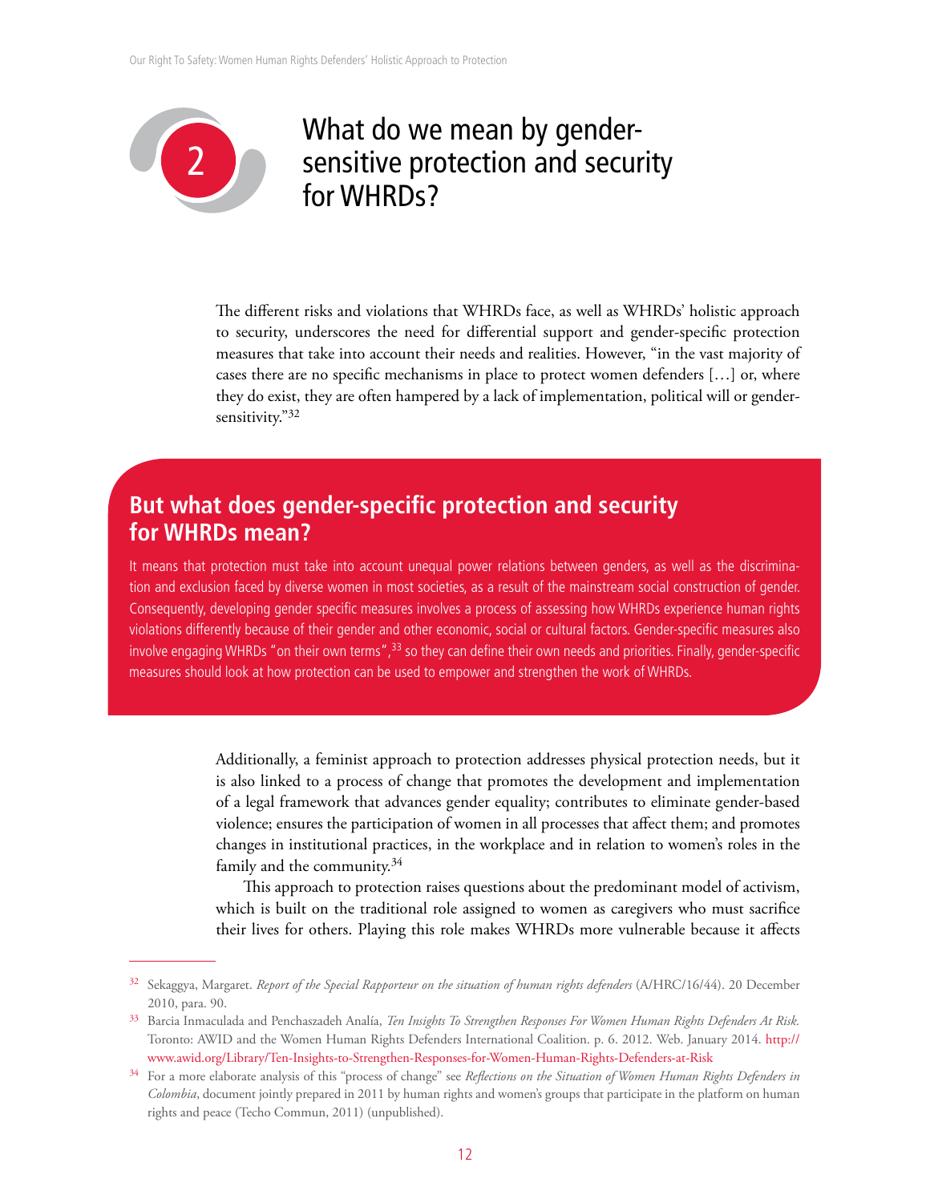

# What do we mean by gendersensitive protection and security for WHRDs?

The different risks and violations that WHRDs face, as well as WHRDs' holistic approach to security, underscores the need for differential support and gender-specific protection measures that take into account their needs and realities. However, "in the vast majority of cases there are no specific mechanisms in place to protect women defenders […] or, where they do exist, they are often hampered by a lack of implementation, political will or gendersensitivity."32

# **But what does gender-specific protection and security for WHRDs mean?**

It means that protection must take into account unequal power relations between genders, as well as the discrimination and exclusion faced by diverse women in most societies, as a result of the mainstream social construction of gender. Consequently, developing gender specific measures involves a process of assessing how WHRDs experience human rights violations differently because of their gender and other economic, social or cultural factors. Gender-specific measures also involve engaging WHRDs "on their own terms",<sup>33</sup> so they can define their own needs and priorities. Finally, gender-specific measures should look at how protection can be used to empower and strengthen the work of WHRDs.

> Additionally, a feminist approach to protection addresses physical protection needs, but it is also linked to a process of change that promotes the development and implementation of a legal framework that advances gender equality; contributes to eliminate gender-based violence; ensures the participation of women in all processes that affect them; and promotes changes in institutional practices, in the workplace and in relation to women's roles in the family and the community.<sup>34</sup>

> This approach to protection raises questions about the predominant model of activism, which is built on the traditional role assigned to women as caregivers who must sacrifice their lives for others. Playing this role makes WHRDs more vulnerable because it affects

<sup>32</sup> Sekaggya, Margaret. *Report of the Special Rapporteur on the situation of human rights defenders* (A/HRC/16/44). 20 December 2010, para. 90.

<sup>33</sup> Barcia Inmaculada and Penchaszadeh Analía, *Ten Insights To Strengthen Responses For Women Human Rights Defenders At Risk.* Toronto: AWID and the Women Human Rights Defenders International Coalition. p. 6. 2012. Web. January 2014. http:// www.awid.org/Library/Ten-Insights-to-Strengthen-Responses-for-Women-Human-Rights-Defenders-at-Risk

<sup>34</sup> For a more elaborate analysis of this "process of change" see *Reflections on the Situation of Women Human Rights Defenders in Colombia*, document jointly prepared in 2011 by human rights and women's groups that participate in the platform on human rights and peace (Techo Commun, 2011) (unpublished).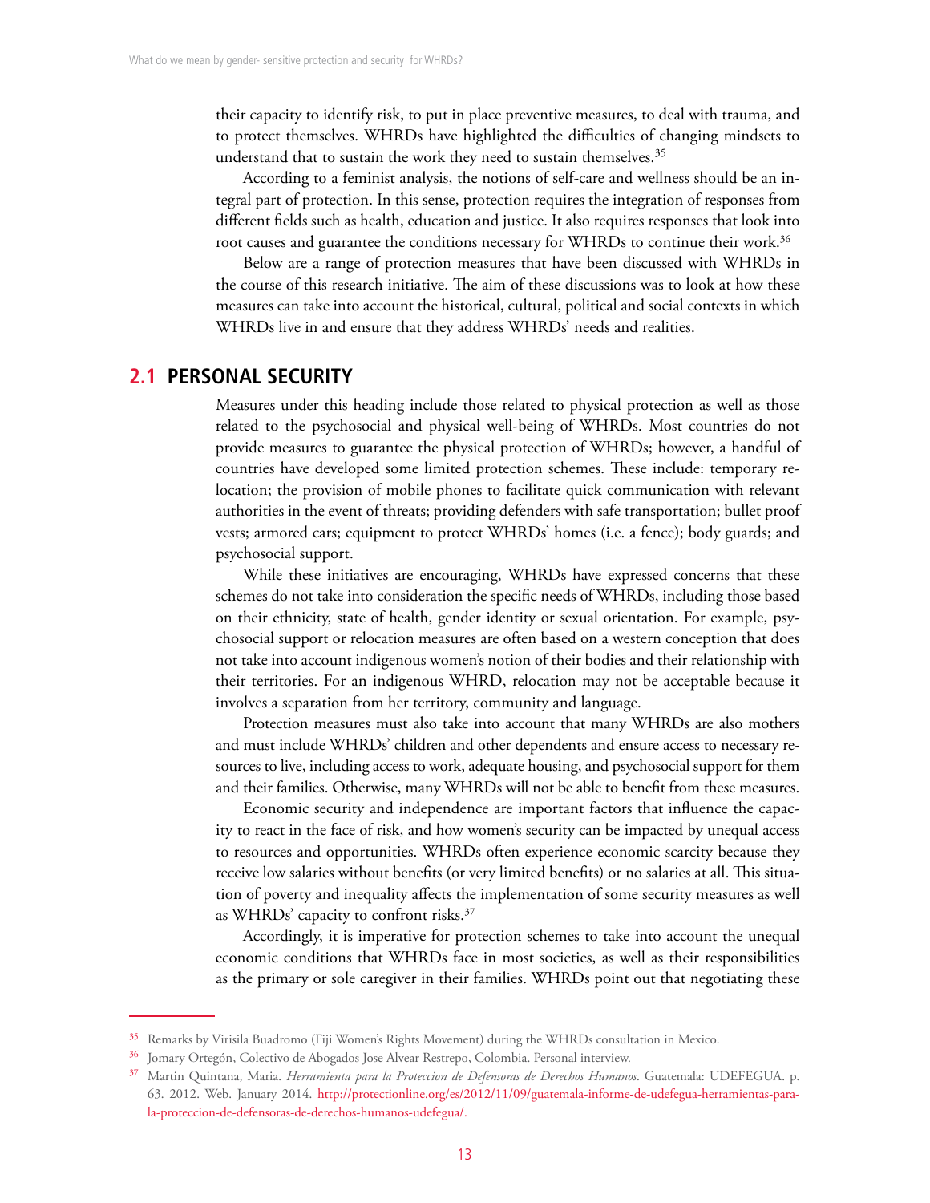their capacity to identify risk, to put in place preventive measures, to deal with trauma, and to protect themselves. WHRDs have highlighted the difficulties of changing mindsets to understand that to sustain the work they need to sustain themselves.<sup>35</sup>

According to a feminist analysis, the notions of self-care and wellness should be an integral part of protection. In this sense, protection requires the integration of responses from different fields such as health, education and justice. It also requires responses that look into root causes and guarantee the conditions necessary for WHRDs to continue their work.<sup>36</sup>

Below are a range of protection measures that have been discussed with WHRDs in the course of this research initiative. The aim of these discussions was to look at how these measures can take into account the historical, cultural, political and social contexts in which WHRDs live in and ensure that they address WHRDs' needs and realities.

#### **2.1 Personal security**

Measures under this heading include those related to physical protection as well as those related to the psychosocial and physical well-being of WHRDs. Most countries do not provide measures to guarantee the physical protection of WHRDs; however, a handful of countries have developed some limited protection schemes. These include: temporary relocation; the provision of mobile phones to facilitate quick communication with relevant authorities in the event of threats; providing defenders with safe transportation; bullet proof vests; armored cars; equipment to protect WHRDs' homes (i.e. a fence); body guards; and psychosocial support.

While these initiatives are encouraging, WHRDs have expressed concerns that these schemes do not take into consideration the specific needs of WHRDs, including those based on their ethnicity, state of health, gender identity or sexual orientation. For example, psychosocial support or relocation measures are often based on a western conception that does not take into account indigenous women's notion of their bodies and their relationship with their territories. For an indigenous WHRD, relocation may not be acceptable because it involves a separation from her territory, community and language.

Protection measures must also take into account that many WHRDs are also mothers and must include WHRDs' children and other dependents and ensure access to necessary resources to live, including access to work, adequate housing, and psychosocial support for them and their families. Otherwise, many WHRDs will not be able to benefit from these measures.

Economic security and independence are important factors that influence the capacity to react in the face of risk, and how women's security can be impacted by unequal access to resources and opportunities. WHRDs often experience economic scarcity because they receive low salaries without benefits (or very limited benefits) or no salaries at all. This situation of poverty and inequality affects the implementation of some security measures as well as WHRDs' capacity to confront risks.37

Accordingly, it is imperative for protection schemes to take into account the unequal economic conditions that WHRDs face in most societies, as well as their responsibilities as the primary or sole caregiver in their families. WHRDs point out that negotiating these

<sup>35</sup> Remarks by Virisila Buadromo (Fiji Women's Rights Movement) during the WHRDs consultation in Mexico.

<sup>&</sup>lt;sup>36</sup> Jomary Ortegón, Colectivo de Abogados Jose Alvear Restrepo, Colombia. Personal interview.

<sup>37</sup> Martin Quintana, Maria. *Herramienta para la Proteccion de Defensoras de Derechos Humanos*. Guatemala: UDEFEGUA. p. 63. 2012. Web. January 2014. http://protectionline.org/es/2012/11/09/guatemala-informe-de-udefegua-herramientas-parala-proteccion-de-defensoras-de-derechos-humanos-udefegua/.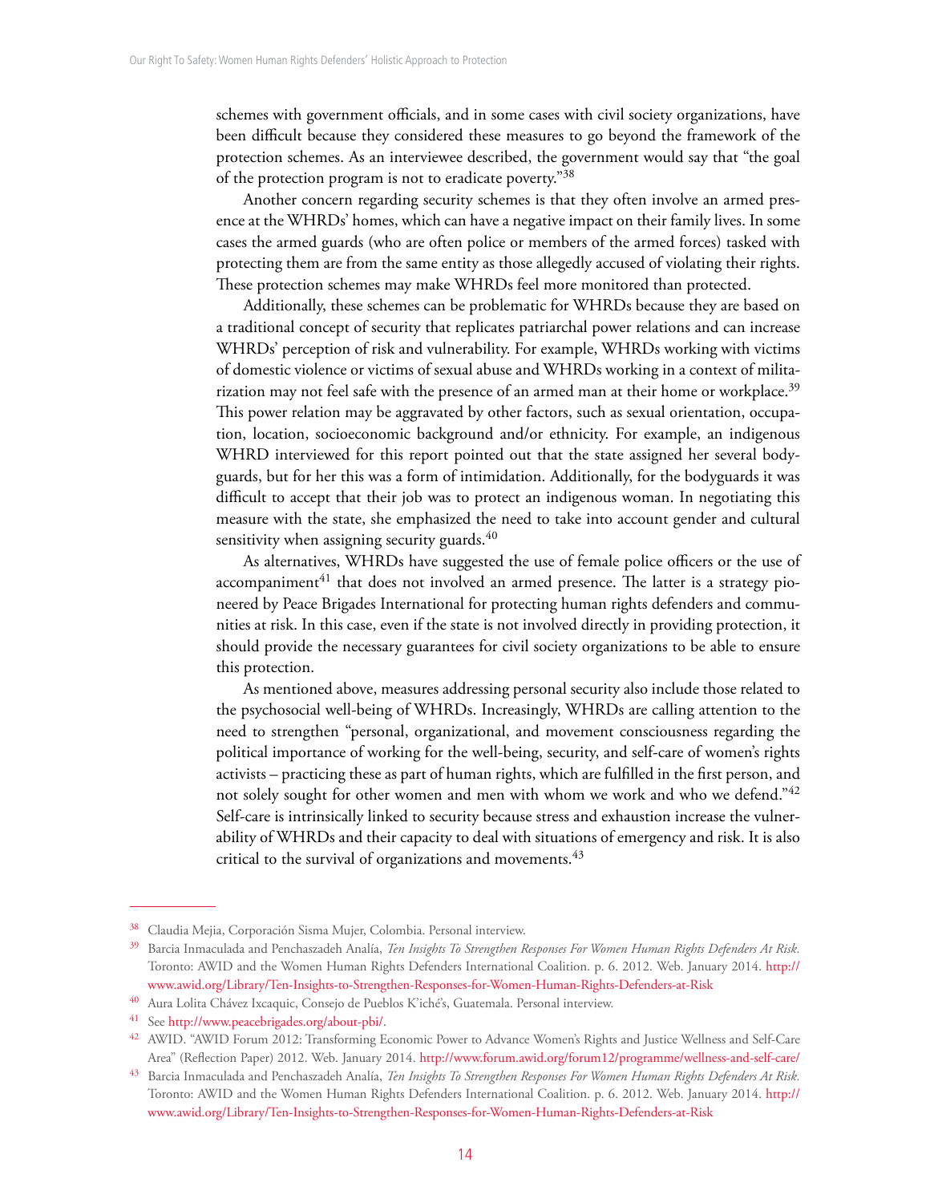schemes with government officials, and in some cases with civil society organizations, have been difficult because they considered these measures to go beyond the framework of the protection schemes. As an interviewee described, the government would say that "the goal of the protection program is not to eradicate poverty."<sup>38</sup>

Another concern regarding security schemes is that they often involve an armed presence at the WHRDs' homes, which can have a negative impact on their family lives. In some cases the armed guards (who are often police or members of the armed forces) tasked with protecting them are from the same entity as those allegedly accused of violating their rights. These protection schemes may make WHRDs feel more monitored than protected.

Additionally, these schemes can be problematic for WHRDs because they are based on a traditional concept of security that replicates patriarchal power relations and can increase WHRDs' perception of risk and vulnerability. For example, WHRDs working with victims of domestic violence or victims of sexual abuse and WHRDs working in a context of militarization may not feel safe with the presence of an armed man at their home or workplace.<sup>39</sup> This power relation may be aggravated by other factors, such as sexual orientation, occupation, location, socioeconomic background and/or ethnicity. For example, an indigenous WHRD interviewed for this report pointed out that the state assigned her several bodyguards, but for her this was a form of intimidation. Additionally, for the bodyguards it was difficult to accept that their job was to protect an indigenous woman. In negotiating this measure with the state, she emphasized the need to take into account gender and cultural sensitivity when assigning security guards. $40$ 

As alternatives, WHRDs have suggested the use of female police officers or the use of accompaniment $41$  that does not involved an armed presence. The latter is a strategy pioneered by Peace Brigades International for protecting human rights defenders and communities at risk. In this case, even if the state is not involved directly in providing protection, it should provide the necessary guarantees for civil society organizations to be able to ensure this protection.

As mentioned above, measures addressing personal security also include those related to the psychosocial well-being of WHRDs. Increasingly, WHRDs are calling attention to the need to strengthen "personal, organizational, and movement consciousness regarding the political importance of working for the well-being, security, and self-care of women's rights activists – practicing these as part of human rights, which are fulfilled in the first person, and not solely sought for other women and men with whom we work and who we defend."<sup>42</sup> Self-care is intrinsically linked to security because stress and exhaustion increase the vulnerability of WHRDs and their capacity to deal with situations of emergency and risk. It is also critical to the survival of organizations and movements. $43$ 

<sup>38</sup> Claudia Mejia, Corporación Sisma Mujer, Colombia. Personal interview.

<sup>39</sup> Barcia Inmaculada and Penchaszadeh Analía, *Ten Insights To Strengthen Responses For Women Human Rights Defenders At Risk.* Toronto: AWID and the Women Human Rights Defenders International Coalition. p. 6. 2012. Web. January 2014. http:// www.awid.org/Library/Ten-Insights-to-Strengthen-Responses-for-Women-Human-Rights-Defenders-at-Risk

<sup>40</sup> Aura Lolita Chávez Ixcaquic, Consejo de Pueblos K'iché's, Guatemala. Personal interview.

<sup>41</sup> See http://www.peacebrigades.org/about-pbi/.

<sup>42</sup> AWID. "AWID Forum 2012: Transforming Economic Power to Advance Women's Rights and Justice Wellness and Self-Care Area" (Reflection Paper) 2012. Web. January 2014. http://www.forum.awid.org/forum12/programme/wellness-and-self-care/

<sup>43</sup> Barcia Inmaculada and Penchaszadeh Analía, *Ten Insights To Strengthen Responses For Women Human Rights Defenders At Risk.* Toronto: AWID and the Women Human Rights Defenders International Coalition. p. 6. 2012. Web. January 2014. http:// www.awid.org/Library/Ten-Insights-to-Strengthen-Responses-for-Women-Human-Rights-Defenders-at-Risk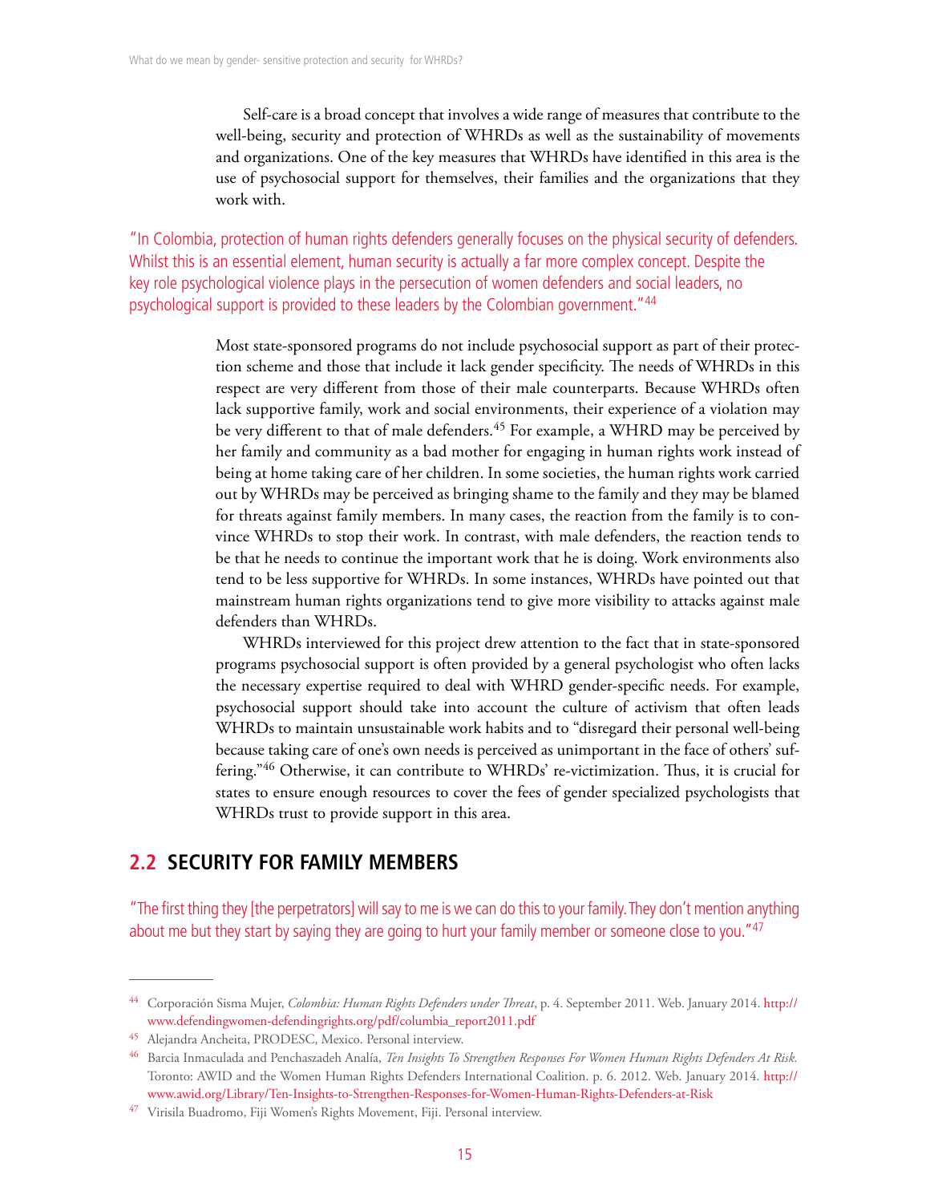Self-care is a broad concept that involves a wide range of measures that contribute to the well-being, security and protection of WHRDs as well as the sustainability of movements and organizations. One of the key measures that WHRDs have identified in this area is the use of psychosocial support for themselves, their families and the organizations that they work with.

"In Colombia, protection of human rights defenders generally focuses on the physical security of defenders. Whilst this is an essential element, human security is actually a far more complex concept. Despite the key role psychological violence plays in the persecution of women defenders and social leaders, no psychological support is provided to these leaders by the Colombian government."44

> Most state-sponsored programs do not include psychosocial support as part of their protection scheme and those that include it lack gender specificity. The needs of WHRDs in this respect are very different from those of their male counterparts. Because WHRDs often lack supportive family, work and social environments, their experience of a violation may be very different to that of male defenders.<sup>45</sup> For example, a WHRD may be perceived by her family and community as a bad mother for engaging in human rights work instead of being at home taking care of her children. In some societies, the human rights work carried out by WHRDs may be perceived as bringing shame to the family and they may be blamed for threats against family members. In many cases, the reaction from the family is to convince WHRDs to stop their work. In contrast, with male defenders, the reaction tends to be that he needs to continue the important work that he is doing. Work environments also tend to be less supportive for WHRDs. In some instances, WHRDs have pointed out that mainstream human rights organizations tend to give more visibility to attacks against male defenders than WHRDs.

> WHRDs interviewed for this project drew attention to the fact that in state-sponsored programs psychosocial support is often provided by a general psychologist who often lacks the necessary expertise required to deal with WHRD gender-specific needs. For example, psychosocial support should take into account the culture of activism that often leads WHRDs to maintain unsustainable work habits and to "disregard their personal well-being because taking care of one's own needs is perceived as unimportant in the face of others' suffering."<sup>46</sup> Otherwise, it can contribute to WHRDs' re-victimization. Thus, it is crucial for states to ensure enough resources to cover the fees of gender specialized psychologists that WHRDs trust to provide support in this area.

### **2.2 Security for family members**

"The first thing they [the perpetrators] will say to me is we can do this to your family. They don't mention anything about me but they start by saying they are going to hurt your family member or someone close to you."47

<sup>44</sup> Corporación Sisma Mujer, *Colombia: Human Rights Defenders under Threat*, p. 4. September 2011. Web. January 2014. http:// www.defendingwomen-defendingrights.org/pdf/columbia\_report2011.pdf

<sup>45</sup> Alejandra Ancheita, PRODESC, Mexico. Personal interview.

<sup>46</sup> Barcia Inmaculada and Penchaszadeh Analía, *Ten Insights To Strengthen Responses For Women Human Rights Defenders At Risk.* Toronto: AWID and the Women Human Rights Defenders International Coalition. p. 6. 2012. Web. January 2014. http:// www.awid.org/Library/Ten-Insights-to-Strengthen-Responses-for-Women-Human-Rights-Defenders-at-Risk

<sup>47</sup> Virisila Buadromo, Fiji Women's Rights Movement, Fiji. Personal interview.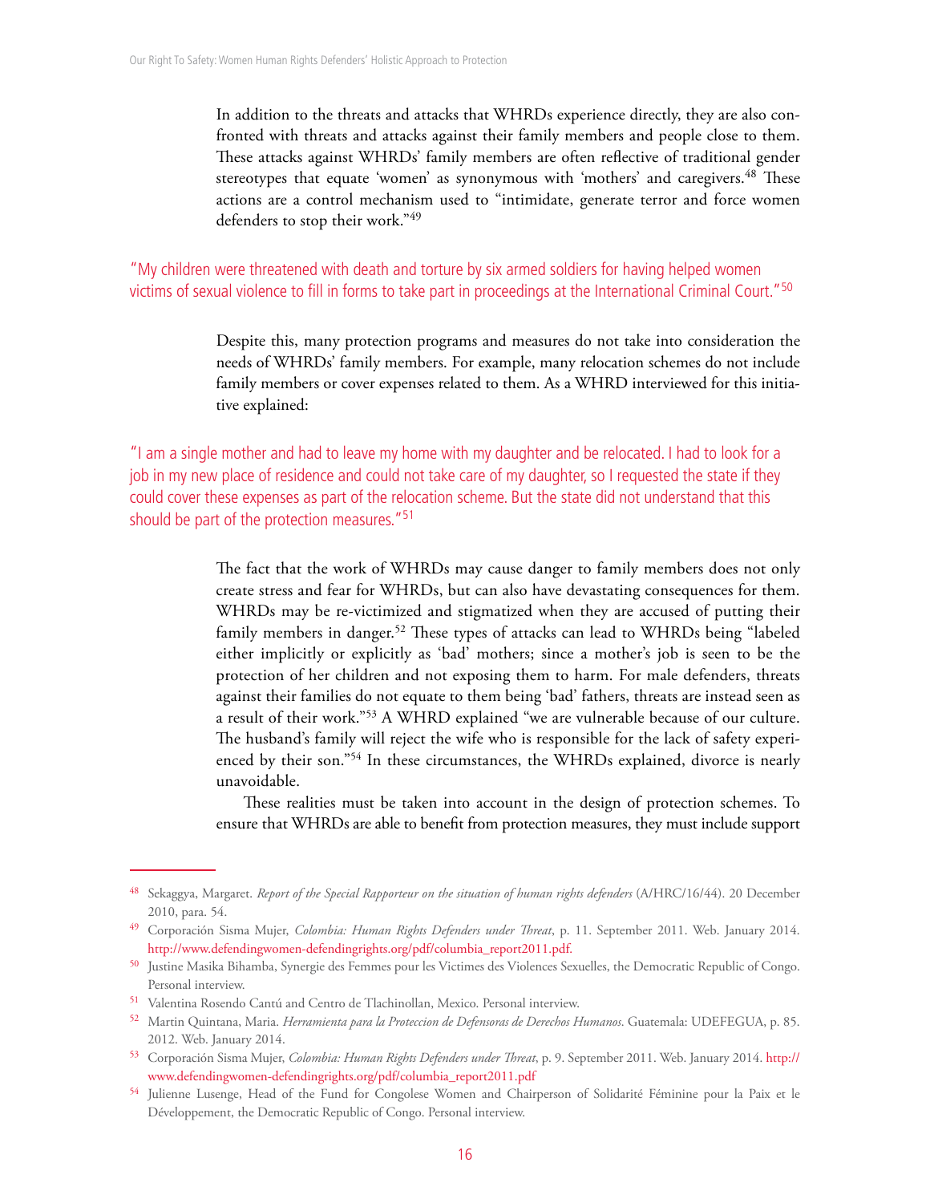In addition to the threats and attacks that WHRDs experience directly, they are also confronted with threats and attacks against their family members and people close to them. These attacks against WHRDs' family members are often reflective of traditional gender stereotypes that equate 'women' as synonymous with 'mothers' and caregivers.<sup>48</sup> These actions are a control mechanism used to "intimidate, generate terror and force women defenders to stop their work."<sup>49</sup>

"My children were threatened with death and torture by six armed soldiers for having helped women victims of sexual violence to fill in forms to take part in proceedings at the International Criminal Court."50

> Despite this, many protection programs and measures do not take into consideration the needs of WHRDs' family members. For example, many relocation schemes do not include family members or cover expenses related to them. As a WHRD interviewed for this initiative explained:

"I am a single mother and had to leave my home with my daughter and be relocated. I had to look for a job in my new place of residence and could not take care of my daughter, so I requested the state if they could cover these expenses as part of the relocation scheme. But the state did not understand that this should be part of the protection measures."51

> The fact that the work of WHRDs may cause danger to family members does not only create stress and fear for WHRDs, but can also have devastating consequences for them. WHRDs may be re-victimized and stigmatized when they are accused of putting their family members in danger.<sup>52</sup> These types of attacks can lead to WHRDs being "labeled either implicitly or explicitly as 'bad' mothers; since a mother's job is seen to be the protection of her children and not exposing them to harm. For male defenders, threats against their families do not equate to them being 'bad' fathers, threats are instead seen as a result of their work."53 A WHRD explained "we are vulnerable because of our culture. The husband's family will reject the wife who is responsible for the lack of safety experienced by their son."54 In these circumstances, the WHRDs explained, divorce is nearly unavoidable.

> These realities must be taken into account in the design of protection schemes. To ensure that WHRDs are able to benefit from protection measures, they must include support

<sup>48</sup> Sekaggya, Margaret. *Report of the Special Rapporteur on the situation of human rights defenders* (A/HRC/16/44). 20 December 2010, para. 54.

<sup>49</sup> Corporación Sisma Mujer, *Colombia: Human Rights Defenders under Threat*, p. 11. September 2011. Web. January 2014. http://www.defendingwomen-defendingrights.org/pdf/columbia\_report2011.pdf.

<sup>50</sup> Justine Masika Bihamba, Synergie des Femmes pour les Victimes des Violences Sexuelles, the Democratic Republic of Congo. Personal interview.

<sup>51</sup> Valentina Rosendo Cantú and Centro de Tlachinollan, Mexico. Personal interview.

<sup>52</sup> Martin Quintana, Maria. *Herramienta para la Proteccion de Defensoras de Derechos Humanos*. Guatemala: UDEFEGUA, p. 85. 2012. Web. January 2014.

<sup>53</sup> Corporación Sisma Mujer, *Colombia: Human Rights Defenders under Threat*, p. 9. September 2011. Web. January 2014. http:// www.defendingwomen-defendingrights.org/pdf/columbia\_report2011.pdf

<sup>54</sup> Julienne Lusenge, Head of the Fund for Congolese Women and Chairperson of Solidarité Féminine pour la Paix et le Développement, the Democratic Republic of Congo. Personal interview.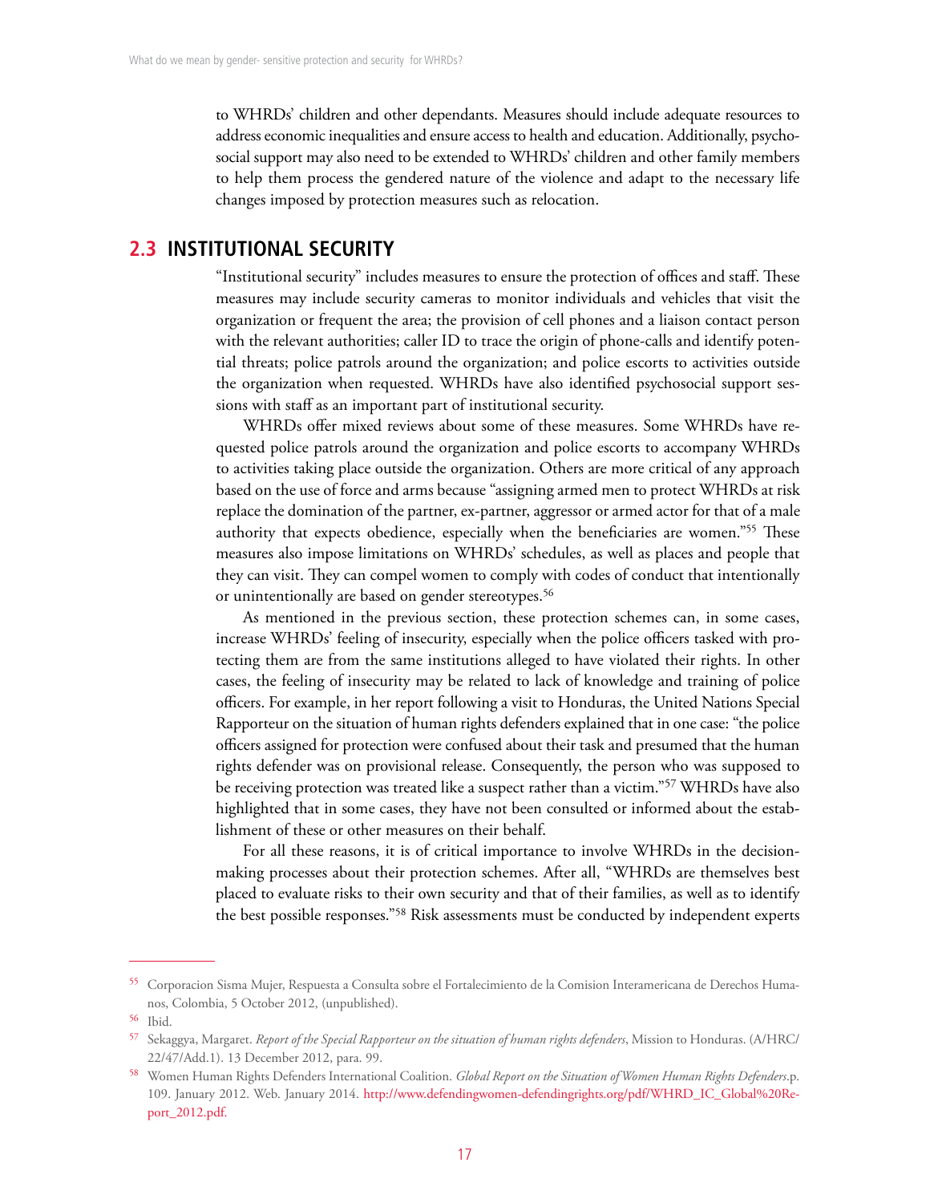to WHRDs' children and other dependants. Measures should include adequate resources to address economic inequalities and ensure access to health and education. Additionally, psychosocial support may also need to be extended to WHRDs' children and other family members to help them process the gendered nature of the violence and adapt to the necessary life changes imposed by protection measures such as relocation.

### **2.3 Institutional security**

"Institutional security" includes measures to ensure the protection of offices and staff. These measures may include security cameras to monitor individuals and vehicles that visit the organization or frequent the area; the provision of cell phones and a liaison contact person with the relevant authorities; caller ID to trace the origin of phone-calls and identify potential threats; police patrols around the organization; and police escorts to activities outside the organization when requested. WHRDs have also identified psychosocial support sessions with staff as an important part of institutional security.

WHRDs offer mixed reviews about some of these measures. Some WHRDs have requested police patrols around the organization and police escorts to accompany WHRDs to activities taking place outside the organization. Others are more critical of any approach based on the use of force and arms because "assigning armed men to protect WHRDs at risk replace the domination of the partner, ex-partner, aggressor or armed actor for that of a male authority that expects obedience, especially when the beneficiaries are women."55 These measures also impose limitations on WHRDs' schedules, as well as places and people that they can visit. They can compel women to comply with codes of conduct that intentionally or unintentionally are based on gender stereotypes.<sup>56</sup>

As mentioned in the previous section, these protection schemes can, in some cases, increase WHRDs' feeling of insecurity, especially when the police officers tasked with protecting them are from the same institutions alleged to have violated their rights. In other cases, the feeling of insecurity may be related to lack of knowledge and training of police officers. For example, in her report following a visit to Honduras, the United Nations Special Rapporteur on the situation of human rights defenders explained that in one case: "the police officers assigned for protection were confused about their task and presumed that the human rights defender was on provisional release. Consequently, the person who was supposed to be receiving protection was treated like a suspect rather than a victim."<sup>57</sup> WHRDs have also highlighted that in some cases, they have not been consulted or informed about the establishment of these or other measures on their behalf.

For all these reasons, it is of critical importance to involve WHRDs in the decisionmaking processes about their protection schemes. After all, "WHRDs are themselves best placed to evaluate risks to their own security and that of their families, as well as to identify the best possible responses."<sup>58</sup> Risk assessments must be conducted by independent experts

<sup>55</sup> Corporacion Sisma Mujer, Respuesta a Consulta sobre el Fortalecimiento de la Comision Interamericana de Derechos Humanos, Colombia, 5 October 2012, (unpublished).

<sup>56</sup> Ibid.

<sup>57</sup> Sekaggya, Margaret. *Report of the Special Rapporteur on the situation of human rights defenders*, Mission to Honduras. (A/HRC/ 22/47/Add.1). 13 December 2012, para. 99.

<sup>58</sup> Women Human Rights Defenders International Coalition. *Global Report on the Situation of Women Human Rights Defenders*.p. 109. January 2012. Web. January 2014. http://www.defendingwomen-defendingrights.org/pdf/WHRD\_IC\_Global%20Report\_2012.pdf.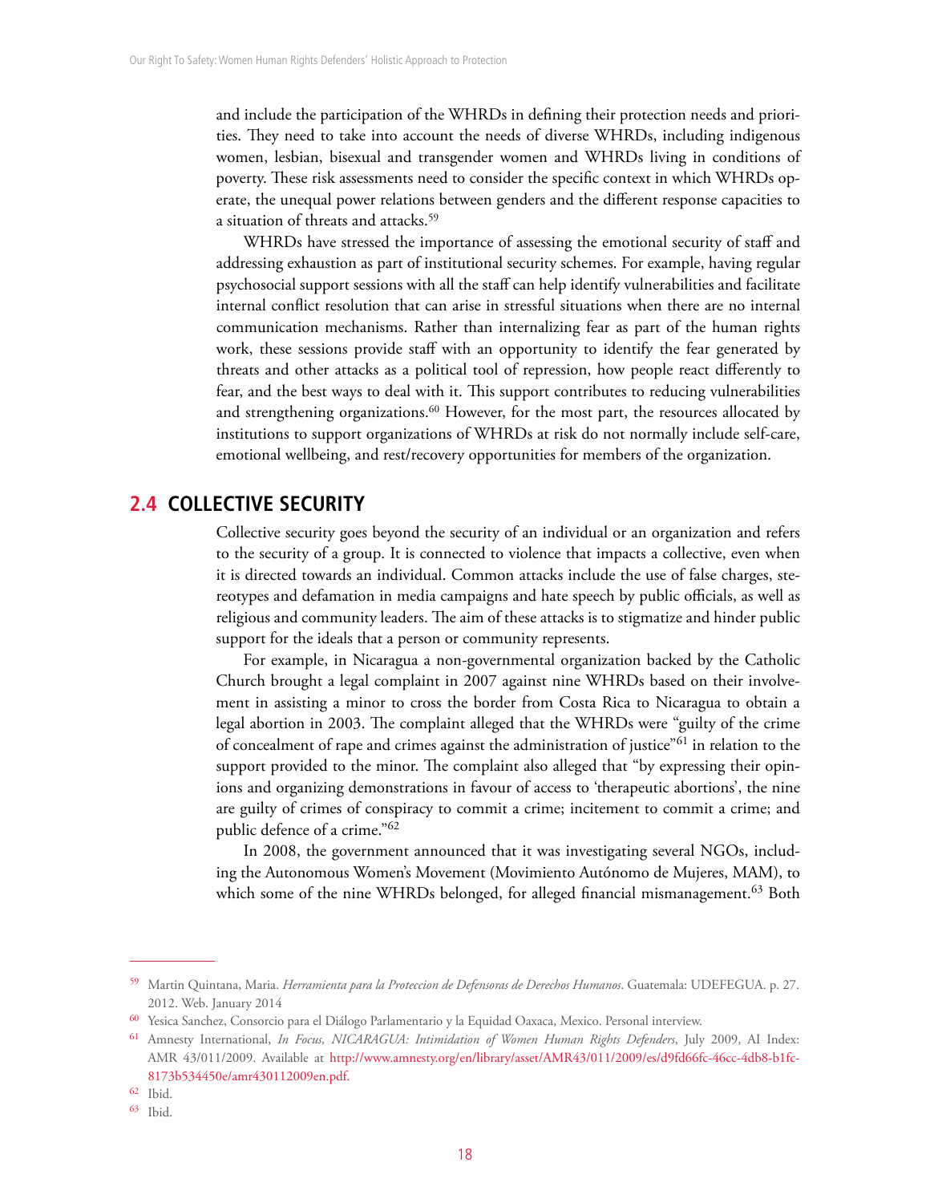and include the participation of the WHRDs in defining their protection needs and priorities. They need to take into account the needs of diverse WHRDs, including indigenous women, lesbian, bisexual and transgender women and WHRDs living in conditions of poverty. These risk assessments need to consider the specific context in which WHRDs operate, the unequal power relations between genders and the different response capacities to a situation of threats and attacks.59

WHRDs have stressed the importance of assessing the emotional security of staff and addressing exhaustion as part of institutional security schemes. For example, having regular psychosocial support sessions with all the staff can help identify vulnerabilities and facilitate internal conflict resolution that can arise in stressful situations when there are no internal communication mechanisms. Rather than internalizing fear as part of the human rights work, these sessions provide staff with an opportunity to identify the fear generated by threats and other attacks as a political tool of repression, how people react differently to fear, and the best ways to deal with it. This support contributes to reducing vulnerabilities and strengthening organizations. $60$  However, for the most part, the resources allocated by institutions to support organizations of WHRDs at risk do not normally include self-care, emotional wellbeing, and rest/recovery opportunities for members of the organization.

### **2.4 Collective security**

Collective security goes beyond the security of an individual or an organization and refers to the security of a group. It is connected to violence that impacts a collective, even when it is directed towards an individual. Common attacks include the use of false charges, stereotypes and defamation in media campaigns and hate speech by public officials, as well as religious and community leaders. The aim of these attacks is to stigmatize and hinder public support for the ideals that a person or community represents.

For example, in Nicaragua a non-governmental organization backed by the Catholic Church brought a legal complaint in 2007 against nine WHRDs based on their involvement in assisting a minor to cross the border from Costa Rica to Nicaragua to obtain a legal abortion in 2003. The complaint alleged that the WHRDs were "guilty of the crime of concealment of rape and crimes against the administration of justice"<sup>61</sup> in relation to the support provided to the minor. The complaint also alleged that "by expressing their opinions and organizing demonstrations in favour of access to 'therapeutic abortions', the nine are guilty of crimes of conspiracy to commit a crime; incitement to commit a crime; and public defence of a crime."<sup>62</sup>

In 2008, the government announced that it was investigating several NGOs, including the Autonomous Women's Movement (Movimiento Autónomo de Mujeres, MAM), to which some of the nine WHRDs belonged, for alleged financial mismanagement.<sup>63</sup> Both

<sup>59</sup> Martin Quintana, Maria. *Herramienta para la Proteccion de Defensoras de Derechos Humanos*. Guatemala: UDEFEGUA. p. 27. 2012. Web. January 2014

<sup>60</sup> Yesica Sanchez, Consorcio para el Diálogo Parlamentario y la Equidad Oaxaca, Mexico. Personal interview.

<sup>61</sup> Amnesty International, *In Focus, NICARAGUA: Intimidation of Women Human Rights Defenders*, July 2009, AI Index: AMR 43/011/2009. Available at http://www.amnesty.org/en/library/asset/AMR43/011/2009/es/d9fd66fc-46cc-4db8-b1fc-8173b534450e/amr430112009en.pdf.

<sup>62</sup> Ibid.

<sup>63</sup> Ibid.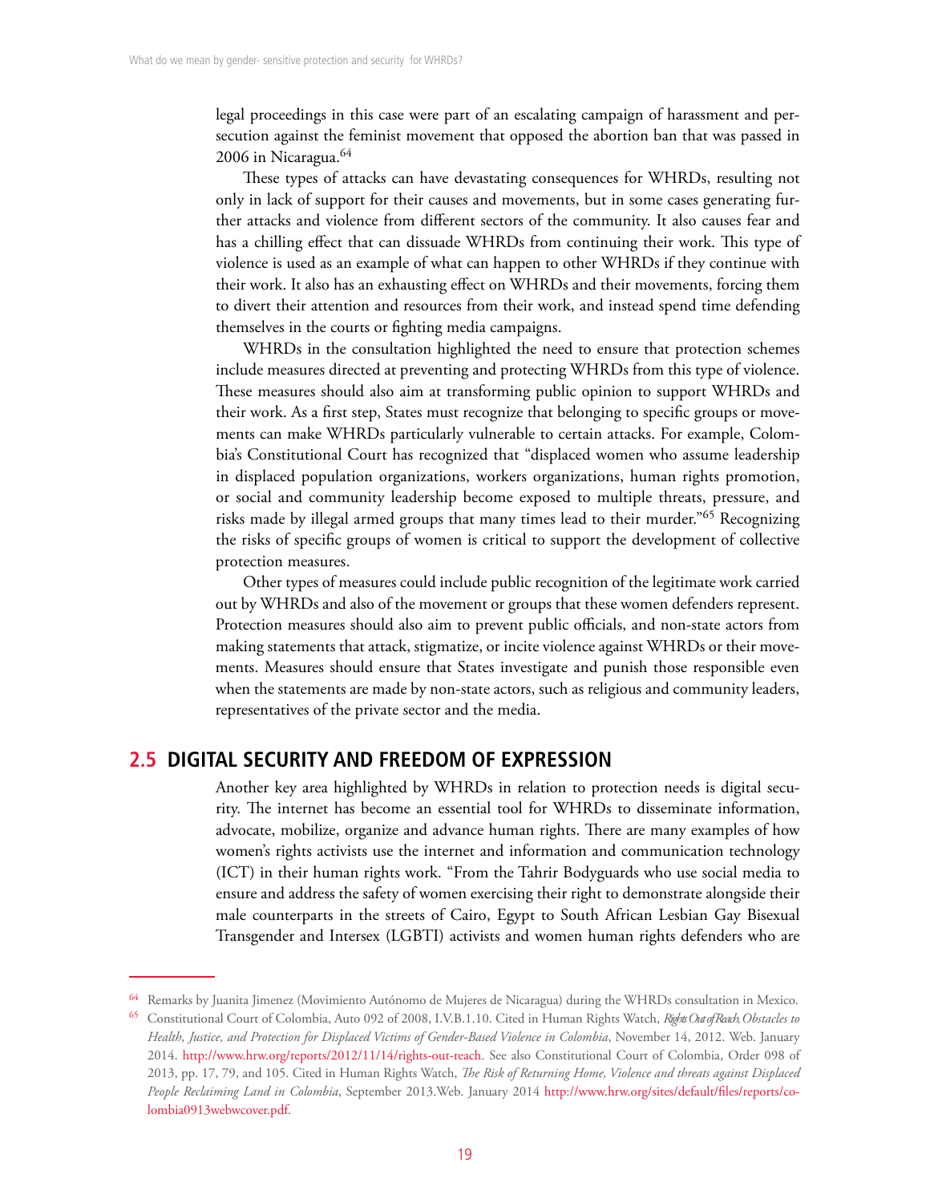legal proceedings in this case were part of an escalating campaign of harassment and persecution against the feminist movement that opposed the abortion ban that was passed in 2006 in Nicaragua.<sup>64</sup>

These types of attacks can have devastating consequences for WHRDs, resulting not only in lack of support for their causes and movements, but in some cases generating further attacks and violence from different sectors of the community. It also causes fear and has a chilling effect that can dissuade WHRDs from continuing their work. This type of violence is used as an example of what can happen to other WHRDs if they continue with their work. It also has an exhausting effect on WHRDs and their movements, forcing them to divert their attention and resources from their work, and instead spend time defending themselves in the courts or fighting media campaigns.

WHRDs in the consultation highlighted the need to ensure that protection schemes include measures directed at preventing and protecting WHRDs from this type of violence. These measures should also aim at transforming public opinion to support WHRDs and their work. As a first step, States must recognize that belonging to specific groups or movements can make WHRDs particularly vulnerable to certain attacks. For example, Colombia's Constitutional Court has recognized that "displaced women who assume leadership in displaced population organizations, workers organizations, human rights promotion, or social and community leadership become exposed to multiple threats, pressure, and risks made by illegal armed groups that many times lead to their murder."<sup>65</sup> Recognizing the risks of specific groups of women is critical to support the development of collective protection measures.

Other types of measures could include public recognition of the legitimate work carried out by WHRDs and also of the movement or groups that these women defenders represent. Protection measures should also aim to prevent public officials, and non-state actors from making statements that attack, stigmatize, or incite violence against WHRDs or their movements. Measures should ensure that States investigate and punish those responsible even when the statements are made by non-state actors, such as religious and community leaders, representatives of the private sector and the media.

### **2.5 Digital security and freedom of expression**

Another key area highlighted by WHRDs in relation to protection needs is digital security. The internet has become an essential tool for WHRDs to disseminate information, advocate, mobilize, organize and advance human rights. There are many examples of how women's rights activists use the internet and information and communication technology (ICT) in their human rights work. "From the Tahrir Bodyguards who use social media to ensure and address the safety of women exercising their right to demonstrate alongside their male counterparts in the streets of Cairo, Egypt to South African Lesbian Gay Bisexual Transgender and Intersex (LGBTI) activists and women human rights defenders who are

<sup>64</sup> Remarks by Juanita Jimenez (Movimiento Autónomo de Mujeres de Nicaragua) during the WHRDs consultation in Mexico.

<sup>65</sup> Constitutional Court of Colombia, Auto 092 of 2008, I.V.B.1.10. Cited in Human Rights Watch, *Rights Out of Reach, Obstacles to Health, Justice, and Protection for Displaced Victims of Gender-Based Violence in Colombia*, November 14, 2012. Web. January 2014. http://www.hrw.org/reports/2012/11/14/rights-out-reach. See also Constitutional Court of Colombia, Order 098 of 2013, pp. 17, 79, and 105. Cited in Human Rights Watch, *The Risk of Returning Home, Violence and threats against Displaced People Reclaiming Land in Colombia*, September 2013.Web. January 2014 http://www.hrw.org/sites/default/files/reports/colombia0913webwcover.pdf.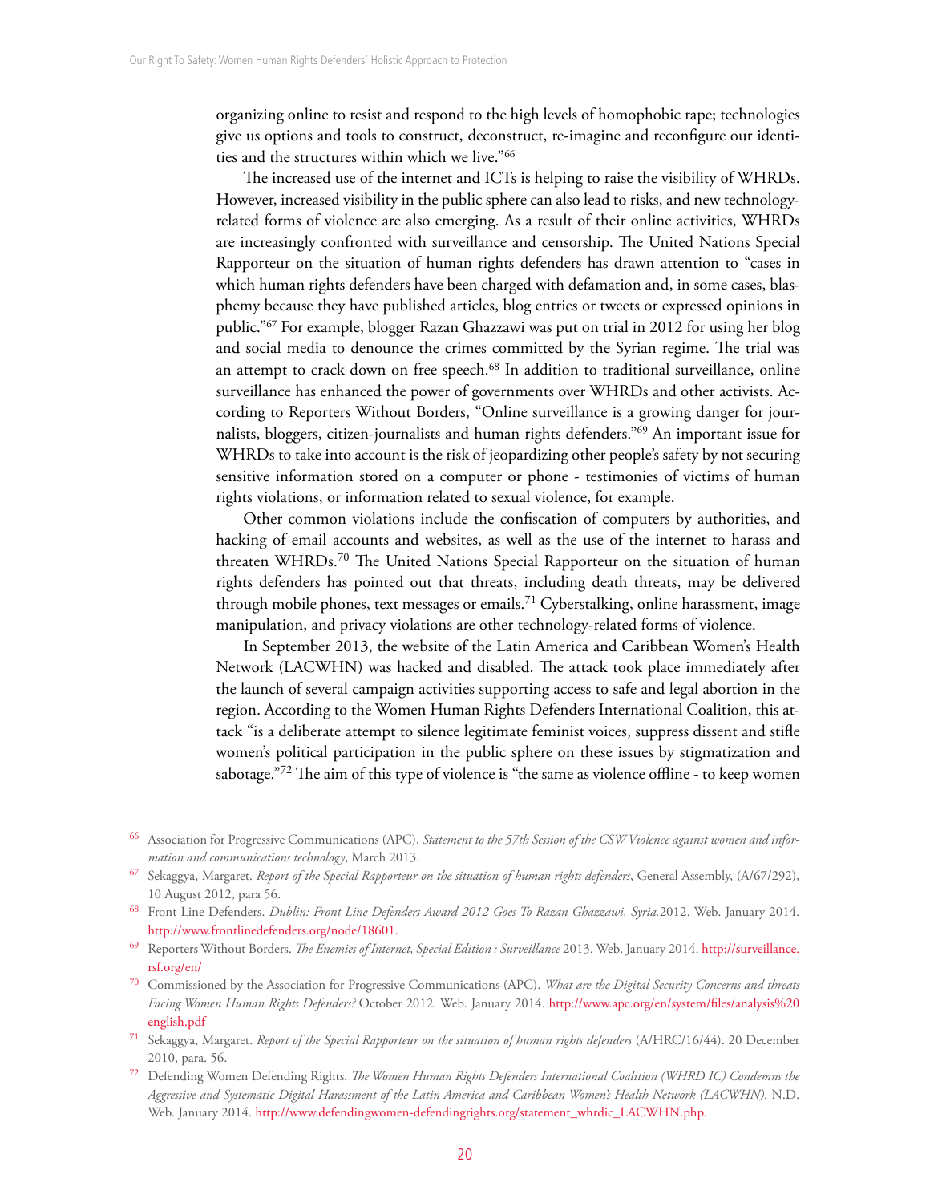organizing online to resist and respond to the high levels of homophobic rape; technologies give us options and tools to construct, deconstruct, re-imagine and reconfigure our identities and the structures within which we live."66

The increased use of the internet and ICTs is helping to raise the visibility of WHRDs. However, increased visibility in the public sphere can also lead to risks, and new technologyrelated forms of violence are also emerging. As a result of their online activities, WHRDs are increasingly confronted with surveillance and censorship. The United Nations Special Rapporteur on the situation of human rights defenders has drawn attention to "cases in which human rights defenders have been charged with defamation and, in some cases, blasphemy because they have published articles, blog entries or tweets or expressed opinions in public."67 For example, blogger Razan Ghazzawi was put on trial in 2012 for using her blog and social media to denounce the crimes committed by the Syrian regime. The trial was an attempt to crack down on free speech.<sup>68</sup> In addition to traditional surveillance, online surveillance has enhanced the power of governments over WHRDs and other activists. According to Reporters Without Borders, "Online surveillance is a growing danger for journalists, bloggers, citizen-journalists and human rights defenders."69 An important issue for WHRDs to take into account is the risk of jeopardizing other people's safety by not securing sensitive information stored on a computer or phone - testimonies of victims of human rights violations, or information related to sexual violence, for example.

Other common violations include the confiscation of computers by authorities, and hacking of email accounts and websites, as well as the use of the internet to harass and threaten WHRDs.<sup>70</sup> The United Nations Special Rapporteur on the situation of human rights defenders has pointed out that threats, including death threats, may be delivered through mobile phones, text messages or emails.<sup>71</sup> Cyberstalking, online harassment, image manipulation, and privacy violations are other technology-related forms of violence.

In September 2013, the website of the Latin America and Caribbean Women's Health Network (LACWHN) was hacked and disabled. The attack took place immediately after the launch of several campaign activities supporting access to safe and legal abortion in the region. According to the Women Human Rights Defenders International Coalition, this attack "is a deliberate attempt to silence legitimate feminist voices, suppress dissent and stifle women's political participation in the public sphere on these issues by stigmatization and sabotage."<sup>72</sup> The aim of this type of violence is "the same as violence offline - to keep women

<sup>66</sup> Association for Progressive Communications (APC), *Statement to the 57th Session of the CSW Violence against women and information and communications technology*, March 2013.

<sup>67</sup> Sekaggya, Margaret. *Report of the Special Rapporteur on the situation of human rights defenders*, General Assembly, (A/67/292), 10 August 2012, para 56.

<sup>68</sup> Front Line Defenders. *Dublin: Front Line Defenders Award 2012 Goes To Razan Ghazzawi, Syria.*2012. Web. January 2014. http://www.frontlinedefenders.org/node/18601.

<sup>69</sup> Reporters Without Borders. *The Enemies of Internet, Special Edition : Surveillance* 2013. Web. January 2014. http://surveillance. rsf.org/en/

<sup>70</sup> Commissioned by the Association for Progressive Communications (APC). *What are the Digital Security Concerns and threats Facing Women Human Rights Defenders?* October 2012. Web. January 2014. http://www.apc.org/en/system/files/analysis%20 english.pdf

<sup>71</sup> Sekaggya, Margaret. *Report of the Special Rapporteur on the situation of human rights defenders* (A/HRC/16/44). 20 December 2010, para. 56.

<sup>72</sup> Defending Women Defending Rights. *The Women Human Rights Defenders International Coalition (WHRD IC) Condemns the Aggressive and Systematic Digital Harassment of the Latin America and Caribbean Women's Health Network (LACWHN).* N.D. Web. January 2014. http://www.defendingwomen-defendingrights.org/statement\_whrdic\_LACWHN.php.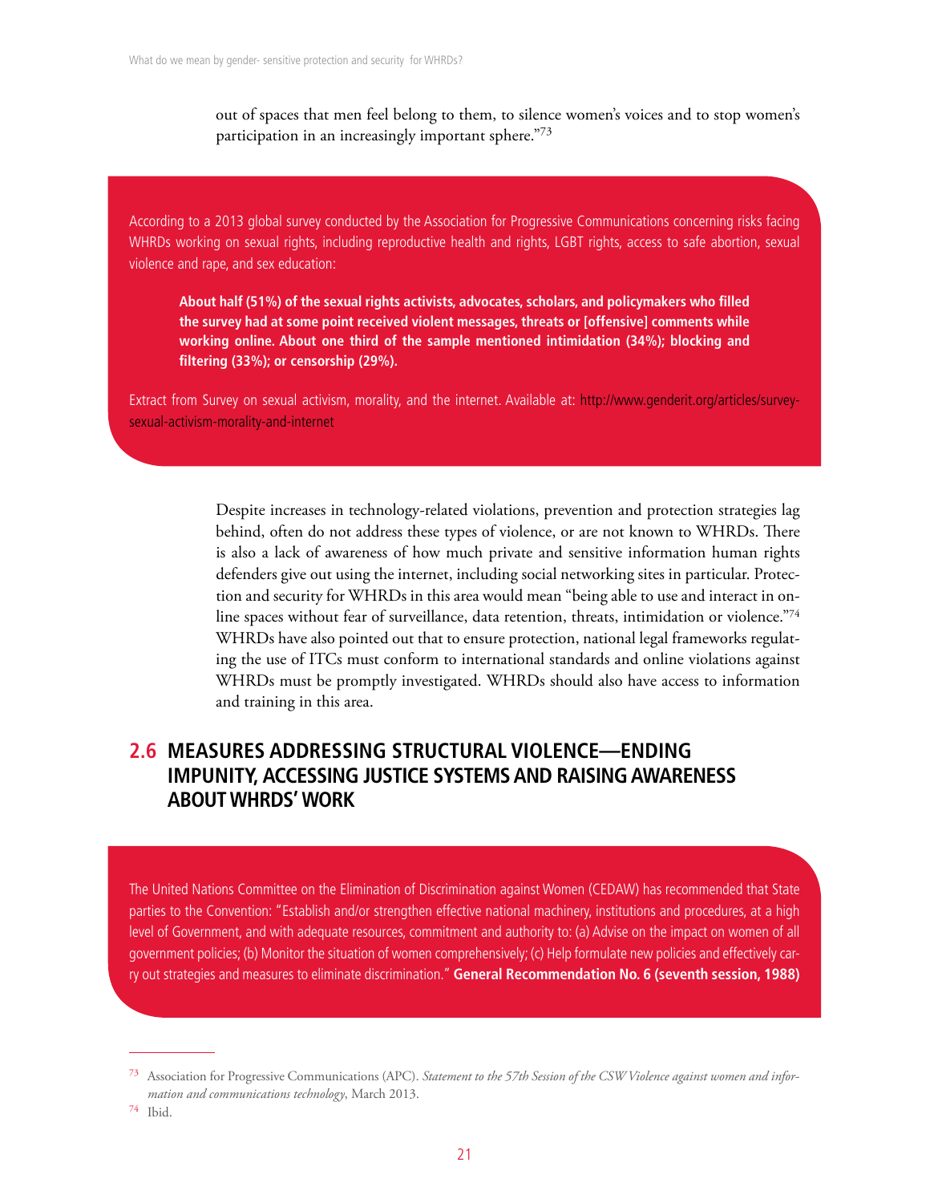out of spaces that men feel belong to them, to silence women's voices and to stop women's participation in an increasingly important sphere."<sup>73</sup>

According to a 2013 global survey conducted by the Association for Progressive Communications concerning risks facing WHRDs working on sexual rights, including reproductive health and rights, LGBT rights, access to safe abortion, sexual violence and rape, and sex education:

**About half (51%) of the sexual rights activists, advocates, scholars, and policymakers who filled the survey had at some point received violent messages, threats or [offensive] comments while working online. About one third of the sample mentioned intimidation (34%); blocking and filtering (33%); or censorship (29%).**

Extract from Survey on sexual activism, morality, and the internet. Available at: http://www.genderit.org/articles/surveysexual-activism-morality-and-internet

> Despite increases in technology-related violations, prevention and protection strategies lag behind, often do not address these types of violence, or are not known to WHRDs. There is also a lack of awareness of how much private and sensitive information human rights defenders give out using the internet, including social networking sites in particular. Protection and security for WHRDs in this area would mean "being able to use and interact in online spaces without fear of surveillance, data retention, threats, intimidation or violence."74 WHRDs have also pointed out that to ensure protection, national legal frameworks regulating the use of ITCs must conform to international standards and online violations against WHRDs must be promptly investigated. WHRDs should also have access to information and training in this area.

### **2.6 Measures addressing structural violence—ending impunity, accessing justice systemsand raisingawareness about WHRDs' work**

The United Nations Committee on the Elimination of Discrimination against Women (CEDAW) has recommended that State parties to the Convention: "Establish and/or strengthen effective national machinery, institutions and procedures, at a high level of Government, and with adequate resources, commitment and authority to: (a) Advise on the impact on women of all government policies; (b) Monitor the situation of women comprehensively; (c) Help formulate new policies and effectively carry out strategies and measures to eliminate discrimination." **General Recommendation No. 6 (seventh session, 1988)**

<sup>73</sup> Association for Progressive Communications (APC). *Statement to the 57th Session of the CSW Violence against women and information and communications technology*, March 2013.

<sup>74</sup> Ibid.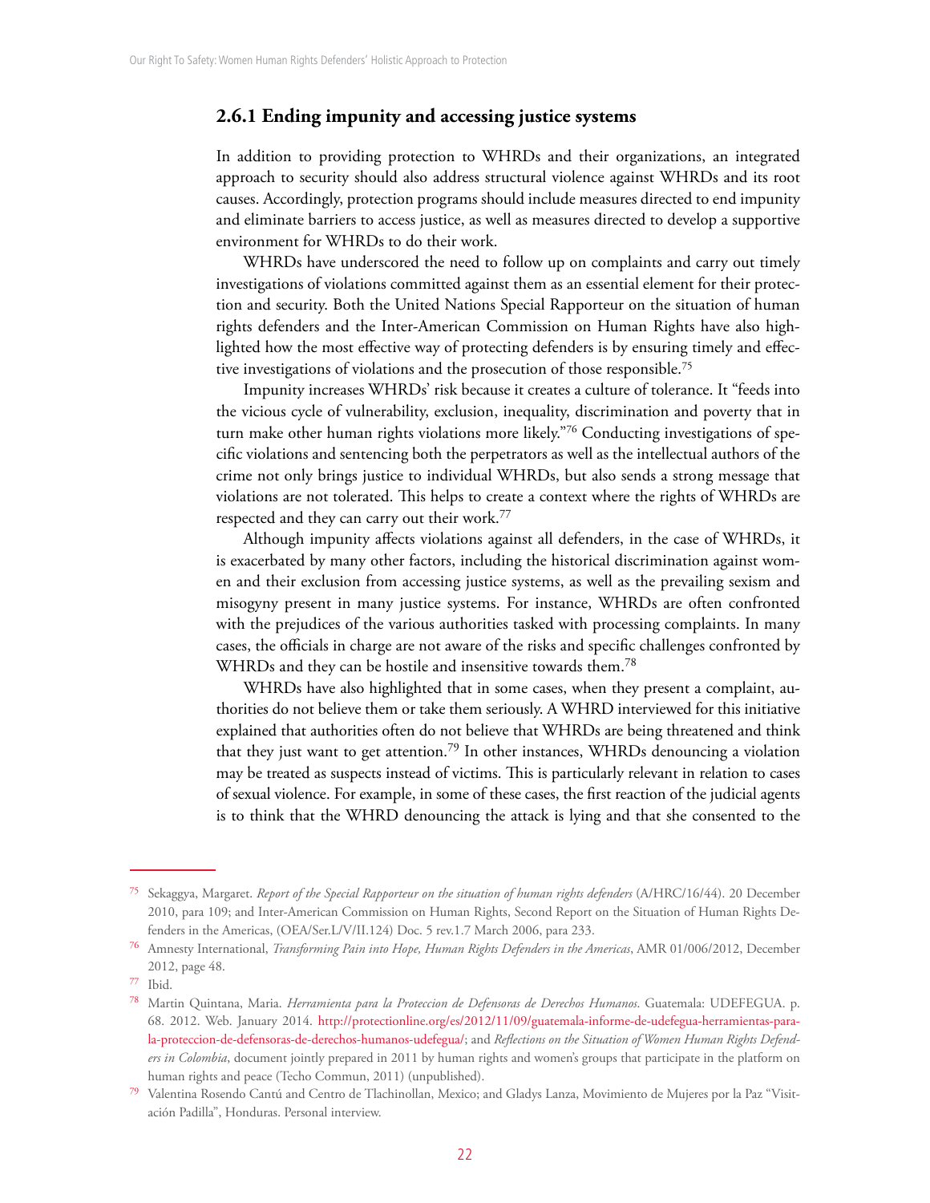#### **2.6.1 Ending impunity and accessing justice systems**

In addition to providing protection to WHRDs and their organizations, an integrated approach to security should also address structural violence against WHRDs and its root causes. Accordingly, protection programs should include measures directed to end impunity and eliminate barriers to access justice, as well as measures directed to develop a supportive environment for WHRDs to do their work.

WHRDs have underscored the need to follow up on complaints and carry out timely investigations of violations committed against them as an essential element for their protection and security. Both the United Nations Special Rapporteur on the situation of human rights defenders and the Inter-American Commission on Human Rights have also highlighted how the most effective way of protecting defenders is by ensuring timely and effective investigations of violations and the prosecution of those responsible.75

Impunity increases WHRDs' risk because it creates a culture of tolerance. It "feeds into the vicious cycle of vulnerability, exclusion, inequality, discrimination and poverty that in turn make other human rights violations more likely."76 Conducting investigations of specific violations and sentencing both the perpetrators as well as the intellectual authors of the crime not only brings justice to individual WHRDs, but also sends a strong message that violations are not tolerated. This helps to create a context where the rights of WHRDs are respected and they can carry out their work.<sup>77</sup>

Although impunity affects violations against all defenders, in the case of WHRDs, it is exacerbated by many other factors, including the historical discrimination against women and their exclusion from accessing justice systems, as well as the prevailing sexism and misogyny present in many justice systems. For instance, WHRDs are often confronted with the prejudices of the various authorities tasked with processing complaints. In many cases, the officials in charge are not aware of the risks and specific challenges confronted by WHRDs and they can be hostile and insensitive towards them.<sup>78</sup>

WHRDs have also highlighted that in some cases, when they present a complaint, authorities do not believe them or take them seriously. A WHRD interviewed for this initiative explained that authorities often do not believe that WHRDs are being threatened and think that they just want to get attention.<sup>79</sup> In other instances, WHRDs denouncing a violation may be treated as suspects instead of victims. This is particularly relevant in relation to cases of sexual violence. For example, in some of these cases, the first reaction of the judicial agents is to think that the WHRD denouncing the attack is lying and that she consented to the

<sup>75</sup> Sekaggya, Margaret. *Report of the Special Rapporteur on the situation of human rights defenders* (A/HRC/16/44). 20 December 2010, para 109; and Inter-American Commission on Human Rights, Second Report on the Situation of Human Rights Defenders in the Americas, (OEA/Ser.L/V/II.124) Doc. 5 rev.1.7 March 2006, para 233.

<sup>76</sup> Amnesty International, *Transforming Pain into Hope, Human Rights Defenders in the Americas*, AMR 01/006/2012, December 2012, page 48.

<sup>77</sup> Ibid.

<sup>78</sup> Martin Quintana, Maria. *Herramienta para la Proteccion de Defensoras de Derechos Humanos*. Guatemala: UDEFEGUA. p. 68. 2012. Web. January 2014. http://protectionline.org/es/2012/11/09/guatemala-informe-de-udefegua-herramientas-parala-proteccion-de-defensoras-de-derechos-humanos-udefegua/; and *Reflections on the Situation of Women Human Rights Defenders in Colombia*, document jointly prepared in 2011 by human rights and women's groups that participate in the platform on human rights and peace (Techo Commun, 2011) (unpublished).

<sup>79</sup> Valentina Rosendo Cantú and Centro de Tlachinollan, Mexico; and Gladys Lanza, Movimiento de Mujeres por la Paz "Visitación Padilla", Honduras. Personal interview.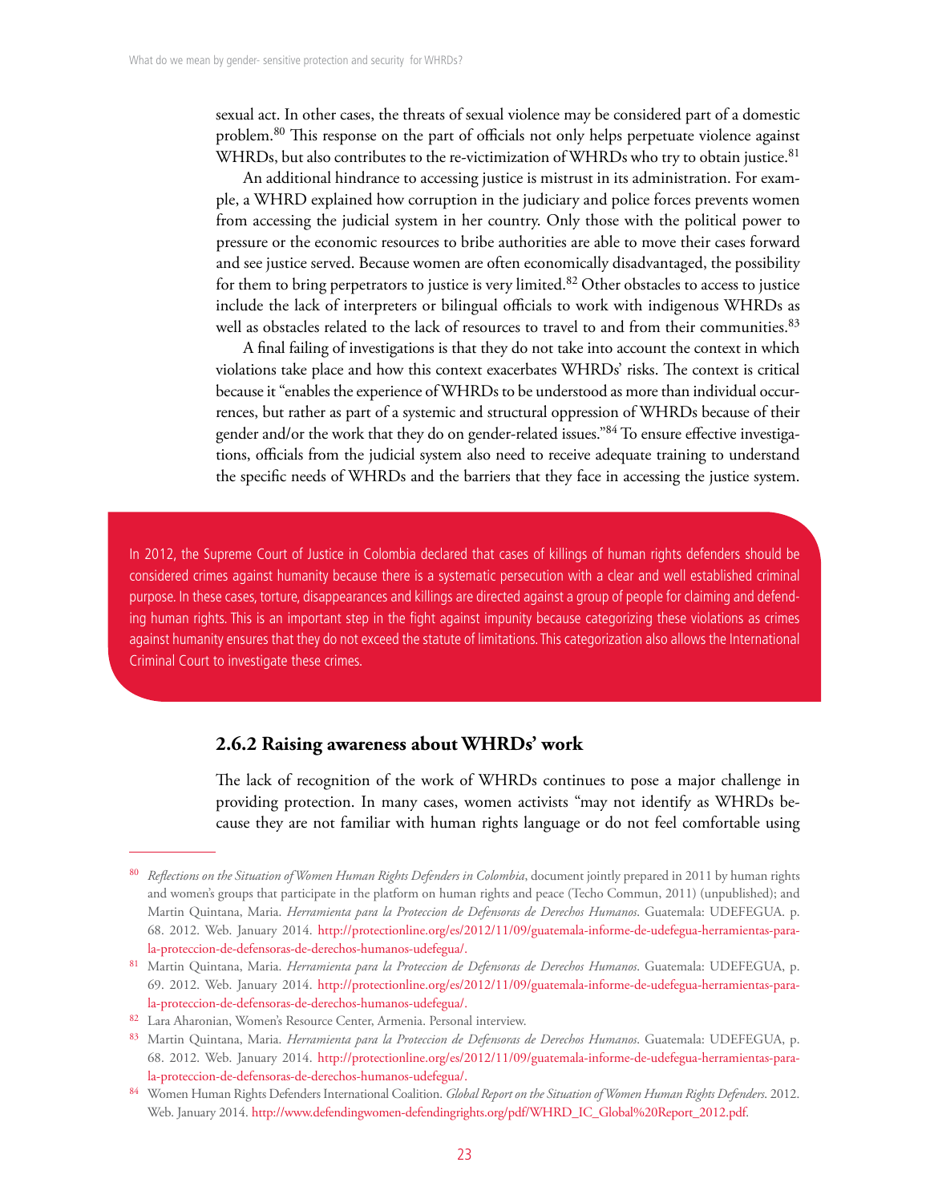sexual act. In other cases, the threats of sexual violence may be considered part of a domestic problem.<sup>80</sup> This response on the part of officials not only helps perpetuate violence against WHRDs, but also contributes to the re-victimization of WHRDs who try to obtain justice.<sup>81</sup>

An additional hindrance to accessing justice is mistrust in its administration. For example, a WHRD explained how corruption in the judiciary and police forces prevents women from accessing the judicial system in her country. Only those with the political power to pressure or the economic resources to bribe authorities are able to move their cases forward and see justice served. Because women are often economically disadvantaged, the possibility for them to bring perpetrators to justice is very limited.<sup>82</sup> Other obstacles to access to justice include the lack of interpreters or bilingual officials to work with indigenous WHRDs as well as obstacles related to the lack of resources to travel to and from their communities.<sup>83</sup>

A final failing of investigations is that they do not take into account the context in which violations take place and how this context exacerbates WHRDs' risks. The context is critical because it "enables the experience of WHRDs to be understood as more than individual occurrences, but rather as part of a systemic and structural oppression of WHRDs because of their gender and/or the work that they do on gender-related issues."84 To ensure effective investigations, officials from the judicial system also need to receive adequate training to understand the specific needs of WHRDs and the barriers that they face in accessing the justice system.

In 2012, the Supreme Court of Justice in Colombia declared that cases of killings of human rights defenders should be considered crimes against humanity because there is a systematic persecution with a clear and well established criminal purpose. In these cases, torture, disappearances and killings are directed against a group of people for claiming and defending human rights. This is an important step in the fight against impunity because categorizing these violations as crimes against humanity ensures that they do not exceed the statute of limitations. This categorization also allows the International Criminal Court to investigate these crimes.

#### **2.6.2 Raising awareness about WHRDs' work**

The lack of recognition of the work of WHRDs continues to pose a major challenge in providing protection. In many cases, women activists "may not identify as WHRDs because they are not familiar with human rights language or do not feel comfortable using

<sup>80</sup> *Reflections on the Situation of Women Human Rights Defenders in Colombia*, document jointly prepared in 2011 by human rights and women's groups that participate in the platform on human rights and peace (Techo Commun, 2011) (unpublished); and Martin Quintana, Maria. *Herramienta para la Proteccion de Defensoras de Derechos Humanos*. Guatemala: UDEFEGUA. p. 68. 2012. Web. January 2014. http://protectionline.org/es/2012/11/09/guatemala-informe-de-udefegua-herramientas-parala-proteccion-de-defensoras-de-derechos-humanos-udefegua/.

<sup>81</sup> Martin Quintana, Maria. *Herramienta para la Proteccion de Defensoras de Derechos Humanos*. Guatemala: UDEFEGUA, p. 69. 2012. Web. January 2014. http://protectionline.org/es/2012/11/09/guatemala-informe-de-udefegua-herramientas-parala-proteccion-de-defensoras-de-derechos-humanos-udefegua/.

<sup>82</sup> Lara Aharonian, Women's Resource Center, Armenia. Personal interview.

<sup>83</sup> Martin Quintana, Maria. *Herramienta para la Proteccion de Defensoras de Derechos Humanos*. Guatemala: UDEFEGUA, p. 68. 2012. Web. January 2014. http://protectionline.org/es/2012/11/09/guatemala-informe-de-udefegua-herramientas-parala-proteccion-de-defensoras-de-derechos-humanos-udefegua/.

<sup>84</sup> Women Human Rights Defenders International Coalition. *Global Report on the Situation of Women Human Rights Defenders*. 2012. Web. January 2014. http://www.defendingwomen-defendingrights.org/pdf/WHRD\_IC\_Global%20Report\_2012.pdf.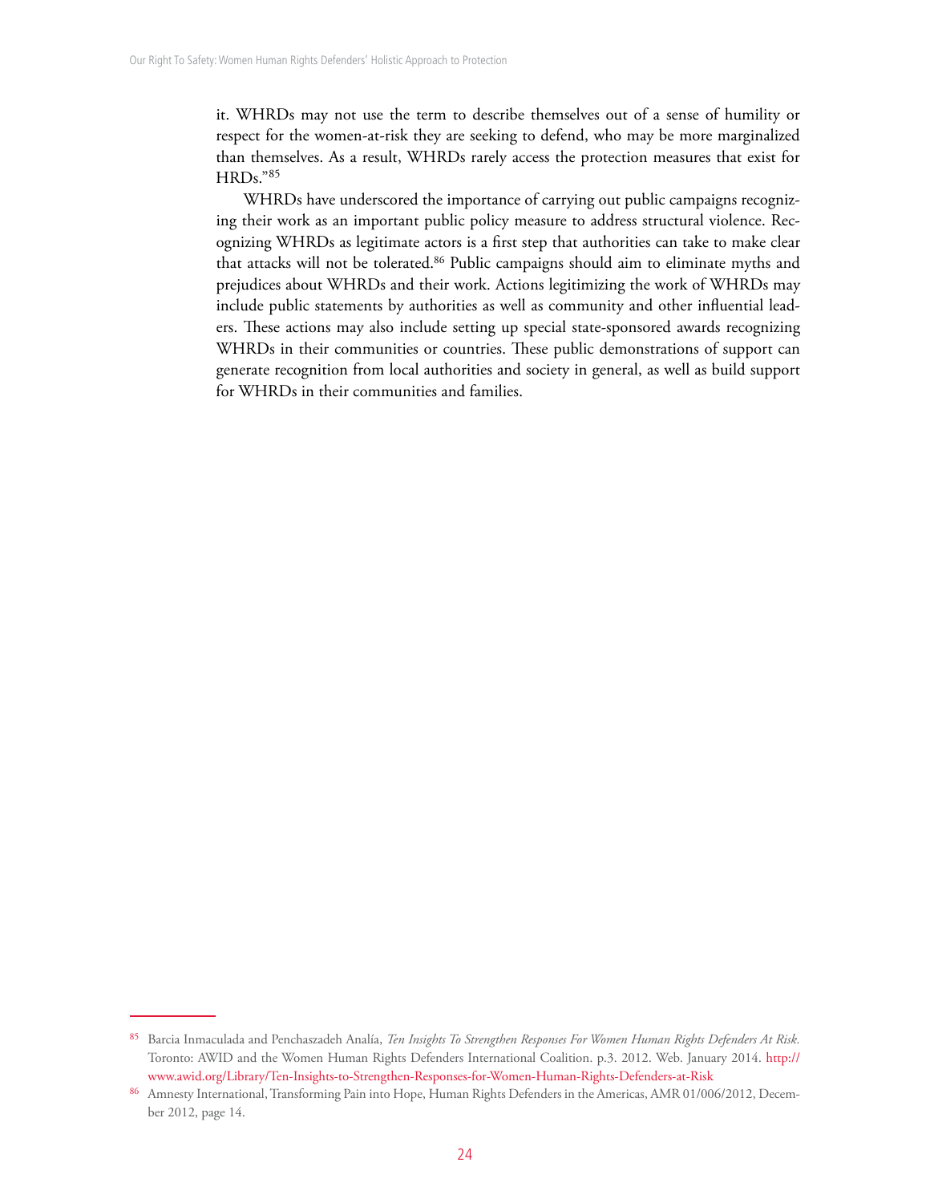it. WHRDs may not use the term to describe themselves out of a sense of humility or respect for the women-at-risk they are seeking to defend, who may be more marginalized than themselves. As a result, WHRDs rarely access the protection measures that exist for HRDs."<sup>85</sup>

WHRDs have underscored the importance of carrying out public campaigns recognizing their work as an important public policy measure to address structural violence. Recognizing WHRDs as legitimate actors is a first step that authorities can take to make clear that attacks will not be tolerated.<sup>86</sup> Public campaigns should aim to eliminate myths and prejudices about WHRDs and their work. Actions legitimizing the work of WHRDs may include public statements by authorities as well as community and other influential leaders. These actions may also include setting up special state-sponsored awards recognizing WHRDs in their communities or countries. These public demonstrations of support can generate recognition from local authorities and society in general, as well as build support for WHRDs in their communities and families.

<sup>85</sup> Barcia Inmaculada and Penchaszadeh Analía, *Ten Insights To Strengthen Responses For Women Human Rights Defenders At Risk.* Toronto: AWID and the Women Human Rights Defenders International Coalition. p.3. 2012. Web. January 2014. http:// www.awid.org/Library/Ten-Insights-to-Strengthen-Responses-for-Women-Human-Rights-Defenders-at-Risk

<sup>86</sup> Amnesty International, Transforming Pain into Hope, Human Rights Defenders in the Americas, AMR 01/006/2012, December 2012, page 14.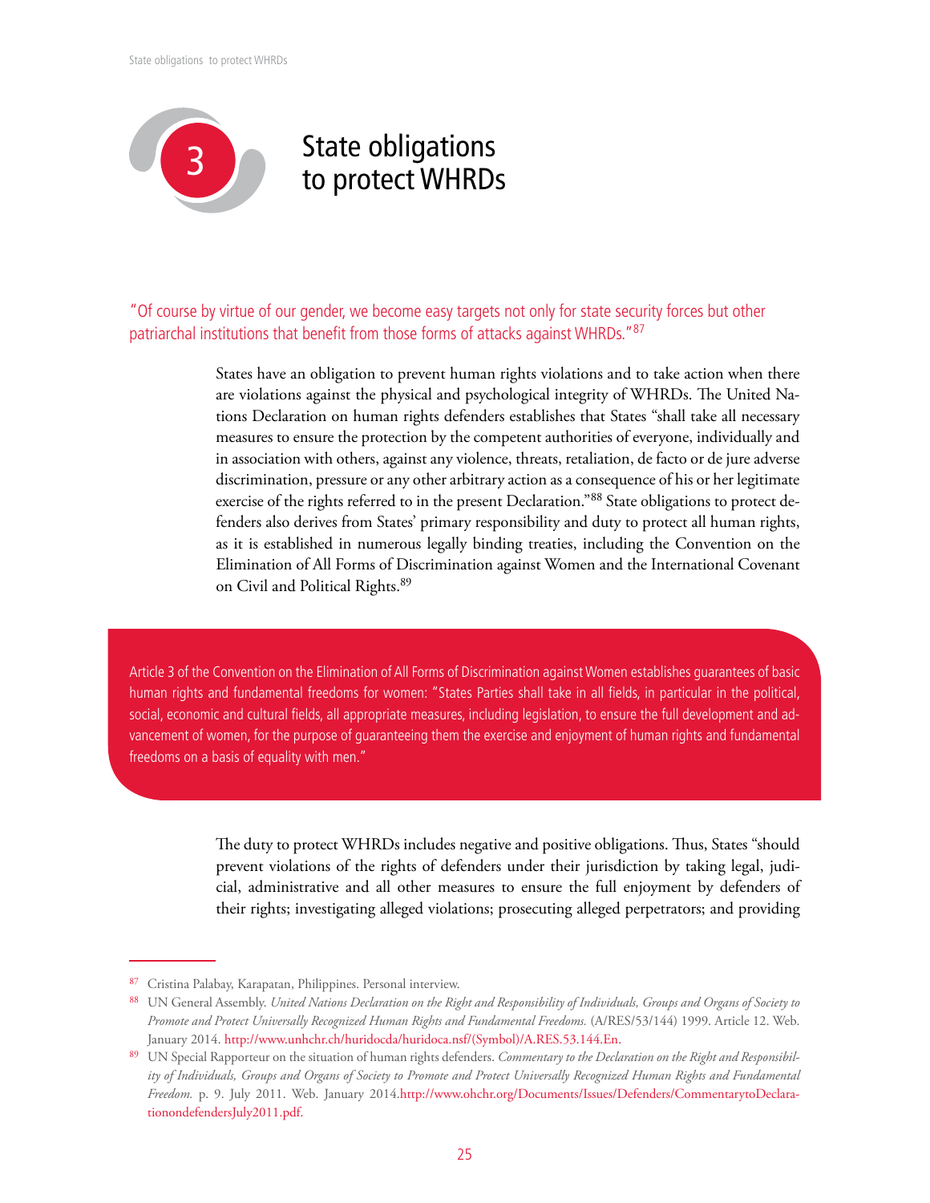

# State obligations to protect WHRDs

"Of course by virtue of our gender, we become easy targets not only for state security forces but other patriarchal institutions that benefit from those forms of attacks against WHRDs."87

> States have an obligation to prevent human rights violations and to take action when there are violations against the physical and psychological integrity of WHRDs. The United Nations Declaration on human rights defenders establishes that States "shall take all necessary measures to ensure the protection by the competent authorities of everyone, individually and in association with others, against any violence, threats, retaliation, de facto or de jure adverse discrimination, pressure or any other arbitrary action as a consequence of his or her legitimate exercise of the rights referred to in the present Declaration."<sup>88</sup> State obligations to protect defenders also derives from States' primary responsibility and duty to protect all human rights, as it is established in numerous legally binding treaties, including the Convention on the Elimination of All Forms of Discrimination against Women and the International Covenant on Civil and Political Rights.<sup>89</sup>

Article 3 of the Convention on the Elimination of All Forms of Discrimination against Women establishes guarantees of basic human rights and fundamental freedoms for women: "States Parties shall take in all fields, in particular in the political, social, economic and cultural fields, all appropriate measures, including legislation, to ensure the full development and advancement of women, for the purpose of guaranteeing them the exercise and enjoyment of human rights and fundamental freedoms on a basis of equality with men."

> The duty to protect WHRDs includes negative and positive obligations. Thus, States "should prevent violations of the rights of defenders under their jurisdiction by taking legal, judicial, administrative and all other measures to ensure the full enjoyment by defenders of their rights; investigating alleged violations; prosecuting alleged perpetrators; and providing

<sup>87</sup> Cristina Palabay, Karapatan, Philippines. Personal interview.

<sup>88</sup> UN General Assembly. *United Nations Declaration on the Right and Responsibility of Individuals, Groups and Organs of Society to Promote and Protect Universally Recognized Human Rights and Fundamental Freedoms.* (A/RES/53/144) 1999. Article 12. Web. January 2014. http://www.unhchr.ch/huridocda/huridoca.nsf/(Symbol)/A.RES.53.144.En.

<sup>&</sup>lt;sup>89</sup> UN Special Rapporteur on the situation of human rights defenders. *Commentary to the Declaration on the Right and Responsibility of Individuals, Groups and Organs of Society to Promote and Protect Universally Recognized Human Rights and Fundamental Freedom.* p. 9. July 2011. Web. January 2014.http://www.ohchr.org/Documents/Issues/Defenders/CommentarytoDeclarationondefendersJuly2011.pdf.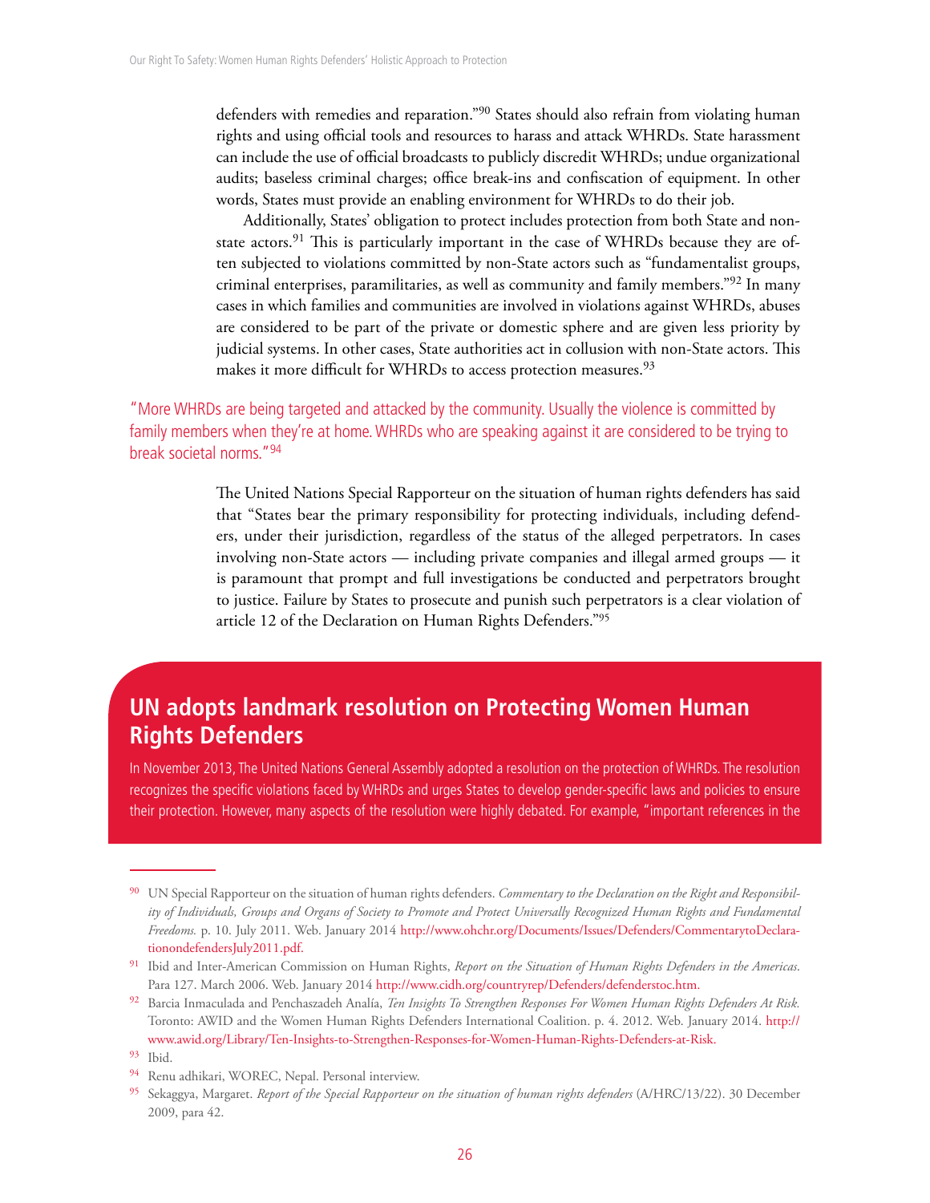defenders with remedies and reparation."90 States should also refrain from violating human rights and using official tools and resources to harass and attack WHRDs. State harassment can include the use of official broadcasts to publicly discredit WHRDs; undue organizational audits; baseless criminal charges; office break-ins and confiscation of equipment. In other words, States must provide an enabling environment for WHRDs to do their job.

Additionally, States' obligation to protect includes protection from both State and nonstate actors.<sup>91</sup> This is particularly important in the case of WHRDs because they are often subjected to violations committed by non-State actors such as "fundamentalist groups, criminal enterprises, paramilitaries, as well as community and family members."92 In many cases in which families and communities are involved in violations against WHRDs, abuses are considered to be part of the private or domestic sphere and are given less priority by judicial systems. In other cases, State authorities act in collusion with non-State actors. This makes it more difficult for WHRDs to access protection measures.<sup>93</sup>

"More WHRDs are being targeted and attacked by the community. Usually the violence is committed by family members when they're at home. WHRDs who are speaking against it are considered to be trying to break societal norms."94

> The United Nations Special Rapporteur on the situation of human rights defenders has said that "States bear the primary responsibility for protecting individuals, including defenders, under their jurisdiction, regardless of the status of the alleged perpetrators. In cases involving non-State actors — including private companies and illegal armed groups — it is paramount that prompt and full investigations be conducted and perpetrators brought to justice. Failure by States to prosecute and punish such perpetrators is a clear violation of article 12 of the Declaration on Human Rights Defenders."95

# **UN adopts landmark resolution on Protecting Women Human Rights Defenders**

In November 2013, The United Nations General Assembly adopted a resolution on the protection of WHRDs. The resolution recognizes the specific violations faced by WHRDs and urges States to develop gender-specific laws and policies to ensure their protection. However, many aspects of the resolution were highly debated. For example, "important references in the

<sup>90</sup> UN Special Rapporteur on the situation of human rights defenders. *Commentary to the Declaration on the Right and Responsibility of Individuals, Groups and Organs of Society to Promote and Protect Universally Recognized Human Rights and Fundamental Freedoms.* p. 10. July 2011. Web. January 2014 http://www.ohchr.org/Documents/Issues/Defenders/CommentarytoDeclarationondefendersJuly2011.pdf.

<sup>91</sup> Ibid and Inter-American Commission on Human Rights, *Report on the Situation of Human Rights Defenders in the Americas*. Para 127. March 2006. Web. January 2014 http://www.cidh.org/countryrep/Defenders/defenderstoc.htm.

<sup>92</sup> Barcia Inmaculada and Penchaszadeh Analía, *Ten Insights To Strengthen Responses For Women Human Rights Defenders At Risk.* Toronto: AWID and the Women Human Rights Defenders International Coalition. p. 4. 2012. Web. January 2014. http:// www.awid.org/Library/Ten-Insights-to-Strengthen-Responses-for-Women-Human-Rights-Defenders-at-Risk.

<sup>93</sup> Ibid.

<sup>94</sup> Renu adhikari, WOREC, Nepal. Personal interview.

<sup>95</sup> Sekaggya, Margaret. *Report of the Special Rapporteur on the situation of human rights defenders* (A/HRC/13/22). 30 December 2009, para 42.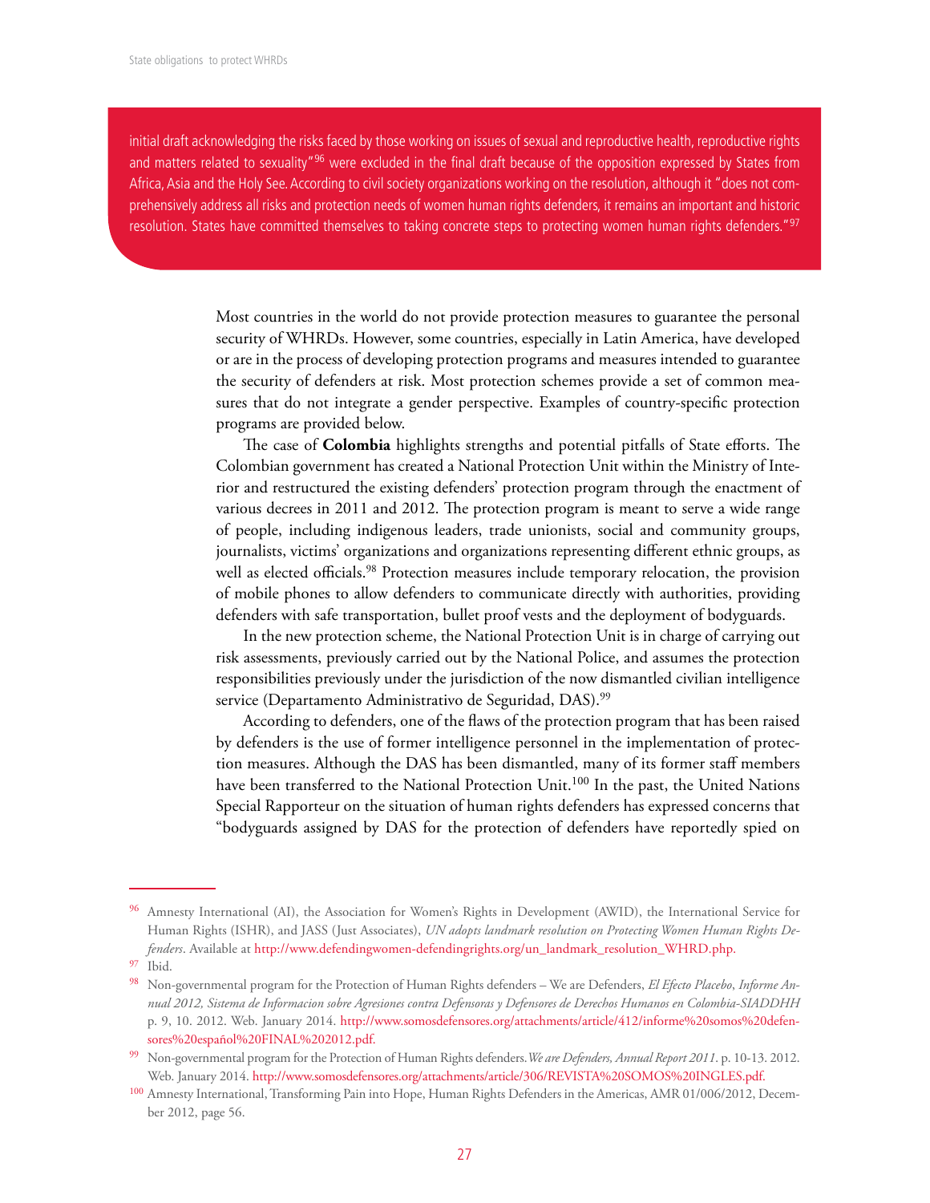initial draft acknowledging the risks faced by those working on issues of sexual and reproductive health, reproductive rights and matters related to sexuality"<sup>96</sup> were excluded in the final draft because of the opposition expressed by States from Africa, Asia and the Holy See. According to civil society organizations working on the resolution, although it "does not comprehensively address all risks and protection needs of women human rights defenders, it remains an important and historic resolution. States have committed themselves to taking concrete steps to protecting women human rights defenders."<sup>97</sup>

> Most countries in the world do not provide protection measures to guarantee the personal security of WHRDs. However, some countries, especially in Latin America, have developed or are in the process of developing protection programs and measures intended to guarantee the security of defenders at risk. Most protection schemes provide a set of common measures that do not integrate a gender perspective. Examples of country-specific protection programs are provided below.

> The case of **Colombia** highlights strengths and potential pitfalls of State efforts. The Colombian government has created a National Protection Unit within the Ministry of Interior and restructured the existing defenders' protection program through the enactment of various decrees in 2011 and 2012. The protection program is meant to serve a wide range of people, including indigenous leaders, trade unionists, social and community groups, journalists, victims' organizations and organizations representing different ethnic groups, as well as elected officials.<sup>98</sup> Protection measures include temporary relocation, the provision of mobile phones to allow defenders to communicate directly with authorities, providing defenders with safe transportation, bullet proof vests and the deployment of bodyguards.

> In the new protection scheme, the National Protection Unit is in charge of carrying out risk assessments, previously carried out by the National Police, and assumes the protection responsibilities previously under the jurisdiction of the now dismantled civilian intelligence service (Departamento Administrativo de Seguridad, DAS).<sup>99</sup>

> According to defenders, one of the flaws of the protection program that has been raised by defenders is the use of former intelligence personnel in the implementation of protection measures. Although the DAS has been dismantled, many of its former staff members have been transferred to the National Protection Unit.<sup>100</sup> In the past, the United Nations Special Rapporteur on the situation of human rights defenders has expressed concerns that "bodyguards assigned by DAS for the protection of defenders have reportedly spied on

<sup>96</sup> Amnesty International (AI), the Association for Women's Rights in Development (AWID), the International Service for Human Rights (ISHR), and JASS (Just Associates), *UN adopts landmark resolution on Protecting Women Human Rights Defenders*. Available at http://www.defendingwomen-defendingrights.org/un\_landmark\_resolution\_WHRD.php.

<sup>97</sup> Ibid.

<sup>98</sup> Non-governmental program for the Protection of Human Rights defenders – We are Defenders, *El Efecto Placebo*, *Informe Annual 2012, Sistema de Informacion sobre Agresiones contra Defensoras y Defensores de Derechos Humanos en Colombia-SIADDHH*  p. 9, 10. 2012. Web. January 2014. http://www.somosdefensores.org/attachments/article/412/informe%20somos%20defensores%20español%20FINAL%202012.pdf.

<sup>99</sup> Non-governmental program for the Protection of Human Rights defenders.*We are Defenders, Annual Report 2011*. p. 10-13. 2012. Web. January 2014. http://www.somosdefensores.org/attachments/article/306/REVISTA%20SOMOS%20INGLES.pdf.

<sup>100</sup> Amnesty International, Transforming Pain into Hope, Human Rights Defenders in the Americas, AMR 01/006/2012, December 2012, page 56.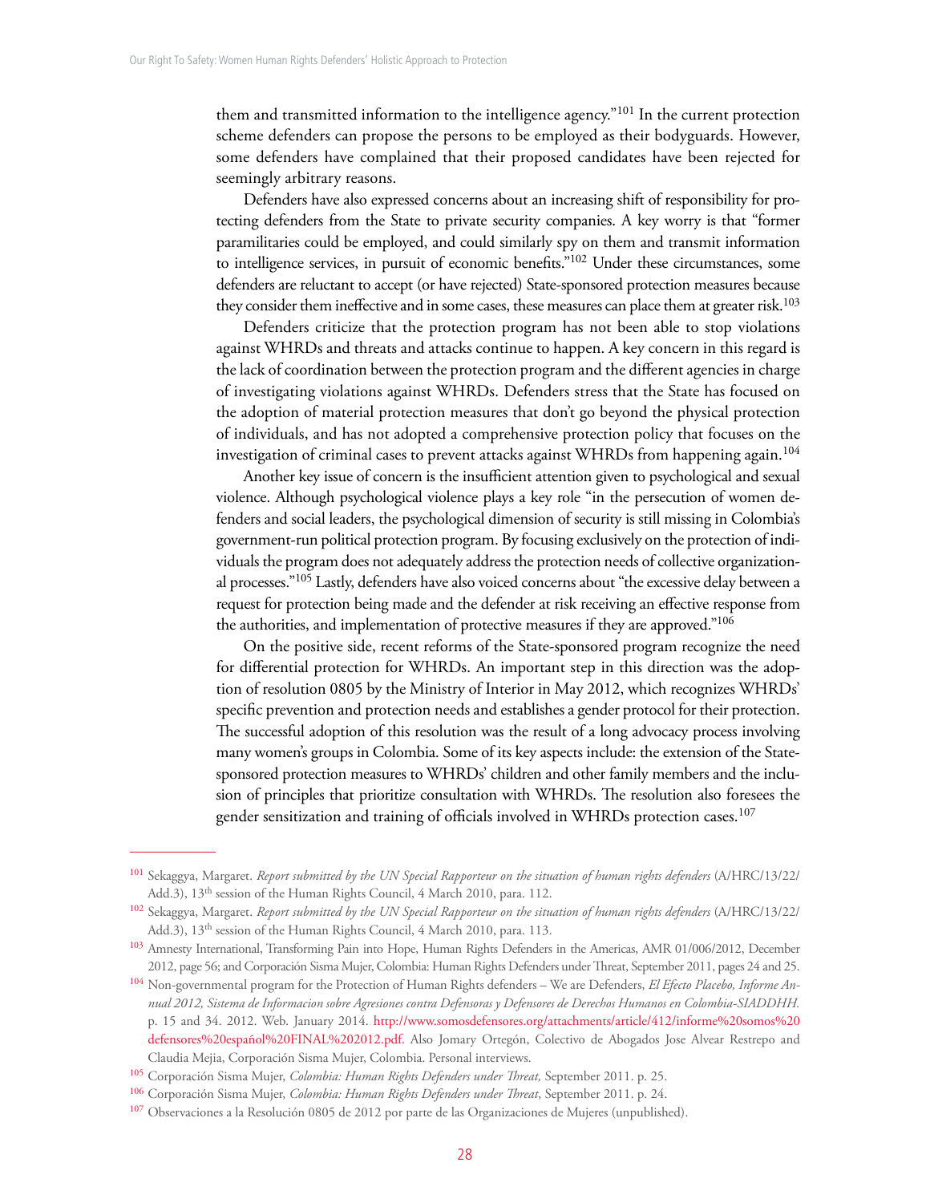them and transmitted information to the intelligence agency."<sup>101</sup> In the current protection scheme defenders can propose the persons to be employed as their bodyguards. However, some defenders have complained that their proposed candidates have been rejected for seemingly arbitrary reasons.

Defenders have also expressed concerns about an increasing shift of responsibility for protecting defenders from the State to private security companies. A key worry is that "former paramilitaries could be employed, and could similarly spy on them and transmit information to intelligence services, in pursuit of economic benefits."102 Under these circumstances, some defenders are reluctant to accept (or have rejected) State-sponsored protection measures because they consider them ineffective and in some cases, these measures can place them at greater risk.<sup>103</sup>

Defenders criticize that the protection program has not been able to stop violations against WHRDs and threats and attacks continue to happen. A key concern in this regard is the lack of coordination between the protection program and the different agencies in charge of investigating violations against WHRDs. Defenders stress that the State has focused on the adoption of material protection measures that don't go beyond the physical protection of individuals, and has not adopted a comprehensive protection policy that focuses on the investigation of criminal cases to prevent attacks against WHRDs from happening again.<sup>104</sup>

Another key issue of concern is the insufficient attention given to psychological and sexual violence. Although psychological violence plays a key role "in the persecution of women defenders and social leaders, the psychological dimension of security is still missing in Colombia's government-run political protection program. By focusing exclusively on the protection of individuals the program does not adequately address the protection needs of collective organizational processes."<sup>105</sup> Lastly, defenders have also voiced concerns about "the excessive delay between a request for protection being made and the defender at risk receiving an effective response from the authorities, and implementation of protective measures if they are approved."<sup>106</sup>

On the positive side, recent reforms of the State-sponsored program recognize the need for differential protection for WHRDs. An important step in this direction was the adoption of resolution 0805 by the Ministry of Interior in May 2012, which recognizes WHRDs' specific prevention and protection needs and establishes a gender protocol for their protection. The successful adoption of this resolution was the result of a long advocacy process involving many women's groups in Colombia. Some of its key aspects include: the extension of the Statesponsored protection measures to WHRDs' children and other family members and the inclusion of principles that prioritize consultation with WHRDs. The resolution also foresees the gender sensitization and training of officials involved in WHRDs protection cases.<sup>107</sup>

<sup>101</sup> Sekaggya, Margaret. *Report submitted by the UN Special Rapporteur on the situation of human rights defenders* (A/HRC/13/22/ Add.3), 13<sup>th</sup> session of the Human Rights Council, 4 March 2010, para. 112.

<sup>102</sup> Sekaggya, Margaret. *Report submitted by the UN Special Rapporteur on the situation of human rights defenders* (A/HRC/13/22/ Add.3), 13<sup>th</sup> session of the Human Rights Council, 4 March 2010, para. 113.

<sup>103</sup> Amnesty International, Transforming Pain into Hope, Human Rights Defenders in the Americas, AMR 01/006/2012, December 2012, page 56; andCorporación Sisma Mujer,Colombia: Human Rights Defenders underThreat, September 2011, pages 24 and 25.

<sup>104</sup> Non-governmental program for the Protection of Human Rights defenders – We are Defenders, *El Efecto Placebo, Informe Annual 2012, Sistema de Informacion sobre Agresiones contra Defensoras y Defensores de Derechos Humanos en Colombia-SIADDHH.*  p. 15 and 34. 2012. Web. January 2014. http://www.somosdefensores.org/attachments/article/412/informe%20somos%20 defensores%20español%20FINAL%202012.pdf. Also Jomary Ortegón, Colectivo de Abogados Jose Alvear Restrepo and Claudia Mejia, Corporación Sisma Mujer, Colombia. Personal interviews.

<sup>105</sup> Corporación Sisma Mujer, *Colombia: Human Rights Defenders under Threat,* September 2011. p. 25.

<sup>106</sup> Corporación Sisma Mujer, *Colombia: Human Rights Defenders under Threat*, September 2011. p. 24.

<sup>107</sup> Observaciones a la Resolución 0805 de 2012 por parte de las Organizaciones de Mujeres (unpublished).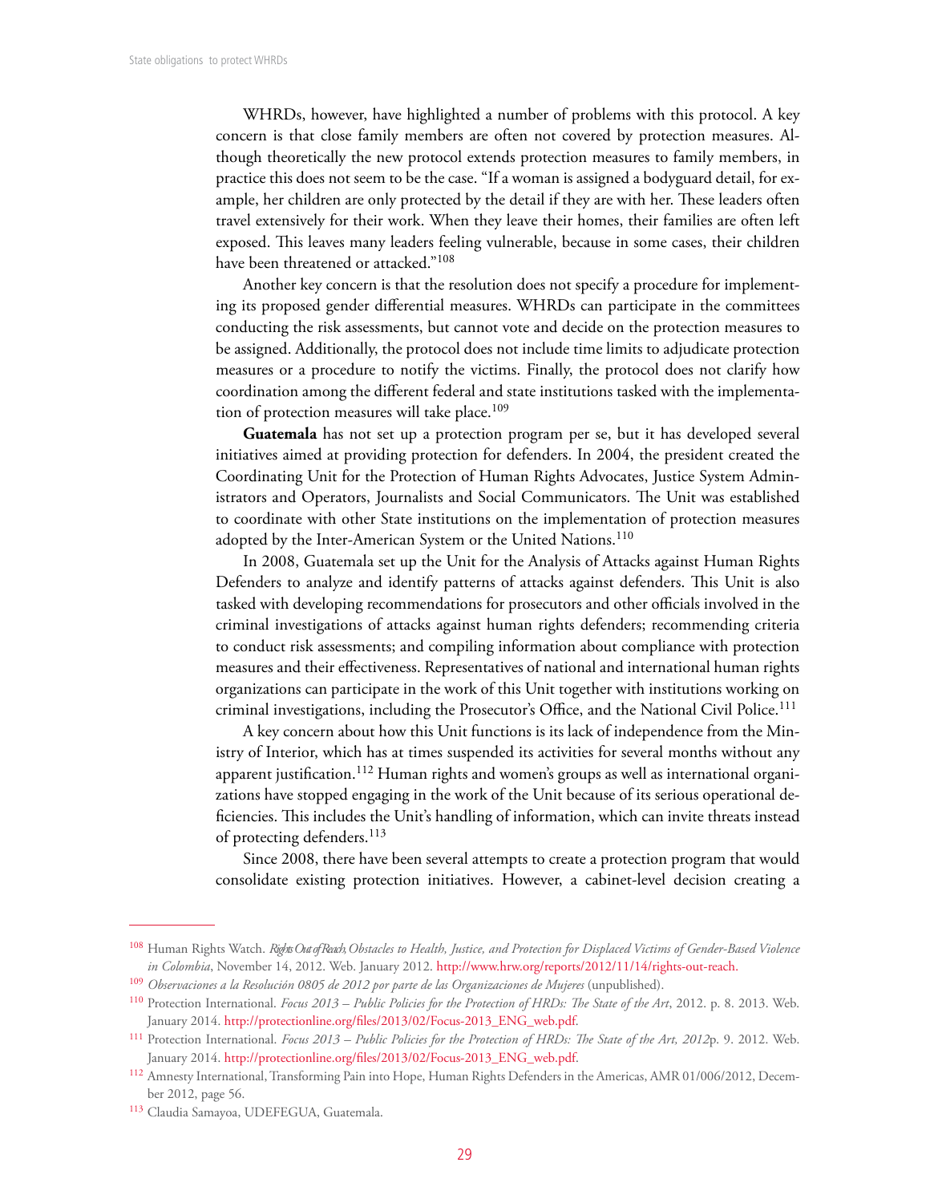WHRDs, however, have highlighted a number of problems with this protocol. A key concern is that close family members are often not covered by protection measures. Although theoretically the new protocol extends protection measures to family members, in practice this does not seem to be the case. "If a woman is assigned a bodyguard detail, for example, her children are only protected by the detail if they are with her. These leaders often travel extensively for their work. When they leave their homes, their families are often left exposed. This leaves many leaders feeling vulnerable, because in some cases, their children have been threatened or attacked."<sup>108</sup>

Another key concern is that the resolution does not specify a procedure for implementing its proposed gender differential measures. WHRDs can participate in the committees conducting the risk assessments, but cannot vote and decide on the protection measures to be assigned. Additionally, the protocol does not include time limits to adjudicate protection measures or a procedure to notify the victims. Finally, the protocol does not clarify how coordination among the different federal and state institutions tasked with the implementation of protection measures will take place.<sup>109</sup>

**Guatemala** has not set up a protection program per se, but it has developed several initiatives aimed at providing protection for defenders. In 2004, the president created the Coordinating Unit for the Protection of Human Rights Advocates, Justice System Administrators and Operators, Journalists and Social Communicators. The Unit was established to coordinate with other State institutions on the implementation of protection measures adopted by the Inter-American System or the United Nations.<sup>110</sup>

In 2008, Guatemala set up the Unit for the Analysis of Attacks against Human Rights Defenders to analyze and identify patterns of attacks against defenders. This Unit is also tasked with developing recommendations for prosecutors and other officials involved in the criminal investigations of attacks against human rights defenders; recommending criteria to conduct risk assessments; and compiling information about compliance with protection measures and their effectiveness. Representatives of national and international human rights organizations can participate in the work of this Unit together with institutions working on criminal investigations, including the Prosecutor's Office, and the National Civil Police.<sup>111</sup>

A key concern about how this Unit functions is its lack of independence from the Ministry of Interior, which has at times suspended its activities for several months without any apparent justification.<sup>112</sup> Human rights and women's groups as well as international organizations have stopped engaging in the work of the Unit because of its serious operational deficiencies. This includes the Unit's handling of information, which can invite threats instead of protecting defenders.<sup>113</sup>

Since 2008, there have been several attempts to create a protection program that would consolidate existing protection initiatives. However, a cabinet-level decision creating a

<sup>108</sup> Human Rights Watch. *Rights Out of Reach, Obstacles to Health, Justice, and Protection for Displaced Victims of Gender-Based Violence in Colombia*, November 14, 2012. Web. January 2012. http://www.hrw.org/reports/2012/11/14/rights-out-reach.

<sup>109</sup> *Observaciones a la Resolución 0805 de 2012 por parte de las Organizaciones de Mujeres* (unpublished).

<sup>110</sup> Protection International. *Focus 2013 – Public Policies for the Protection of HRDs: The State of the Art*, 2012. p. 8. 2013. Web. January 2014. http://protectionline.org/files/2013/02/Focus-2013\_ENG\_web.pdf.

<sup>111</sup> Protection International. *Focus 2013 – Public Policies for the Protection of HRDs: The State of the Art, 2012*p. 9. 2012. Web. January 2014. http://protectionline.org/files/2013/02/Focus-2013\_ENG\_web.pdf.

<sup>112</sup> Amnesty International, Transforming Pain into Hope, Human Rights Defenders in the Americas, AMR 01/006/2012, December 2012, page 56.

<sup>113</sup> Claudia Samayoa, UDEFEGUA, Guatemala.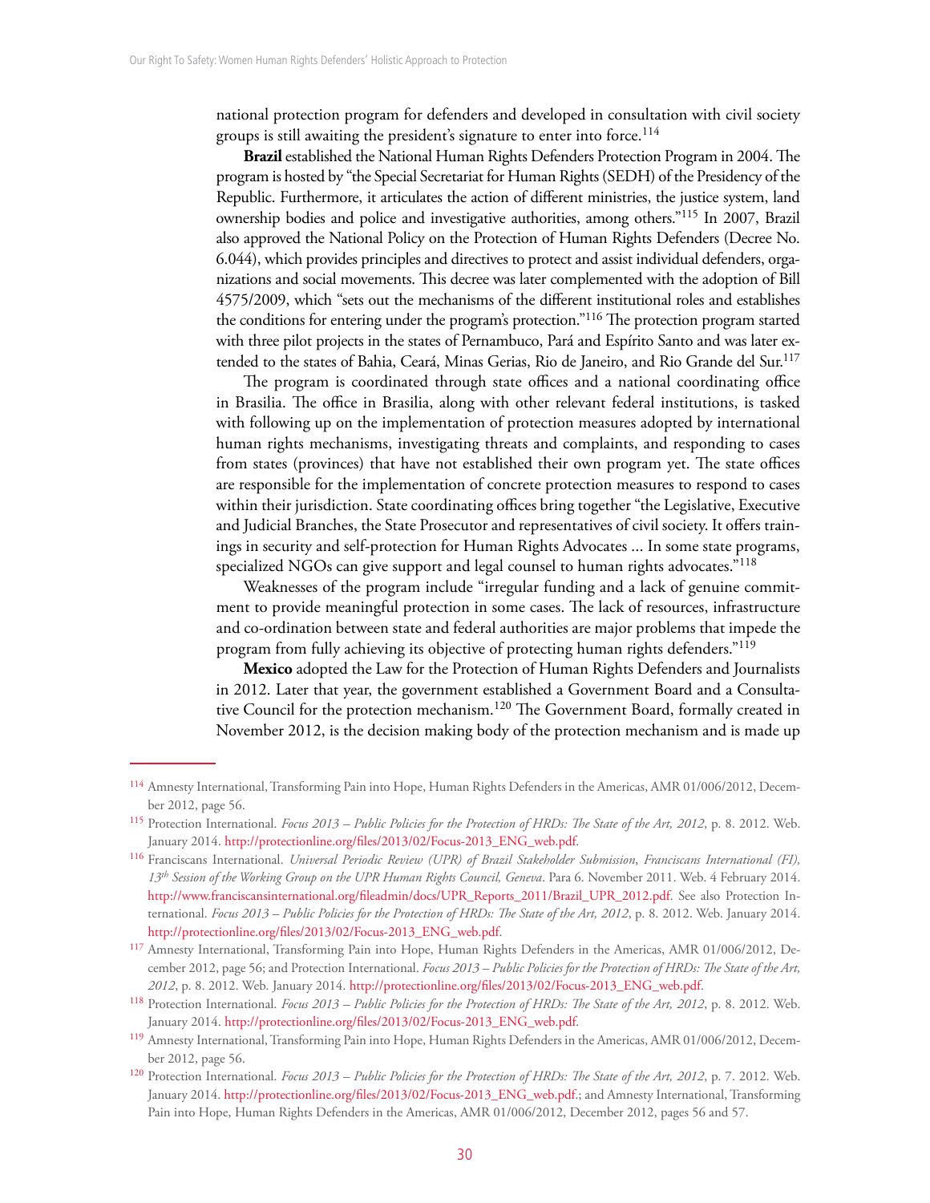national protection program for defenders and developed in consultation with civil society groups is still awaiting the president's signature to enter into force.<sup>114</sup>

**Brazil**established the National Human Rights Defenders Protection Program in 2004. The program is hosted by "the Special Secretariat for Human Rights (SEDH) of the Presidency of the Republic. Furthermore, it articulates the action of different ministries, the justice system, land ownership bodies and police and investigative authorities, among others."115 In 2007, Brazil also approved the National Policy on the Protection of Human Rights Defenders (Decree No. 6.044), which provides principles and directives to protect and assist individual defenders, organizations and social movements. This decree was later complemented with the adoption of Bill 4575/2009, which "sets out the mechanisms of the different institutional roles and establishes the conditions for entering under the program's protection."<sup>116</sup> The protection program started with three pilot projects in the states of Pernambuco, Pará and Espírito Santo and was later extended to the states of Bahia, Ceará, Minas Gerias, Rio de Janeiro, and Rio Grande del Sur.117

The program is coordinated through state offices and a national coordinating office in Brasilia. The office in Brasilia, along with other relevant federal institutions, is tasked with following up on the implementation of protection measures adopted by international human rights mechanisms, investigating threats and complaints, and responding to cases from states (provinces) that have not established their own program yet. The state offices are responsible for the implementation of concrete protection measures to respond to cases within their jurisdiction. State coordinating offices bring together "the Legislative, Executive and Judicial Branches, the State Prosecutor and representatives of civil society. It offers trainings in security and self-protection for Human Rights Advocates ... In some state programs, specialized NGOs can give support and legal counsel to human rights advocates."<sup>118</sup>

Weaknesses of the program include "irregular funding and a lack of genuine commitment to provide meaningful protection in some cases. The lack of resources, infrastructure and co-ordination between state and federal authorities are major problems that impede the program from fully achieving its objective of protecting human rights defenders."119

**Mexico** adopted the Law for the Protection of Human Rights Defenders and Journalists in 2012. Later that year, the government established a Government Board and a Consultative Council for the protection mechanism.<sup>120</sup> The Government Board, formally created in November 2012, is the decision making body of the protection mechanism and is made up

<sup>&</sup>lt;sup>114</sup> Amnesty International, Transforming Pain into Hope, Human Rights Defenders in the Americas, AMR 01/006/2012, December 2012, page 56.

<sup>115</sup> Protection International. *Focus 2013 – Public Policies for the Protection of HRDs: The State of the Art, 2012*, p. 8. 2012. Web. January 2014. http://protectionline.org/files/2013/02/Focus-2013\_ENG\_web.pdf.

<sup>116</sup> Franciscans International. *Universal Periodic Review (UPR) of Brazil Stakeholder Submission*, *Franciscans International (FI), 13th Session of the Working Group on the UPR Human Rights Council, Geneva*. Para 6. November 2011. Web. 4 February 2014. http://www.franciscansinternational.org/fileadmin/docs/UPR\_Reports\_2011/Brazil\_UPR\_2012.pdf. See also Protection International. *Focus 2013 – Public Policies for the Protection of HRDs: The State of the Art, 2012*, p. 8. 2012. Web. January 2014. http://protectionline.org/files/2013/02/Focus-2013\_ENG\_web.pdf.

<sup>117</sup> Amnesty International, Transforming Pain into Hope, Human Rights Defenders in the Americas, AMR 01/006/2012, December 2012, page 56; and Protection International. *Focus 2013 – Public Policies for the Protection of HRDs: The State of the Art, 2012*, p. 8. 2012. Web. January 2014. http://protectionline.org/files/2013/02/Focus-2013\_ENG\_web.pdf.

<sup>118</sup> Protection International. *Focus 2013 – Public Policies for the Protection of HRDs: The State of the Art, 2012*, p. 8. 2012. Web. January 2014. http://protectionline.org/files/2013/02/Focus-2013\_ENG\_web.pdf.

<sup>119</sup> Amnesty International,Transforming Pain into Hope, Human Rights Defenders in the Americas, AMR 01/006/2012, December 2012, page 56.

<sup>120</sup> Protection International. *Focus 2013 – Public Policies for the Protection of HRDs: The State of the Art, 2012*, p. 7. 2012. Web. January 2014. http://protectionline.org/files/2013/02/Focus-2013\_ENG\_web.pdf.; and Amnesty International, Transforming Pain into Hope, Human Rights Defenders in the Americas, AMR 01/006/2012, December 2012, pages 56 and 57.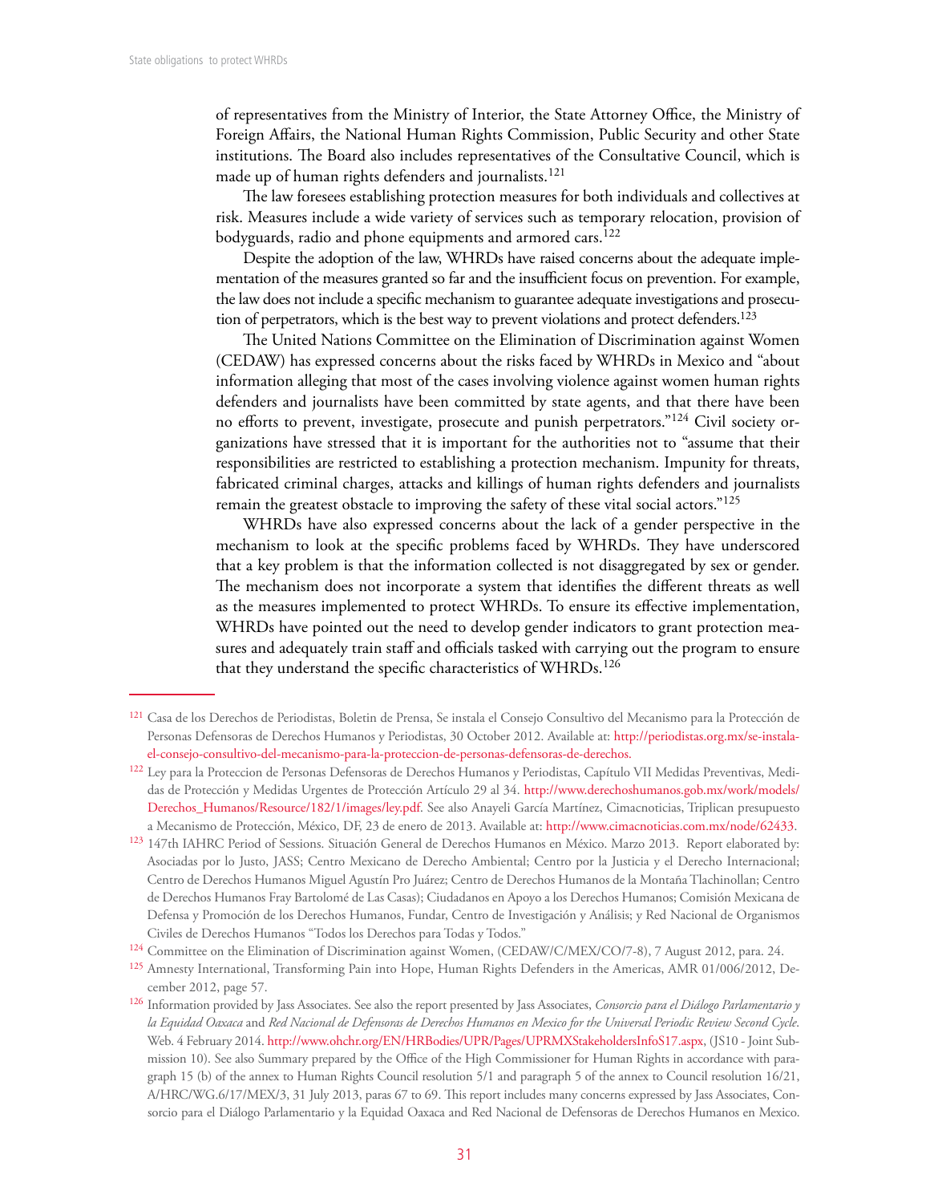of representatives from the Ministry of Interior, the State Attorney Office, the Ministry of Foreign Affairs, the National Human Rights Commission, Public Security and other State institutions. The Board also includes representatives of the Consultative Council, which is made up of human rights defenders and journalists.<sup>121</sup>

The law foresees establishing protection measures for both individuals and collectives at risk. Measures include a wide variety of services such as temporary relocation, provision of bodyguards, radio and phone equipments and armored cars.<sup>122</sup>

Despite the adoption of the law, WHRDs have raised concerns about the adequate implementation of the measures granted so far and the insufficient focus on prevention. For example, the law does not include a specific mechanism to guarantee adequate investigations and prosecution of perpetrators, which is the best way to prevent violations and protect defenders.<sup>123</sup>

The United Nations Committee on the Elimination of Discrimination against Women (CEDAW) has expressed concerns about the risks faced by WHRDs in Mexico and "about information alleging that most of the cases involving violence against women human rights defenders and journalists have been committed by state agents, and that there have been no efforts to prevent, investigate, prosecute and punish perpetrators."<sup>124</sup> Civil society organizations have stressed that it is important for the authorities not to "assume that their responsibilities are restricted to establishing a protection mechanism. Impunity for threats, fabricated criminal charges, attacks and killings of human rights defenders and journalists remain the greatest obstacle to improving the safety of these vital social actors."125

WHRDs have also expressed concerns about the lack of a gender perspective in the mechanism to look at the specific problems faced by WHRDs. They have underscored that a key problem is that the information collected is not disaggregated by sex or gender. The mechanism does not incorporate a system that identifies the different threats as well as the measures implemented to protect WHRDs. To ensure its effective implementation, WHRDs have pointed out the need to develop gender indicators to grant protection measures and adequately train staff and officials tasked with carrying out the program to ensure that they understand the specific characteristics of WHRDs.<sup>126</sup>

<sup>121</sup> Casa de los Derechos de Periodistas, Boletin de Prensa, Se instala el Consejo Consultivo del Mecanismo para la Protección de Personas Defensoras de Derechos Humanos y Periodistas, 30 October 2012. Available at: http://periodistas.org.mx/se-instalael-consejo-consultivo-del-mecanismo-para-la-proteccion-de-personas-defensoras-de-derechos.

<sup>122</sup> Ley para la Proteccion de Personas Defensoras de Derechos Humanos y Periodistas, Capítulo VII Medidas Preventivas, Medidas de Protección y Medidas Urgentes de Protección Artículo 29 al 34. http://www.derechoshumanos.gob.mx/work/models/ Derechos\_Humanos/Resource/182/1/images/ley.pdf. See also Anayeli García Martínez, Cimacnoticias, Triplican presupuesto a Mecanismo de Protección, México, DF, 23 de enero de 2013. Available at: http://www.cimacnoticias.com.mx/node/62433.

<sup>&</sup>lt;sup>123</sup> 147th IAHRC Period of Sessions. Situación General de Derechos Humanos en México. Marzo 2013. Report elaborated by: Asociadas por lo Justo, JASS; Centro Mexicano de Derecho Ambiental; Centro por la Justicia y el Derecho Internacional; Centro de Derechos Humanos Miguel Agustín Pro Juárez; Centro de Derechos Humanos de la Montaña Tlachinollan; Centro de Derechos Humanos Fray Bartolomé de Las Casas); Ciudadanos en Apoyo a los Derechos Humanos; Comisión Mexicana de Defensa y Promoción de los Derechos Humanos, Fundar, Centro de Investigación y Análisis; y Red Nacional de Organismos Civiles de Derechos Humanos "Todos los Derechos para Todas y Todos."

<sup>&</sup>lt;sup>124</sup> Committee on the Elimination of Discrimination against Women, (CEDAW/C/MEX/CO/7-8), 7 August 2012, para. 24.

<sup>125</sup> Amnesty International, Transforming Pain into Hope, Human Rights Defenders in the Americas, AMR 01/006/2012, December 2012, page 57.

<sup>126</sup> Information provided by Jass Associates. See also the report presented by Jass Associates, *Consorcio para el Diálogo Parlamentario y la Equidad Oaxaca* and *Red Nacional de Defensoras de Derechos Humanos en Mexico for the Universal Periodic Review Second Cycle*. Web. 4 February 2014. http://www.ohchr.org/EN/HRBodies/UPR/Pages/UPRMXStakeholdersInfoS17.aspx, (JS10 - Joint Submission 10). See also Summary prepared by the Office of the High Commissioner for Human Rights in accordance with paragraph 15 (b) of the annex to Human Rights Council resolution 5/1 and paragraph 5 of the annex to Council resolution 16/21, A/HRC/WG.6/17/MEX/3, 31 July 2013, paras 67 to 69. This report includes many concerns expressed by Jass Associates, Consorcio para el Diálogo Parlamentario y la Equidad Oaxaca and Red Nacional de Defensoras de Derechos Humanos en Mexico.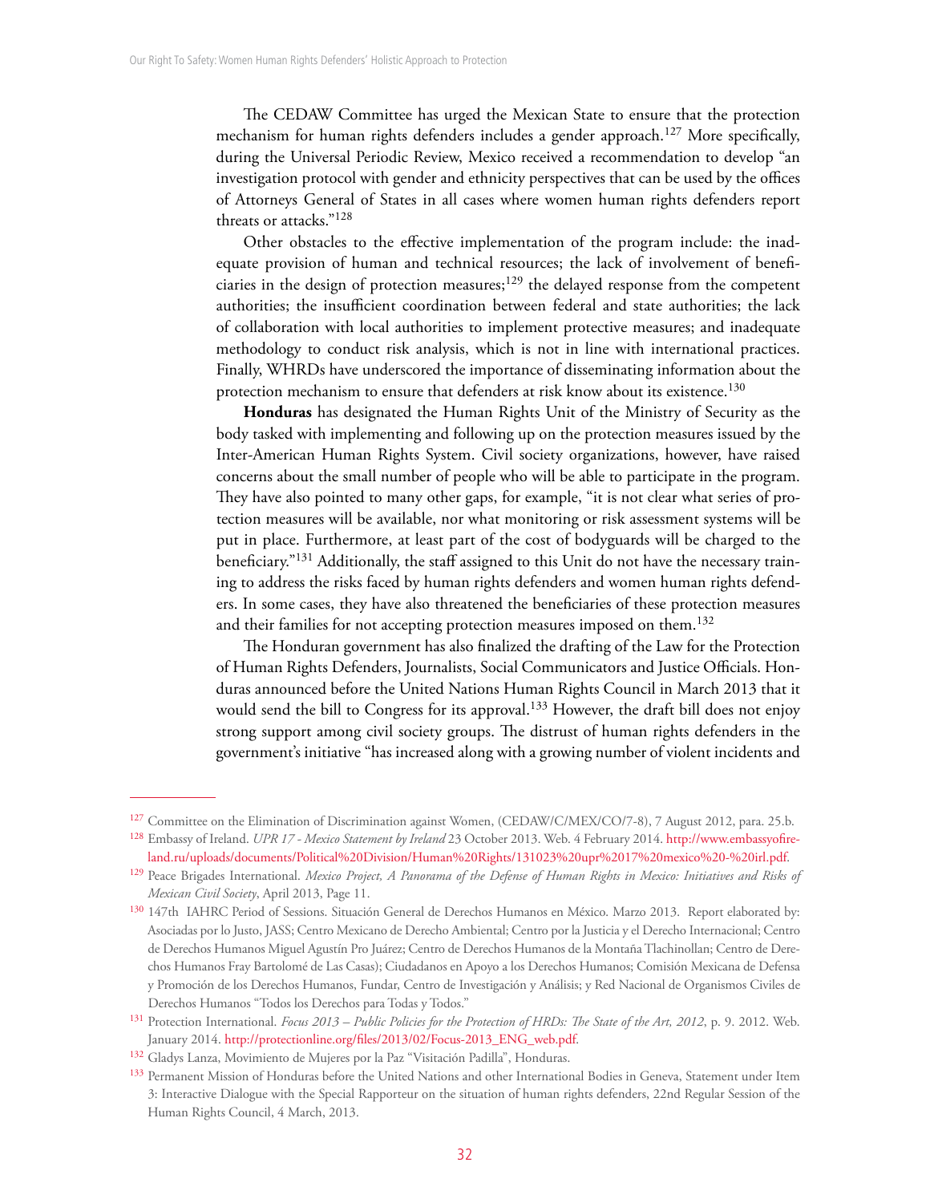The CEDAW Committee has urged the Mexican State to ensure that the protection mechanism for human rights defenders includes a gender approach.<sup>127</sup> More specifically, during the Universal Periodic Review, Mexico received a recommendation to develop "an investigation protocol with gender and ethnicity perspectives that can be used by the offices of Attorneys General of States in all cases where women human rights defenders report threats or attacks."128

Other obstacles to the effective implementation of the program include: the inadequate provision of human and technical resources; the lack of involvement of beneficiaries in the design of protection measures;<sup>129</sup> the delayed response from the competent authorities; the insufficient coordination between federal and state authorities; the lack of collaboration with local authorities to implement protective measures; and inadequate methodology to conduct risk analysis, which is not in line with international practices. Finally, WHRDs have underscored the importance of disseminating information about the protection mechanism to ensure that defenders at risk know about its existence.<sup>130</sup>

**Honduras** has designated the Human Rights Unit of the Ministry of Security as the body tasked with implementing and following up on the protection measures issued by the Inter-American Human Rights System. Civil society organizations, however, have raised concerns about the small number of people who will be able to participate in the program. They have also pointed to many other gaps, for example, "it is not clear what series of protection measures will be available, nor what monitoring or risk assessment systems will be put in place. Furthermore, at least part of the cost of bodyguards will be charged to the beneficiary."<sup>131</sup> Additionally, the staff assigned to this Unit do not have the necessary training to address the risks faced by human rights defenders and women human rights defenders. In some cases, they have also threatened the beneficiaries of these protection measures and their families for not accepting protection measures imposed on them.<sup>132</sup>

The Honduran government has also finalized the drafting of the Law for the Protection of Human Rights Defenders, Journalists, Social Communicators and Justice Officials. Honduras announced before the United Nations Human Rights Council in March 2013 that it would send the bill to Congress for its approval.<sup>133</sup> However, the draft bill does not enjoy strong support among civil society groups. The distrust of human rights defenders in the government's initiative "has increased along with a growing number of violent incidents and

<sup>&</sup>lt;sup>127</sup> Committee on the Elimination of Discrimination against Women, (CEDAW/C/MEX/CO/7-8), 7 August 2012, para. 25.b.

<sup>128</sup> Embassy of Ireland. *UPR 17 - Mexico Statement by Ireland* 23 October 2013. Web. 4 February 2014. http://www.embassyofireland.ru/uploads/documents/Political%20Division/Human%20Rights/131023%20upr%2017%20mexico%20-%20irl.pdf.

<sup>129</sup> Peace Brigades International. *Mexico Project, A Panorama of the Defense of Human Rights in Mexico: Initiatives and Risks of Mexican Civil Society*, April 2013, Page 11.

<sup>&</sup>lt;sup>130</sup> 147th IAHRC Period of Sessions. Situación General de Derechos Humanos en México. Marzo 2013. Report elaborated by: Asociadas por lo Justo, JASS; Centro Mexicano de Derecho Ambiental; Centro por la Justicia y el Derecho Internacional; Centro de Derechos Humanos Miguel Agustín Pro Juárez; Centro de Derechos Humanos de la MontañaTlachinollan; Centro de Derechos Humanos Fray Bartolomé de Las Casas); Ciudadanos en Apoyo a los Derechos Humanos; Comisión Mexicana de Defensa y Promoción de los Derechos Humanos, Fundar, Centro de Investigación y Análisis; y Red Nacional de Organismos Civiles de Derechos Humanos "Todos los Derechos para Todas y Todos."

<sup>131</sup> Protection International. *Focus 2013 – Public Policies for the Protection of HRDs: The State of the Art, 2012*, p. 9. 2012. Web. January 2014. http://protectionline.org/files/2013/02/Focus-2013\_ENG\_web.pdf.

<sup>&</sup>lt;sup>132</sup> Gladys Lanza, Movimiento de Mujeres por la Paz "Visitación Padilla", Honduras.

<sup>&</sup>lt;sup>133</sup> Permanent Mission of Honduras before the United Nations and other International Bodies in Geneva, Statement under Item 3: Interactive Dialogue with the Special Rapporteur on the situation of human rights defenders, 22nd Regular Session of the Human Rights Council, 4 March, 2013.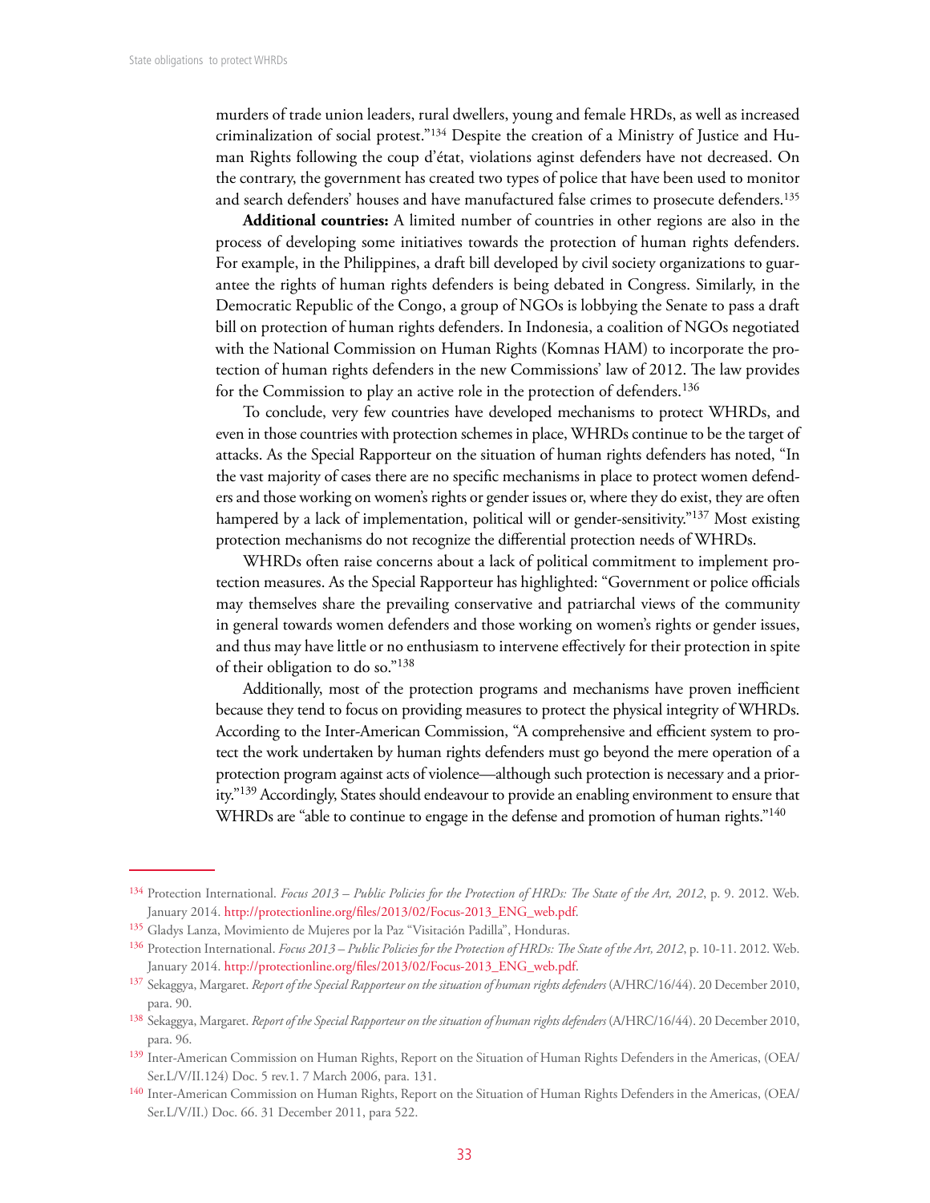murders of trade union leaders, rural dwellers, young and female HRDs, as well as increased criminalization of social protest."134 Despite the creation of a Ministry of Justice and Human Rights following the coup d'état, violations aginst defenders have not decreased. On the contrary, the government has created two types of police that have been used to monitor and search defenders' houses and have manufactured false crimes to prosecute defenders.135

**Additional countries:** A limited number of countries in other regions are also in the process of developing some initiatives towards the protection of human rights defenders. For example, in the Philippines, a draft bill developed by civil society organizations to guarantee the rights of human rights defenders is being debated in Congress. Similarly, in the Democratic Republic of the Congo, a group of NGOs is lobbying the Senate to pass a draft bill on protection of human rights defenders. In Indonesia, a coalition of NGOs negotiated with the National Commission on Human Rights (Komnas HAM) to incorporate the protection of human rights defenders in the new Commissions' law of 2012. The law provides for the Commission to play an active role in the protection of defenders.<sup>136</sup>

To conclude, very few countries have developed mechanisms to protect WHRDs, and even in those countries with protection schemes in place, WHRDs continue to be the target of attacks. As the Special Rapporteur on the situation of human rights defenders has noted, "In the vast majority of cases there are no specific mechanisms in place to protect women defenders and those working on women's rights or gender issues or, where they do exist, they are often hampered by a lack of implementation, political will or gender-sensitivity.<sup>"137</sup> Most existing protection mechanisms do not recognize the differential protection needs of WHRDs.

WHRDs often raise concerns about a lack of political commitment to implement protection measures. As the Special Rapporteur has highlighted: "Government or police officials may themselves share the prevailing conservative and patriarchal views of the community in general towards women defenders and those working on women's rights or gender issues, and thus may have little or no enthusiasm to intervene effectively for their protection in spite of their obligation to do so."138

Additionally, most of the protection programs and mechanisms have proven inefficient because they tend to focus on providing measures to protect the physical integrity of WHRDs. According to the Inter-American Commission, "A comprehensive and efficient system to protect the work undertaken by human rights defenders must go beyond the mere operation of a protection program against acts of violence—although such protection is necessary and a priority."<sup>139</sup> Accordingly, States should endeavour to provide an enabling environment to ensure that WHRDs are "able to continue to engage in the defense and promotion of human rights." $140$ 

<sup>134</sup> Protection International. *Focus 2013 – Public Policies for the Protection of HRDs: The State of the Art, 2012*, p. 9. 2012. Web. January 2014. http://protectionline.org/files/2013/02/Focus-2013\_ENG\_web.pdf.

<sup>135</sup> Gladys Lanza, Movimiento de Mujeres por la Paz "Visitación Padilla", Honduras.

<sup>136</sup> Protection International. *Focus 2013 – Public Policies for the Protection of HRDs: The State of the Art, 2012*, p. 10-11. 2012. Web. January 2014. http://protectionline.org/files/2013/02/Focus-2013\_ENG\_web.pdf.

<sup>&</sup>lt;sup>137</sup> Sekaggya, Margaret. *Report of the Special Rapporteur on the situation of human rights defenders* (A/HRC/16/44). 20 December 2010, para. 90.

<sup>&</sup>lt;sup>138</sup> Sekaggya, Margaret. *Report of the Special Rapporteur on the situation of human rights defenders* (A/HRC/16/44). 20 December 2010, para. 96.

<sup>139</sup> Inter-American Commission on Human Rights, Report on the Situation of Human Rights Defenders in the Americas, (OEA/ Ser.L/V/II.124) Doc. 5 rev.1. 7 March 2006, para. 131.

<sup>140</sup> Inter-American Commission on Human Rights, Report on the Situation of Human Rights Defenders in the Americas, (OEA/ Ser.L/V/II.) Doc. 66. 31 December 2011, para 522.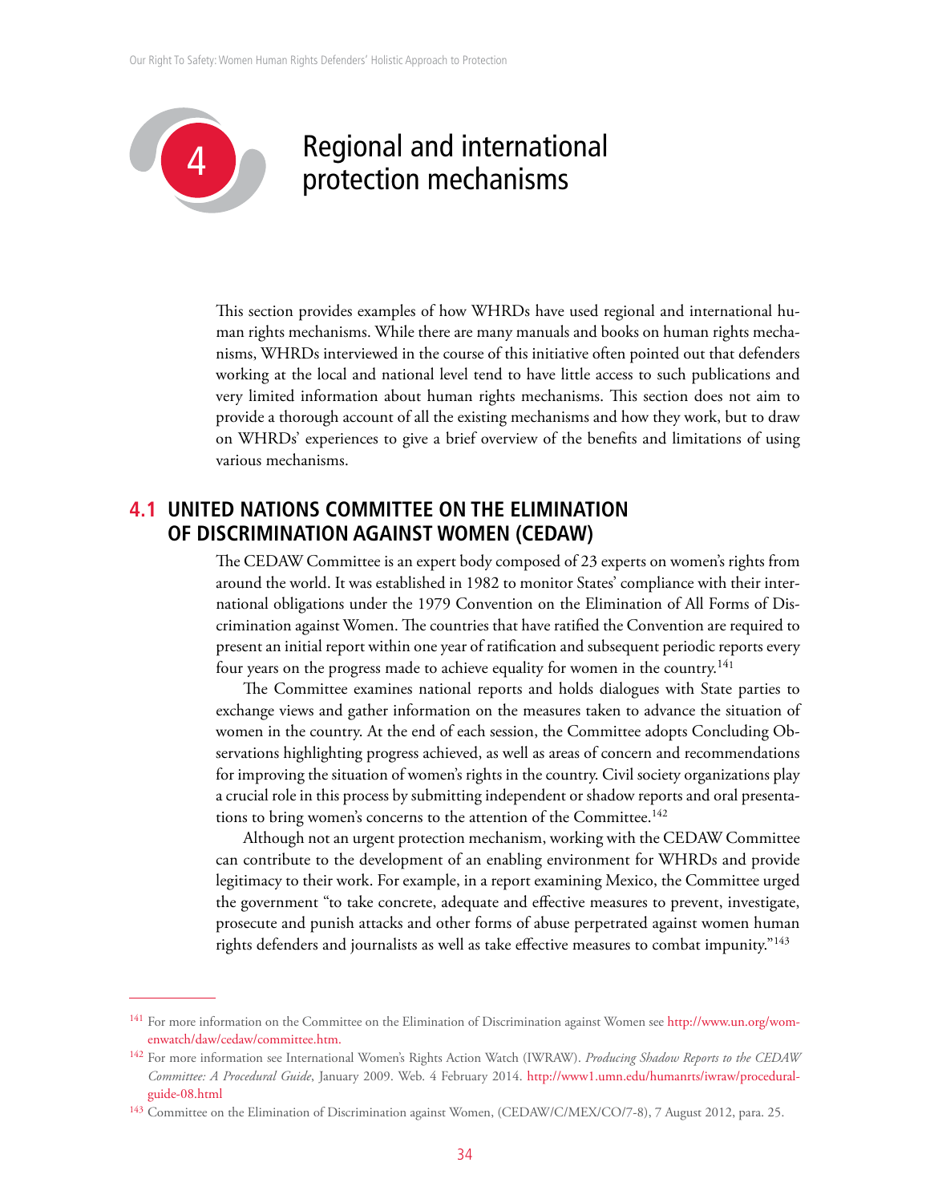

# Regional and international **Participal Section 2018** Regional and internation<br>protection mechanisms

This section provides examples of how WHRDs have used regional and international human rights mechanisms. While there are many manuals and books on human rights mechanisms, WHRDs interviewed in the course of this initiative often pointed out that defenders working at the local and national level tend to have little access to such publications and very limited information about human rights mechanisms. This section does not aim to provide a thorough account of all the existing mechanisms and how they work, but to draw on WHRDs' experiences to give a brief overview of the benefits and limitations of using various mechanisms.

### **4.1 United Nations Committee on the Elimination of Discrimination against Women (CEDAW)**

The CEDAW Committee is an expert body composed of 23 experts on women's rights from around the world. It was established in 1982 to monitor States' compliance with their international obligations under the 1979 Convention on the Elimination of All Forms of Discrimination against Women. The countries that have ratified the Convention are required to present an initial report within one year of ratification and subsequent periodic reports every four years on the progress made to achieve equality for women in the country.<sup>141</sup>

The Committee examines national reports and holds dialogues with State parties to exchange views and gather information on the measures taken to advance the situation of women in the country. At the end of each session, the Committee adopts Concluding Observations highlighting progress achieved, as well as areas of concern and recommendations for improving the situation of women's rights in the country. Civil society organizations play a crucial role in this process by submitting independent or shadow reports and oral presentations to bring women's concerns to the attention of the Committee.<sup>142</sup>

Although not an urgent protection mechanism, working with the CEDAW Committee can contribute to the development of an enabling environment for WHRDs and provide legitimacy to their work. For example, in a report examining Mexico, the Committee urged the government "to take concrete, adequate and effective measures to prevent, investigate, prosecute and punish attacks and other forms of abuse perpetrated against women human rights defenders and journalists as well as take effective measures to combat impunity."143

<sup>141</sup> For more information on the Committee on the Elimination of Discrimination against Women see http://www.un.org/womenwatch/daw/cedaw/committee.htm.

<sup>142</sup> For more information see International Women's Rights Action Watch (IWRAW). *Producing Shadow Reports to the CEDAW Committee: A Procedural Guide*, January 2009. Web. 4 February 2014. http://www1.umn.edu/humanrts/iwraw/proceduralguide-08.html

<sup>&</sup>lt;sup>143</sup> Committee on the Elimination of Discrimination against Women, (CEDAW/C/MEX/CO/7-8), 7 August 2012, para. 25.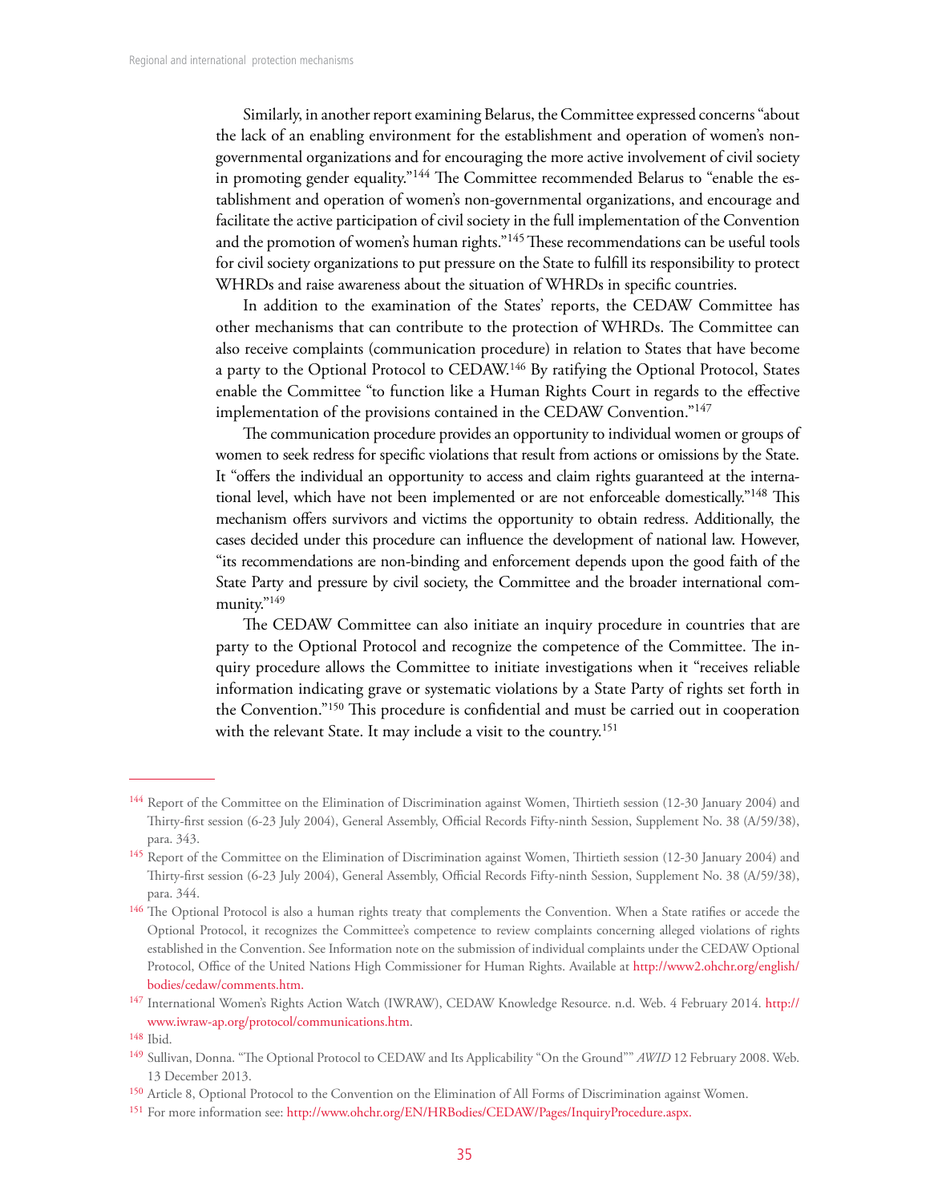Similarly, in another report examining Belarus, the Committee expressed concerns "about the lack of an enabling environment for the establishment and operation of women's nongovernmental organizations and for encouraging the more active involvement of civil society in promoting gender equality."<sup>144</sup> The Committee recommended Belarus to "enable the establishment and operation of women's non-governmental organizations, and encourage and facilitate the active participation of civil society in the full implementation of the Convention and the promotion of women's human rights."<sup>145</sup> These recommendations can be useful tools for civil society organizations to put pressure on the State to fulfill its responsibility to protect WHRDs and raise awareness about the situation of WHRDs in specific countries.

In addition to the examination of the States' reports, the CEDAW Committee has other mechanisms that can contribute to the protection of WHRDs. The Committee can also receive complaints (communication procedure) in relation to States that have become a party to the Optional Protocol to CEDAW.146 By ratifying the Optional Protocol, States enable the Committee "to function like a Human Rights Court in regards to the effective implementation of the provisions contained in the CEDAW Convention."147

The communication procedure provides an opportunity to individual women or groups of women to seek redress for specific violations that result from actions or omissions by the State. It "offers the individual an opportunity to access and claim rights guaranteed at the international level, which have not been implemented or are not enforceable domestically."148 This mechanism offers survivors and victims the opportunity to obtain redress. Additionally, the cases decided under this procedure can influence the development of national law. However, "its recommendations are non-binding and enforcement depends upon the good faith of the State Party and pressure by civil society, the Committee and the broader international community."<sup>149</sup>

The CEDAW Committee can also initiate an inquiry procedure in countries that are party to the Optional Protocol and recognize the competence of the Committee. The inquiry procedure allows the Committee to initiate investigations when it "receives reliable information indicating grave or systematic violations by a State Party of rights set forth in the Convention."150 This procedure is confidential and must be carried out in cooperation with the relevant State. It may include a visit to the country.<sup>151</sup>

<sup>&</sup>lt;sup>144</sup> Report of the Committee on the Elimination of Discrimination against Women, Thirtieth session (12-30 January 2004) and Thirty-first session (6-23 July 2004), General Assembly, Official Records Fifty-ninth Session, Supplement No. 38 (A/59/38), para. 343.

<sup>145</sup> Report of the Committee on the Elimination of Discrimination against Women, Thirtieth session (12-30 January 2004) and Thirty-first session (6-23 July 2004), General Assembly, Official Records Fifty-ninth Session, Supplement No. 38 (A/59/38), para. 344.

<sup>&</sup>lt;sup>146</sup> The Optional Protocol is also a human rights treaty that complements the Convention. When a State ratifies or accede the Optional Protocol, it recognizes the Committee's competence to review complaints concerning alleged violations of rights established in the Convention. See Information note on the submission of individual complaints under the CEDAW Optional Protocol, Office of the United Nations High Commissioner for Human Rights. Available at http://www2.ohchr.org/english/ bodies/cedaw/comments.htm.

<sup>147</sup> International Women's Rights Action Watch (IWRAW), CEDAW Knowledge Resource. n.d. Web. 4 February 2014. http:// www.iwraw-ap.org/protocol/communications.htm.

<sup>148</sup> Ibid.

<sup>149</sup> Sullivan, Donna. "The Optional Protocol to CEDAW and Its Applicability "On the Ground"" *AWID* 12 February 2008. Web. 13 December 2013.

<sup>150</sup> Article 8, Optional Protocol to the Convention on the Elimination of All Forms of Discrimination against Women.

<sup>151</sup> For more information see: http://www.ohchr.org/EN/HRBodies/CEDAW/Pages/InquiryProcedure.aspx.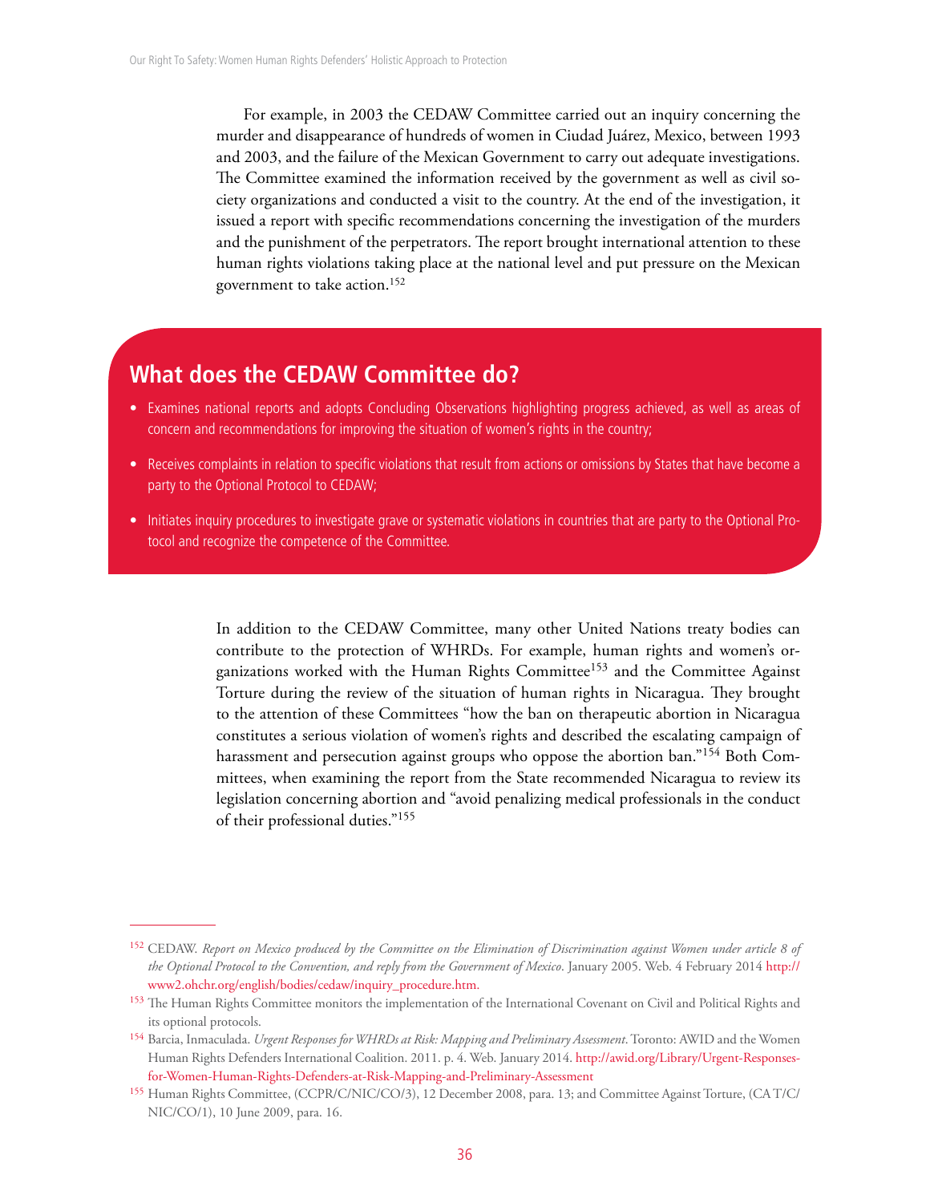For example, in 2003 the CEDAW Committee carried out an inquiry concerning the murder and disappearance of hundreds of women in Ciudad Juárez, Mexico, between 1993 and 2003, and the failure of the Mexican Government to carry out adequate investigations. The Committee examined the information received by the government as well as civil society organizations and conducted a visit to the country. At the end of the investigation, it issued a report with specific recommendations concerning the investigation of the murders and the punishment of the perpetrators. The report brought international attention to these human rights violations taking place at the national level and put pressure on the Mexican government to take action.152

# **What does the CEDAW Committee do?**

- Examines national reports and adopts Concluding Observations highlighting progress achieved, as well as areas of concern and recommendations for improving the situation of women's rights in the country;
- Receives complaints in relation to specific violations that result from actions or omissions by States that have become a party to the Optional Protocol to CEDAW;
- Initiates inquiry procedures to investigate grave or systematic violations in countries that are party to the Optional Protocol and recognize the competence of the Committee.

In addition to the CEDAW Committee, many other United Nations treaty bodies can contribute to the protection of WHRDs. For example, human rights and women's organizations worked with the Human Rights Committee<sup>153</sup> and the Committee Against Torture during the review of the situation of human rights in Nicaragua. They brought to the attention of these Committees "how the ban on therapeutic abortion in Nicaragua constitutes a serious violation of women's rights and described the escalating campaign of harassment and persecution against groups who oppose the abortion ban."<sup>154</sup> Both Committees, when examining the report from the State recommended Nicaragua to review its legislation concerning abortion and "avoid penalizing medical professionals in the conduct of their professional duties."155

<sup>152</sup> CEDAW. *Report on Mexico produced by the Committee on the Elimination of Discrimination against Women under article 8 of the Optional Protocol to the Convention, and reply from the Government of Mexico*. January 2005. Web. 4 February 2014 http:// www2.ohchr.org/english/bodies/cedaw/inquiry\_procedure.htm.

<sup>&</sup>lt;sup>153</sup> The Human Rights Committee monitors the implementation of the International Covenant on Civil and Political Rights and its optional protocols.

<sup>154</sup> Barcia, Inmaculada. *Urgent Responses for WHRDs at Risk: Mapping and Preliminary Assessment*.Toronto: AWID and the Women Human Rights Defenders International Coalition. 2011. p. 4. Web. January 2014. http://awid.org/Library/Urgent-Responsesfor-Women-Human-Rights-Defenders-at-Risk-Mapping-and-Preliminary-Assessment

<sup>155</sup> Human Rights Committee, (CCPR/C/NIC/CO/3), 12 December 2008, para. 13; and Committee Against Torture, (CAT/C/ NIC/CO/1), 10 June 2009, para. 16.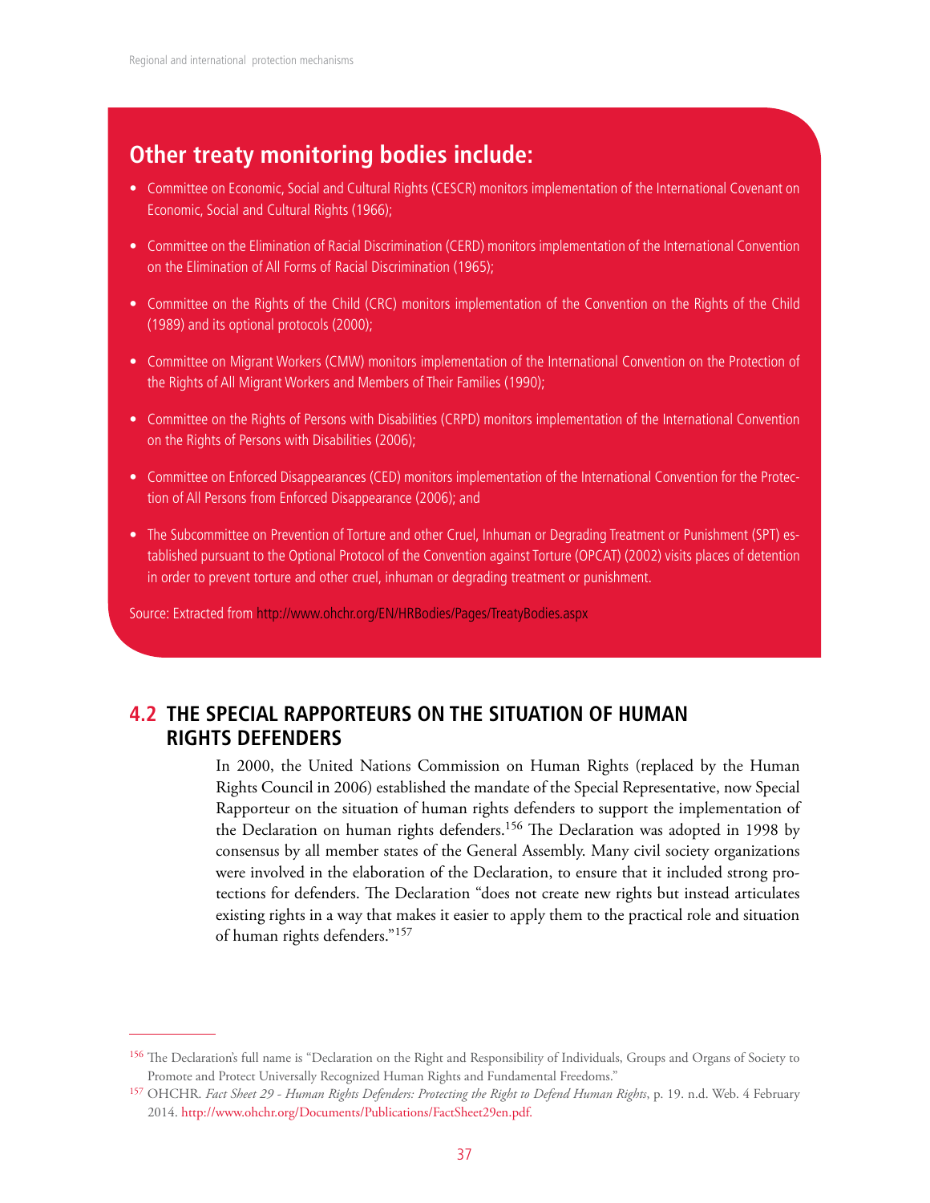# **Other treaty monitoring bodies include:**

- Committee on Economic, Social and Cultural Rights (CESCR) monitors implementation of the International Covenant on Economic, Social and Cultural Rights (1966);
- Committee on the Elimination of Racial Discrimination (CERD) monitors implementation of the International Convention on the Elimination of All Forms of Racial Discrimination (1965);
- Committee on the Rights of the Child (CRC) monitors implementation of the Convention on the Rights of the Child (1989) and its optional protocols (2000);
- Committee on Migrant Workers (CMW) monitors implementation of the International Convention on the Protection of the Rights of All Migrant Workers and Members of Their Families (1990);
- Committee on the Rights of Persons with Disabilities (CRPD) monitors implementation of the International Convention on the Rights of Persons with Disabilities (2006);
- Committee on Enforced Disappearances (CED) monitors implementation of the International Convention for the Protection of All Persons from Enforced Disappearance (2006); and
- The Subcommittee on Prevention of Torture and other Cruel, Inhuman or Degrading Treatment or Punishment (SPT) established pursuant to the Optional Protocol of the Convention against Torture (OPCAT) (2002) visits places of detention in order to prevent torture and other cruel, inhuman or degrading treatment or punishment.

Source: Extracted from http://www.ohchr.org/EN/HRBodies/Pages/TreatyBodies.aspx

### **4.2 The Special Rapporteurs on the situation of human rights defenders**

In 2000, the United Nations Commission on Human Rights (replaced by the Human Rights Council in 2006) established the mandate of the Special Representative, now Special Rapporteur on the situation of human rights defenders to support the implementation of the Declaration on human rights defenders.<sup>156</sup> The Declaration was adopted in 1998 by consensus by all member states of the General Assembly. Many civil society organizations were involved in the elaboration of the Declaration, to ensure that it included strong protections for defenders. The Declaration "does not create new rights but instead articulates existing rights in a way that makes it easier to apply them to the practical role and situation of human rights defenders."<sup>157</sup>

<sup>156</sup> The Declaration's full name is "Declaration on the Right and Responsibility of Individuals, Groups and Organs of Society to Promote and Protect Universally Recognized Human Rights and Fundamental Freedoms."

<sup>&</sup>lt;sup>157</sup> OHCHR. Fact Sheet 29 - Human Rights Defenders: Protecting the Right to Defend Human Rights, p. 19. n.d. Web. 4 February 2014. http://www.ohchr.org/Documents/Publications/FactSheet29en.pdf.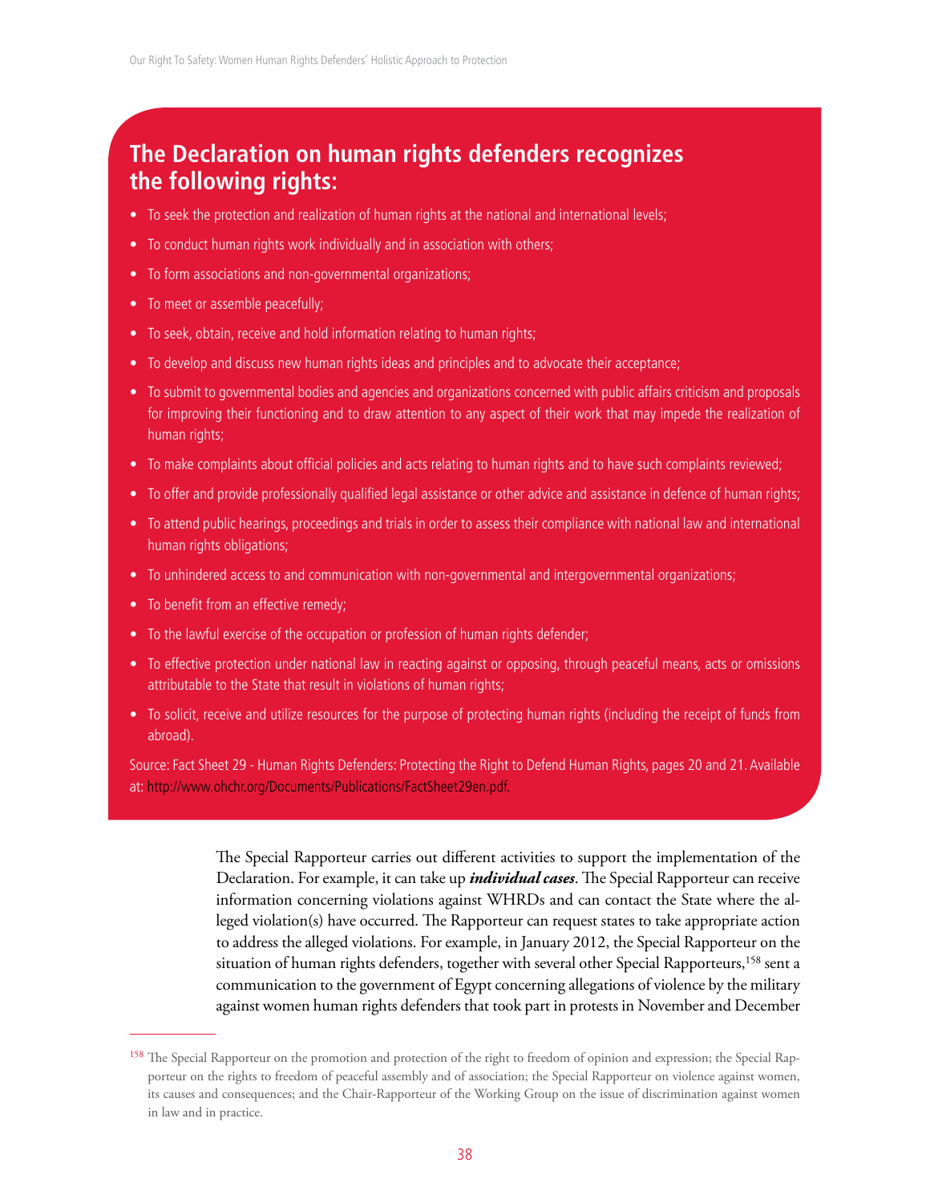# **The Declaration on human rights defenders recognizes the following rights:**

- To seek the protection and realization of human rights at the national and international levels;
- To conduct human rights work individually and in association with others;
- To form associations and non-governmental organizations;
- To meet or assemble peacefully;
- To seek, obtain, receive and hold information relating to human rights;
- To develop and discuss new human rights ideas and principles and to advocate their acceptance;
- To submit to governmental bodies and agencies and organizations concerned with public affairs criticism and proposals for improving their functioning and to draw attention to any aspect of their work that may impede the realization of human rights;
- To make complaints about official policies and acts relating to human rights and to have such complaints reviewed;
- To offer and provide professionally qualified legal assistance or other advice and assistance in defence of human rights;
- To attend public hearings, proceedings and trials in order to assess their compliance with national law and international human rights obligations;
- To unhindered access to and communication with non-governmental and intergovernmental organizations;
- To benefit from an effective remedy;
- To the lawful exercise of the occupation or profession of human rights defender;
- To effective protection under national law in reacting against or opposing, through peaceful means, acts or omissions attributable to the State that result in violations of human rights;
- To solicit, receive and utilize resources for the purpose of protecting human rights (including the receipt of funds from abroad).

Source: Fact Sheet 29 - Human Rights Defenders: Protecting the Right to Defend Human Rights, pages 20 and 21. Available at: http://www.ohchr.org/Documents/Publications/FactSheet29en.pdf.

> The Special Rapporteur carries out different activities to support the implementation of the Declaration. Forexample, it can take up *individual cases*. The Special Rapporteur can receive information concerning violations against WHRDs and can contact the State where the alleged violation(s) have occurred. The Rapporteur can request states to take appropriate action to address the alleged violations. For example, in January 2012, the Special Rapporteur on the situation of human rights defenders, together with several other Special Rapporteurs,<sup>158</sup> sent a communication to the government of Egypt concerning allegations of violence by the military against women human rights defenders that took part in protests in November and December

<sup>&</sup>lt;sup>158</sup> The Special Rapporteur on the promotion and protection of the right to freedom of opinion and expression; the Special Rapporteur on the rights to freedom of peaceful assembly and of association; the Special Rapporteur on violence against women, its causes and consequences; and the Chair-Rapporteur of the Working Group on the issue of discrimination against women in law and in practice.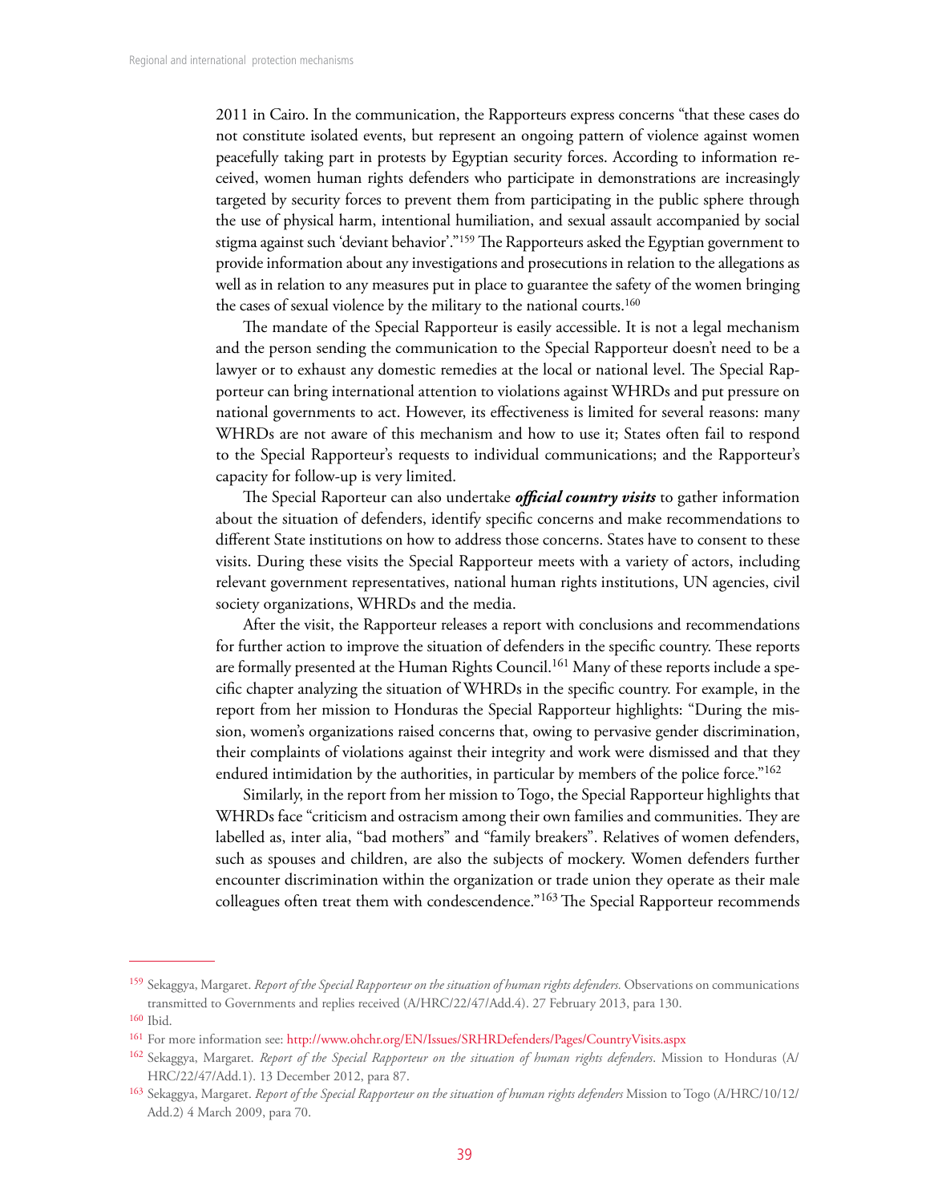2011 in Cairo. In the communication, the Rapporteurs express concerns "that these cases do not constitute isolated events, but represent an ongoing pattern of violence against women peacefully taking part in protests by Egyptian security forces. According to information received, women human rights defenders who participate in demonstrations are increasingly targeted by security forces to prevent them from participating in the public sphere through the use of physical harm, intentional humiliation, and sexual assault accompanied by social stigma against such 'deviant behavior'."159 The Rapporteurs asked the Egyptian government to provide information about any investigations and prosecutions in relation to the allegations as well as in relation to any measures put in place to guarantee the safety of the women bringing the cases of sexual violence by the military to the national courts.<sup>160</sup>

The mandate of the Special Rapporteur is easily accessible. It is not a legal mechanism and the person sending the communication to the Special Rapporteur doesn't need to be a lawyer or to exhaust any domestic remedies at the local or national level. The Special Rapporteur can bring international attention to violations against WHRDs and put pressure on national governments to act. However, its effectiveness is limited for several reasons: many WHRDs are not aware of this mechanism and how to use it; States often fail to respond to the Special Rapporteur's requests to individual communications; and the Rapporteur's capacity for follow-up is very limited.

The Special Raporteur can also undertake *official country visits* to gather information about the situation of defenders, identify specific concerns and make recommendations to different State institutions on how to address those concerns. States have to consent to these visits. During these visits the Special Rapporteur meets with a variety of actors, including relevant government representatives, national human rights institutions, UN agencies, civil society organizations, WHRDs and the media.

After the visit, the Rapporteur releases a report with conclusions and recommendations for further action to improve the situation of defenders in the specific country. These reports are formally presented at the Human Rights Council.<sup>161</sup> Many of these reports include a specific chapter analyzing the situation of WHRDs in the specific country. For example, in the report from her mission to Honduras the Special Rapporteur highlights: "During the mission, women's organizations raised concerns that, owing to pervasive gender discrimination, their complaints of violations against their integrity and work were dismissed and that they endured intimidation by the authorities, in particular by members of the police force."<sup>162</sup>

Similarly, in the report from her mission to Togo, the Special Rapporteur highlights that WHRDs face "criticism and ostracism among their own families and communities. They are labelled as, inter alia, "bad mothers" and "family breakers". Relatives of women defenders, such as spouses and children, are also the subjects of mockery. Women defenders further encounter discrimination within the organization or trade union they operate as their male colleagues often treat them with condescendence."<sup>163</sup> The Special Rapporteur recommends

<sup>159</sup> Sekaggya, Margaret. *Report of the Special Rapporteur on the situation of human rights defenders.* Observations on communications transmitted to Governments and replies received (A/HRC/22/47/Add.4). 27 February 2013, para 130.

<sup>160</sup> Ibid.

<sup>161</sup> For more information see: http://www.ohchr.org/EN/Issues/SRHRDefenders/Pages/CountryVisits.aspx

<sup>162</sup> Sekaggya, Margaret. *Report of the Special Rapporteur on the situation of human rights defenders*. Mission to Honduras (A/ HRC/22/47/Add.1). 13 December 2012, para 87.

<sup>163</sup> Sekaggya, Margaret. *Report of the Special Rapporteur on the situation of human rights defenders* Mission to Togo (A/HRC/10/12/ Add.2) 4 March 2009, para 70.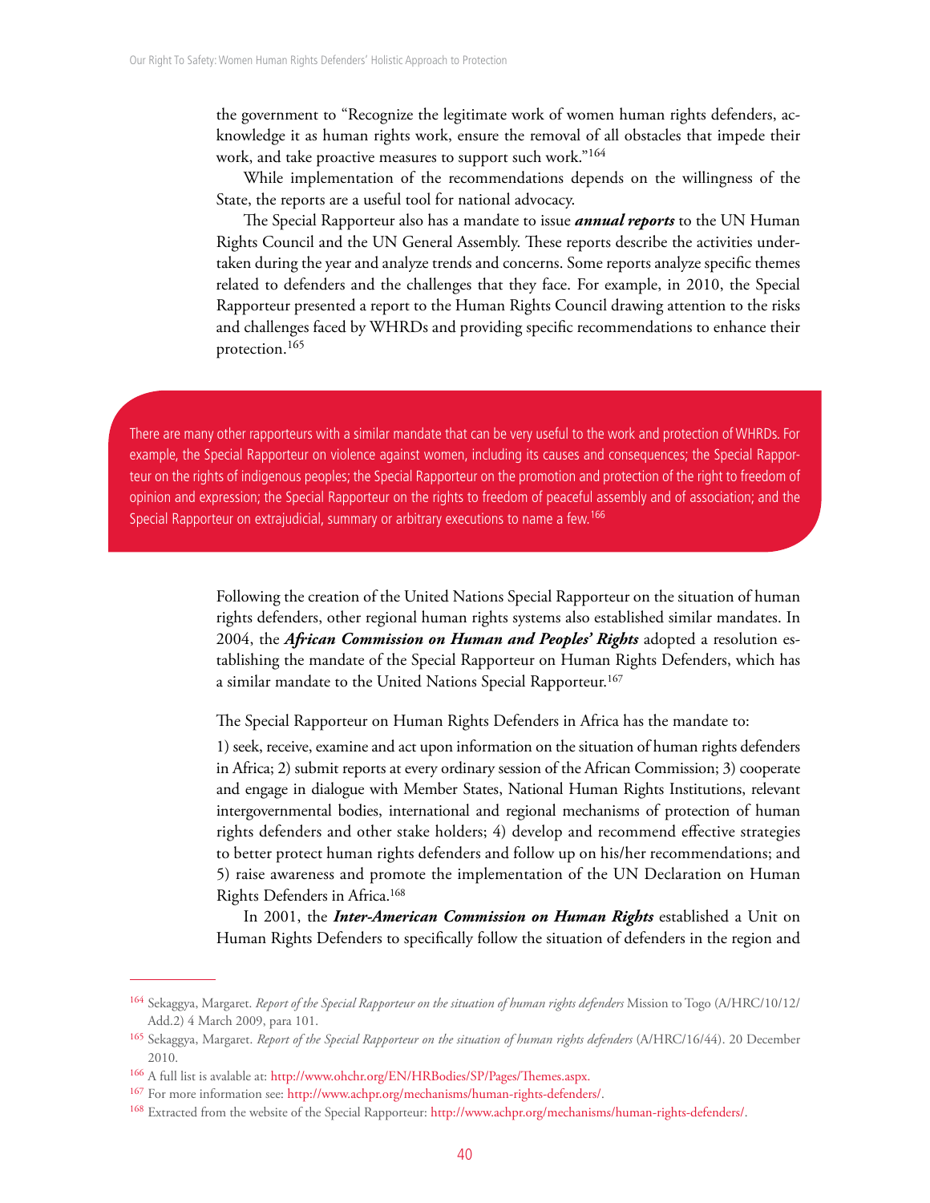the government to "Recognize the legitimate work of women human rights defenders, acknowledge it as human rights work, ensure the removal of all obstacles that impede their work, and take proactive measures to support such work."<sup>164</sup>

While implementation of the recommendations depends on the willingness of the State, the reports are a useful tool for national advocacy.

The Special Rapporteur also has a mandate to issue *annual reports* to the UN Human Rights Council and the UN General Assembly. These reports describe the activities undertaken during the year and analyze trends and concerns. Some reports analyze specific themes related to defenders and the challenges that they face. For example, in 2010, the Special Rapporteur presented a report to the Human Rights Council drawing attention to the risks and challenges faced by WHRDs and providing specific recommendations to enhance their protection.<sup>165</sup>

There are many other rapporteurs with a similar mandate that can be very useful to the work and protection of WHRDs. For example, the Special Rapporteur on violence against women, including its causes and consequences; the Special Rapporteur on the rights of indigenous peoples; the Special Rapporteur on the promotion and protection of the right to freedom of opinion and expression; the Special Rapporteur on the rights to freedom of peaceful assembly and of association; and the Special Rapporteur on extrajudicial, summary or arbitrary executions to name a few.166

> Following the creation of the United Nations Special Rapporteur on the situation of human rights defenders, other regional human rights systems also established similar mandates. In 2004, the *African Commission on Human and Peoples' Rights* adopted a resolution establishing the mandate of the Special Rapporteur on Human Rights Defenders, which has a similar mandate to the United Nations Special Rapporteur.<sup>167</sup>

The Special Rapporteur on Human Rights Defenders in Africa has the mandate to:

1) seek, receive, examine and act upon information on the situation of human rights defenders in Africa; 2) submit reports at every ordinary session of the African Commission; 3) cooperate and engage in dialogue with Member States, National Human Rights Institutions, relevant intergovernmental bodies, international and regional mechanisms of protection of human rights defenders and other stake holders; 4) develop and recommend effective strategies to better protect human rights defenders and follow up on his/her recommendations; and 5) raise awareness and promote the implementation of the UN Declaration on Human Rights Defenders in Africa.168

In 2001, the *Inter-American Commission on Human Rights* established a Unit on Human Rights Defenders to specifically follow the situation of defenders in the region and

<sup>164</sup> Sekaggya, Margaret. *Report of the Special Rapporteur on the situation of human rights defenders* Mission to Togo (A/HRC/10/12/ Add.2) 4 March 2009, para 101.

<sup>165</sup> Sekaggya, Margaret. *Report of the Special Rapporteur on the situation of human rights defenders* (A/HRC/16/44). 20 December 2010.

<sup>166</sup> A full list is avalable at: http://www.ohchr.org/EN/HRBodies/SP/Pages/Themes.aspx.

<sup>167</sup> For more information see: http://www.achpr.org/mechanisms/human-rights-defenders/.

<sup>168</sup> Extracted from the website of the Special Rapporteur: http://www.achpr.org/mechanisms/human-rights-defenders/.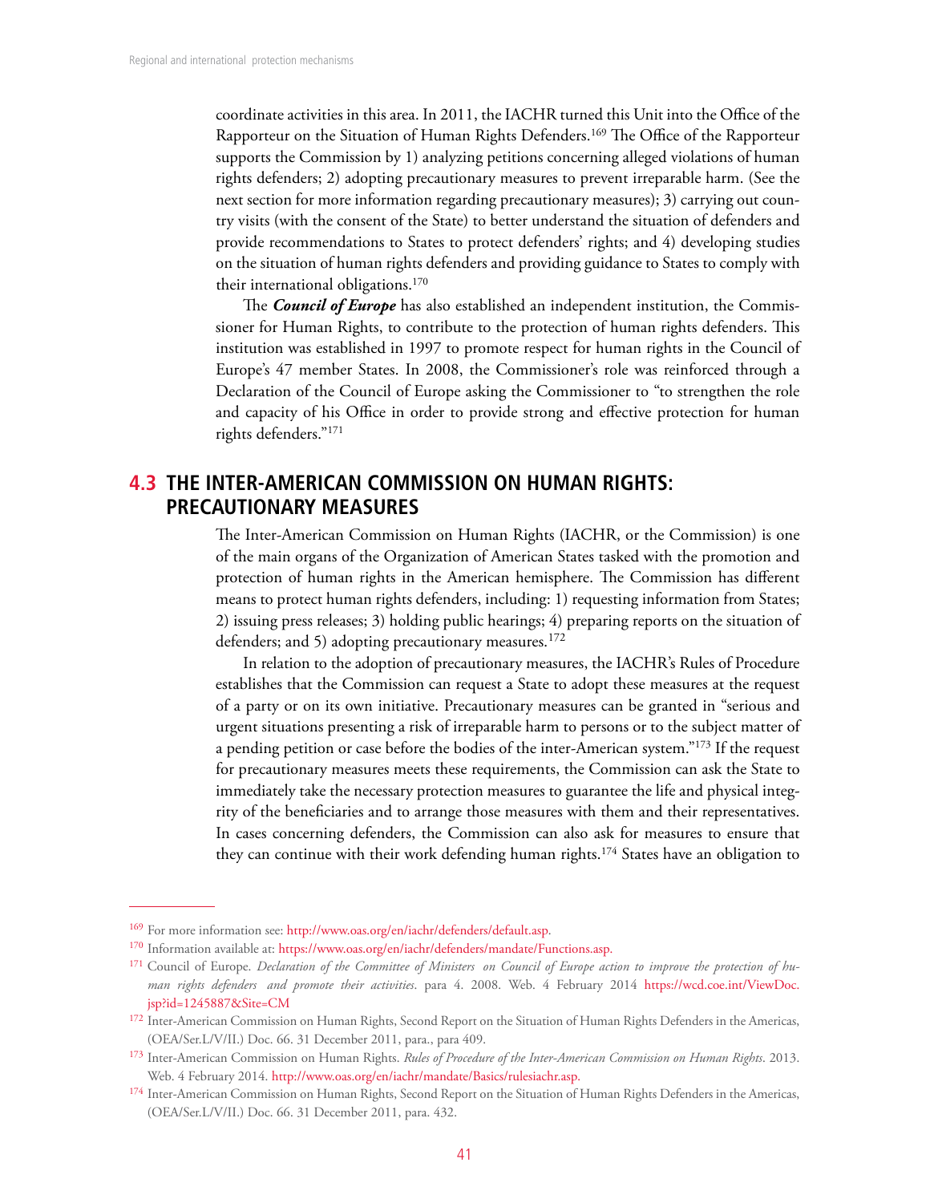coordinate activities in this area. In 2011, the IACHR turned this Unit into the Office of the Rapporteur on the Situation of Human Rights Defenders.<sup>169</sup> The Office of the Rapporteur supports the Commission by 1) analyzing petitions concerning alleged violations of human rights defenders; 2) adopting precautionary measures to prevent irreparable harm. (See the next section for more information regarding precautionary measures); 3) carrying out country visits (with the consent of the State) to better understand the situation of defenders and provide recommendations to States to protect defenders' rights; and 4) developing studies on the situation of human rights defenders and providing guidance to States to comply with their international obligations.170

The *Council of Europe* has also established an independent institution, the Commissioner for Human Rights, to contribute to the protection of human rights defenders. This institution was established in 1997 to promote respect for human rights in the Council of Europe's 47 member States. In 2008, the Commissioner's role was reinforced through a Declaration of the Council of Europe asking the Commissioner to "to strengthen the role and capacity of his Office in order to provide strong and effective protection for human rights defenders."171

### **4.3 The Inter-American Commission on Human Rights: precautionary measures**

The Inter-American Commission on Human Rights (IACHR, or the Commission) is one of the main organs of the Organization of American States tasked with the promotion and protection of human rights in the American hemisphere. The Commission has different means to protect human rights defenders, including: 1) requesting information from States; 2) issuing press releases; 3) holding public hearings; 4) preparing reports on the situation of defenders; and 5) adopting precautionary measures.<sup>172</sup>

In relation to the adoption of precautionary measures, the IACHR's Rules of Procedure establishes that the Commission can request a State to adopt these measures at the request of a party or on its own initiative. Precautionary measures can be granted in "serious and urgent situations presenting a risk of irreparable harm to persons or to the subject matter of a pending petition or case before the bodies of the inter-American system."173 If the request for precautionary measures meets these requirements, the Commission can ask the State to immediately take the necessary protection measures to guarantee the life and physical integrity of the beneficiaries and to arrange those measures with them and their representatives. In cases concerning defenders, the Commission can also ask for measures to ensure that they can continue with their work defending human rights.<sup>174</sup> States have an obligation to

<sup>169</sup> For more information see: http://www.oas.org/en/iachr/defenders/default.asp.

<sup>&</sup>lt;sup>170</sup> Information available at: https://www.oas.org/en/iachr/defenders/mandate/Functions.asp.

<sup>171</sup> Council of Europe. *Declaration of the Committee of Ministers on Council of Europe action to improve the protection of human rights defenders and promote their activities*. para 4. 2008. Web. 4 February 2014 https://wcd.coe.int/ViewDoc. jsp?id=1245887&Site=CM

<sup>172</sup> Inter-American Commission on Human Rights, Second Report on the Situation of Human Rights Defenders in the Americas, (OEA/Ser.L/V/II.) Doc. 66. 31 December 2011, para., para 409.

<sup>173</sup> Inter-American Commission on Human Rights. *Rules of Procedure of the Inter-American Commission on Human Rights*. 2013. Web. 4 February 2014. http://www.oas.org/en/iachr/mandate/Basics/rulesiachr.asp.

<sup>&</sup>lt;sup>174</sup> Inter-American Commission on Human Rights, Second Report on the Situation of Human Rights Defenders in the Americas, (OEA/Ser.L/V/II.) Doc. 66. 31 December 2011, para. 432.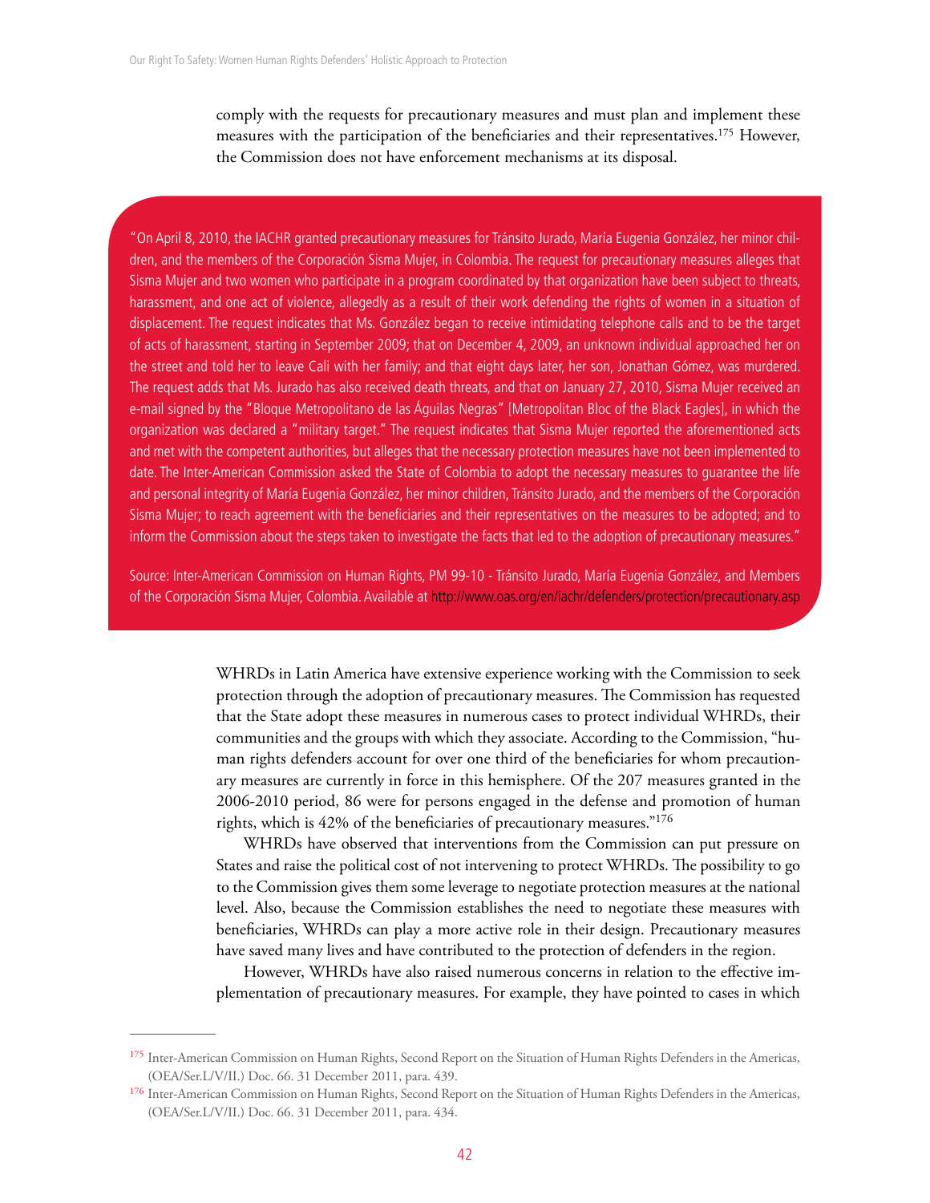comply with the requests for precautionary measures and must plan and implement these measures with the participation of the beneficiaries and their representatives.<sup>175</sup> However, the Commission does not have enforcement mechanisms at its disposal.

"On April 8, 2010, the IACHR granted precautionary measures for Tránsito Jurado, María Eugenia González, her minor children, and the members of the Corporación Sisma Mujer, in Colombia. The request for precautionary measures alleges that Sisma Mujer and two women who participate in a program coordinated by that organization have been subject to threats, harassment, and one act of violence, allegedly as a result of their work defending the rights of women in a situation of displacement. The request indicates that Ms. González began to receive intimidating telephone calls and to be the target of acts of harassment, starting in September 2009; that on December 4, 2009, an unknown individual approached her on the street and told her to leave Cali with her family; and that eight days later, her son, Jonathan Gómez, was murdered. The request adds that Ms. Jurado has also received death threats, and that on January 27, 2010, Sisma Mujer received an e-mail signed by the "Bloque Metropolitano de las Águilas Negras" [Metropolitan Bloc of the Black Eagles], in which the organization was declared a "military target." The request indicates that Sisma Mujer reported the aforementioned acts and met with the competent authorities, but alleges that the necessary protection measures have not been implemented to date. The Inter-American Commission asked the State of Colombia to adopt the necessary measures to guarantee the life and personal integrity of María Eugenia González, her minor children, Tránsito Jurado, and the members of the Corporación Sisma Mujer; to reach agreement with the beneficiaries and their representatives on the measures to be adopted; and to inform the Commission about the steps taken to investigate the facts that led to the adoption of precautionary measures."

Source: Inter-American Commission on Human Rights, PM 99-10 - Tránsito Jurado, María Eugenia González, and Members of the Corporación Sisma Mujer, Colombia. Available at http://www.oas.org/en/iachr/defenders/protection/precautionary.asp

> WHRDs in Latin America have extensive experience working with the Commission to seek protection through the adoption of precautionary measures. The Commission has requested that the State adopt these measures in numerous cases to protect individual WHRDs, their communities and the groups with which they associate. According to the Commission, "human rights defenders account for over one third of the beneficiaries for whom precautionary measures are currently in force in this hemisphere. Of the 207 measures granted in the 2006‐2010 period, 86 were for persons engaged in the defense and promotion of human rights, which is 42% of the beneficiaries of precautionary measures."<sup>176</sup>

> WHRDs have observed that interventions from the Commission can put pressure on States and raise the political cost of not intervening to protect WHRDs. The possibility to go to the Commission gives them some leverage to negotiate protection measures at the national level. Also, because the Commission establishes the need to negotiate these measures with beneficiaries, WHRDs can play a more active role in their design. Precautionary measures have saved many lives and have contributed to the protection of defenders in the region.

> However, WHRDs have also raised numerous concerns in relation to the effective implementation of precautionary measures. For example, they have pointed to cases in which

<sup>&</sup>lt;sup>175</sup> Inter-American Commission on Human Rights, Second Report on the Situation of Human Rights Defenders in the Americas, (OEA/Ser.L/V/II.) Doc. 66. 31 December 2011, para. 439.

<sup>176</sup> Inter-American Commission on Human Rights, Second Report on the Situation of Human Rights Defenders in the Americas, (OEA/Ser.L/V/II.) Doc. 66. 31 December 2011, para. 434.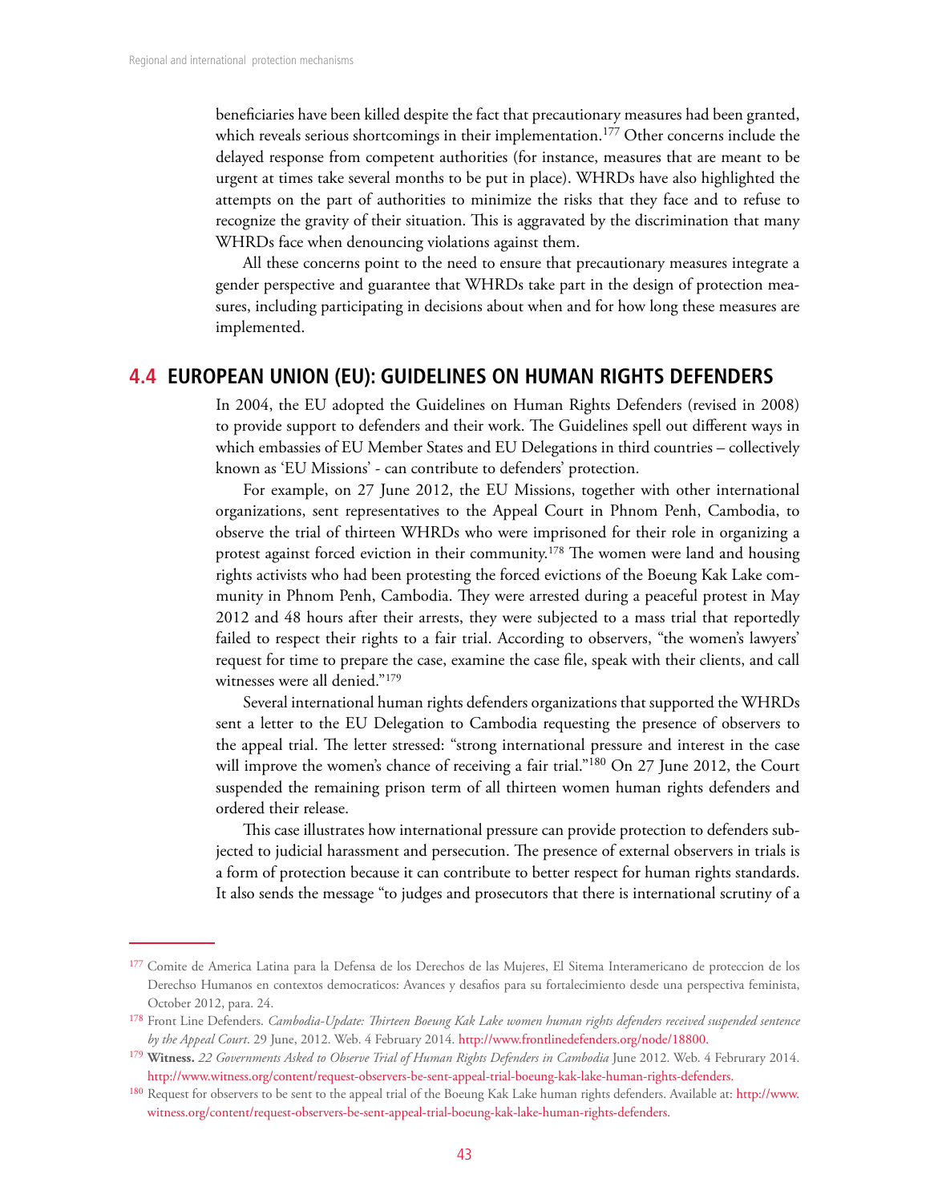beneficiaries have been killed despite the fact that precautionary measures had been granted, which reveals serious shortcomings in their implementation.<sup>177</sup> Other concerns include the delayed response from competent authorities (for instance, measures that are meant to be urgent at times take several months to be put in place). WHRDs have also highlighted the attempts on the part of authorities to minimize the risks that they face and to refuse to recognize the gravity of their situation. This is aggravated by the discrimination that many WHRDs face when denouncing violations against them.

All these concerns point to the need to ensure that precautionary measures integrate a gender perspective and guarantee that WHRDs take part in the design of protection measures, including participating in decisions about when and for how long these measures are implemented.

#### **4.4 European Union (EU): Guidelines on Human Rights Defenders**

In 2004, the EU adopted the Guidelines on Human Rights Defenders (revised in 2008) to provide support to defenders and their work. The Guidelines spell out different ways in which embassies of EU Member States and EU Delegations in third countries – collectively known as 'EU Missions' - can contribute to defenders' protection.

For example, on 27 June 2012, the EU Missions, together with other international organizations, sent representatives to the Appeal Court in Phnom Penh, Cambodia, to observe the trial of thirteen WHRDs who were imprisoned for their role in organizing a protest against forced eviction in their community.178 The women were land and housing rights activists who had been protesting the forced evictions of the Boeung Kak Lake community in Phnom Penh, Cambodia. They were arrested during a peaceful protest in May 2012 and 48 hours after their arrests, they were subjected to a mass trial that reportedly failed to respect their rights to a fair trial. According to observers, "the women's lawyers' request for time to prepare the case, examine the case file, speak with their clients, and call witnesses were all denied."179

Several international human rights defenders organizations that supported the WHRDs sent a letter to the EU Delegation to Cambodia requesting the presence of observers to the appeal trial. The letter stressed: "strong international pressure and interest in the case will improve the women's chance of receiving a fair trial."<sup>180</sup> On 27 June 2012, the Court suspended the remaining prison term of all thirteen women human rights defenders and ordered their release.

This case illustrates how international pressure can provide protection to defenders subjected to judicial harassment and persecution. The presence of external observers in trials is a form of protection because it can contribute to better respect for human rights standards. It also sends the message "to judges and prosecutors that there is international scrutiny of a

<sup>177</sup> Comite de America Latina para la Defensa de los Derechos de las Mujeres, El Sitema Interamericano de proteccion de los Derechso Humanos en contextos democraticos: Avances y desafios para su fortalecimiento desde una perspectiva feminista, October 2012, para. 24.

<sup>178</sup> Front Line Defenders. *Cambodia-Update: Thirteen Boeung Kak Lake women human rights defenders received suspended sentence by the Appeal Court*. 29 June, 2012. Web. 4 February 2014. http://www.frontlinedefenders.org/node/18800.

<sup>179</sup> **Witness.** *22 Governments Asked to Observe Trial of Human Rights Defenders in Cambodia* June 2012. Web. 4 Februrary 2014. http://www.witness.org/content/request-observers-be-sent-appeal-trial-boeung-kak-lake-human-rights-defenders.

<sup>180</sup> Request for observers to be sent to the appeal trial of the Boeung Kak Lake human rights defenders. Available at: http://www. witness.org/content/request-observers-be-sent-appeal-trial-boeung-kak-lake-human-rights-defenders.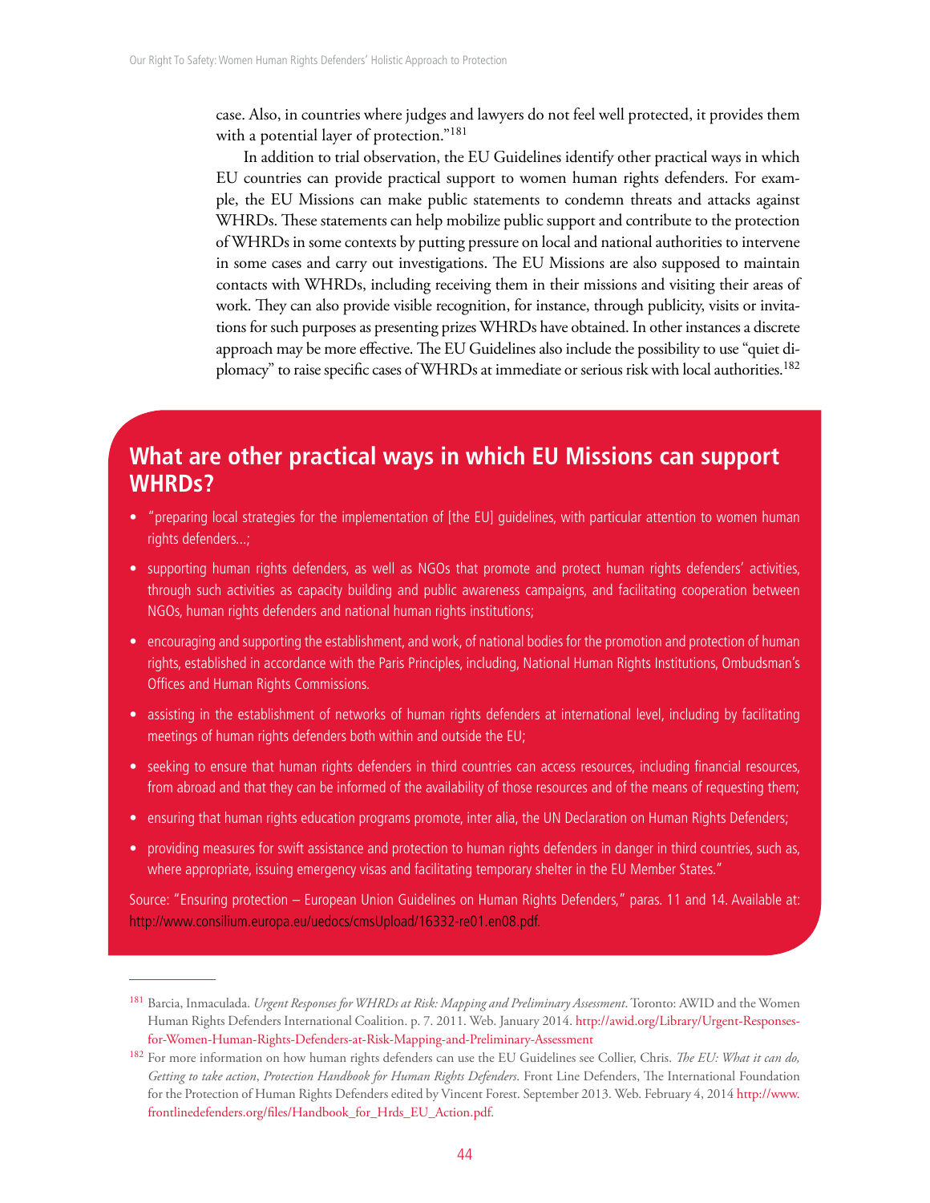case. Also, in countries where judges and lawyers do not feel well protected, it provides them with a potential layer of protection."<sup>181</sup>

In addition to trial observation, the EU Guidelines identify other practical ways in which EU countries can provide practical support to women human rights defenders. For example, the EU Missions can make public statements to condemn threats and attacks against WHRDs. These statements can help mobilize public support and contribute to the protection of WHRDs in some contexts by putting pressure on local and national authorities to intervene in some cases and carry out investigations. The EU Missions are also supposed to maintain contacts with WHRDs, including receiving them in their missions and visiting their areas of work. They can also provide visible recognition, for instance, through publicity, visits or invitations for such purposes as presenting prizes WHRDs have obtained. In other instances a discrete approach may be more effective. The EU Guidelines also include the possibility to use "quiet diplomacy" to raise specific cases of WHRDs at immediate or serious risk with local authorities.<sup>182</sup>

## **What are other practical ways in which EU Missions can support WHRDs?**

- "preparing local strategies for the implementation of [the EU] guidelines, with particular attention to women human rights defenders...;
- supporting human rights defenders, as well as NGOs that promote and protect human rights defenders' activities, through such activities as capacity building and public awareness campaigns, and facilitating cooperation between NGOs, human rights defenders and national human rights institutions;
- encouraging and supporting the establishment, and work, of national bodies for the promotion and protection of human rights, established in accordance with the Paris Principles, including, National Human Rights Institutions, Ombudsman's Offices and Human Rights Commissions.
- assisting in the establishment of networks of human rights defenders at international level, including by facilitating meetings of human rights defenders both within and outside the EU;
- seeking to ensure that human rights defenders in third countries can access resources, including financial resources, from abroad and that they can be informed of the availability of those resources and of the means of requesting them;
- ensuring that human rights education programs promote, inter alia, the UN Declaration on Human Rights Defenders;
- providing measures for swift assistance and protection to human rights defenders in danger in third countries, such as, where appropriate, issuing emergency visas and facilitating temporary shelter in the EU Member States."

Source: "Ensuring protection – European Union Guidelines on Human Rights Defenders," paras. 11 and 14. Available at: http://www.consilium.europa.eu/uedocs/cmsUpload/16332-re01.en08.pdf.

<sup>181</sup> Barcia, Inmaculada. *Urgent Responses for WHRDs at Risk: Mapping and Preliminary Assessment*.Toronto: AWID and the Women Human Rights Defenders International Coalition. p. 7. 2011. Web. January 2014. http://awid.org/Library/Urgent-Responsesfor-Women-Human-Rights-Defenders-at-Risk-Mapping-and-Preliminary-Assessment

<sup>182</sup> For more information on how human rights defenders can use the EU Guidelines see Collier, Chris. *The EU: What it can do, Getting to take action*, *Protection Handbook for Human Rights Defenders*. Front Line Defenders, The International Foundation for the Protection of Human Rights Defenders edited by Vincent Forest. September 2013. Web. February 4, 2014 http://www. frontlinedefenders.org/files/Handbook\_for\_Hrds\_EU\_Action.pdf.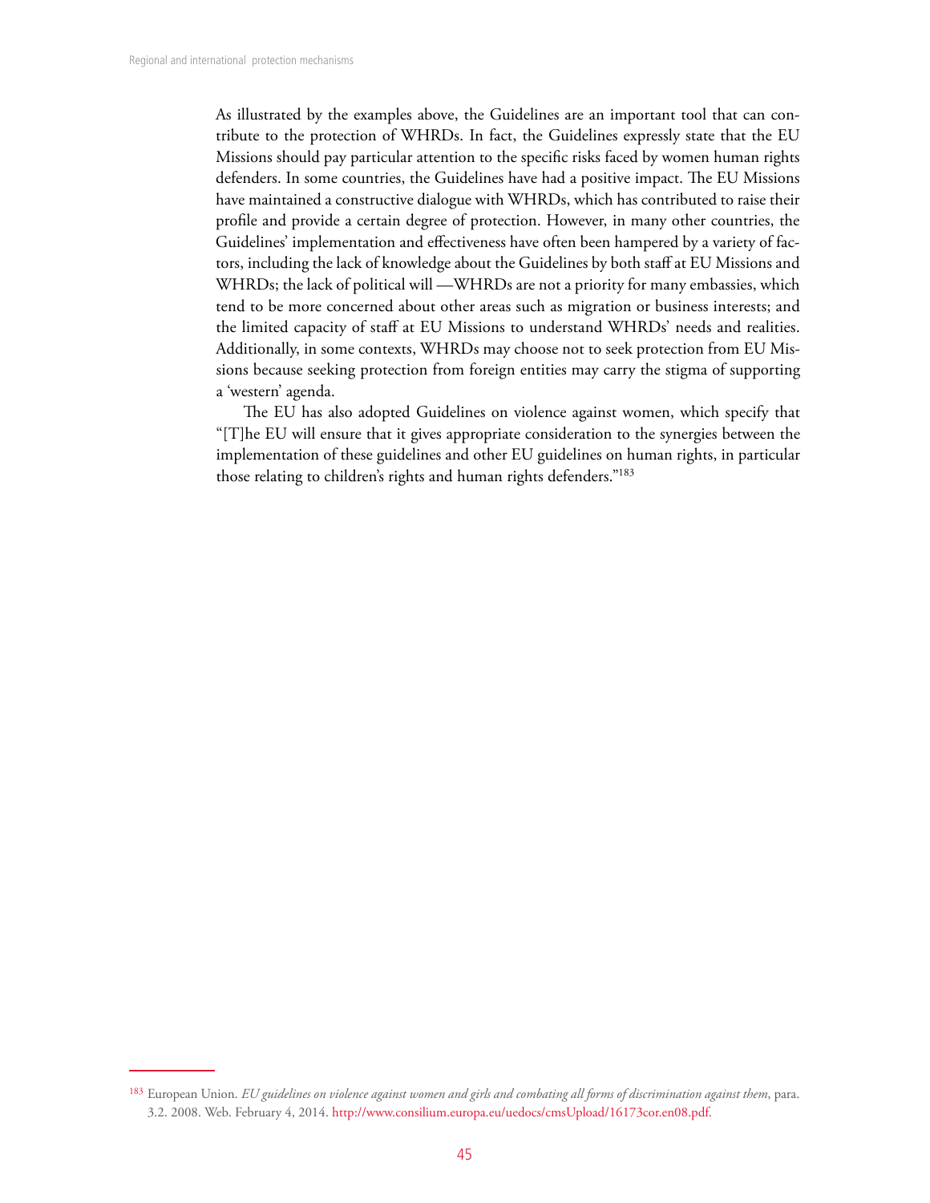As illustrated by the examples above, the Guidelines are an important tool that can contribute to the protection of WHRDs. In fact, the Guidelines expressly state that the EU Missions should pay particular attention to the specific risks faced by women human rights defenders. In some countries, the Guidelines have had a positive impact. The EU Missions have maintained a constructive dialogue with WHRDs, which has contributed to raise their profile and provide a certain degree of protection. However, in many other countries, the Guidelines' implementation and effectiveness have often been hampered by a variety of factors, including the lack of knowledge about the Guidelines by both staff at EU Missions and WHRDs; the lack of political will —WHRDs are not a priority for many embassies, which tend to be more concerned about other areas such as migration or business interests; and the limited capacity of staff at EU Missions to understand WHRDs' needs and realities. Additionally, in some contexts, WHRDs may choose not to seek protection from EU Missions because seeking protection from foreign entities may carry the stigma of supporting a 'western' agenda.

The EU has also adopted Guidelines on violence against women, which specify that "[T]he EU will ensure that it gives appropriate consideration to the synergies between the implementation of these guidelines and other EU guidelines on human rights, in particular those relating to children's rights and human rights defenders."183

<sup>183</sup> European Union. *EU guidelines on violence against women and girls and combating all forms of discrimination against them*, para. 3.2. 2008. Web. February 4, 2014. http://www.consilium.europa.eu/uedocs/cmsUpload/16173cor.en08.pdf.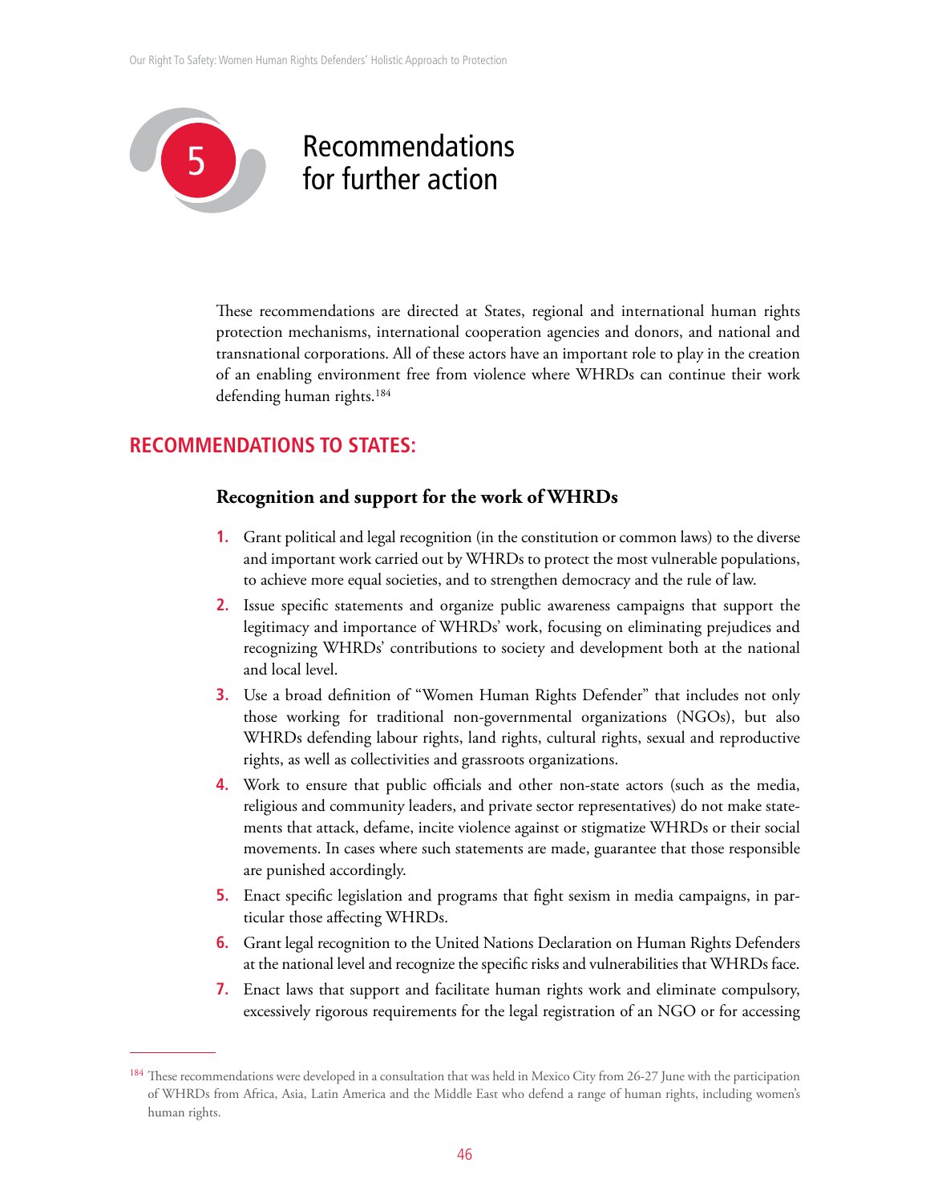

# Recommendations **Formulation** Recommendation

These recommendations are directed at States, regional and international human rights protection mechanisms, international cooperation agencies and donors, and national and transnational corporations. All of these actors have an important role to play in the creation of an enabling environment free from violence where WHRDs can continue their work defending human rights.184

### **RECOMMENDATIONS TO STATES:**

### **Recognition and support for the work of WHRDs**

- **1.** Grant political and legal recognition (in the constitution or common laws) to the diverse and important work carried out by WHRDs to protect the most vulnerable populations, to achieve more equal societies, and to strengthen democracy and the rule of law.
- **2.** Issue specific statements and organize public awareness campaigns that support the legitimacy and importance of WHRDs' work, focusing on eliminating prejudices and recognizing WHRDs' contributions to society and development both at the national and local level.
- **3.** Use a broad definition of "Women Human Rights Defender" that includes not only those working for traditional non-governmental organizations (NGOs), but also WHRDs defending labour rights, land rights, cultural rights, sexual and reproductive rights, as well as collectivities and grassroots organizations.
- **4.** Work to ensure that public officials and other non-state actors (such as the media, religious and community leaders, and private sector representatives) do not make statements that attack, defame, incite violence against or stigmatize WHRDs or their social movements. In cases where such statements are made, guarantee that those responsible are punished accordingly.
- **5.** Enact specific legislation and programs that fight sexism in media campaigns, in particular those affecting WHRDs.
- **6.** Grant legal recognition to the United Nations Declaration on Human Rights Defenders at the national level and recognize the specific risks and vulnerabilities that WHRDs face.
- **7.** Enact laws that support and facilitate human rights work and eliminate compulsory, excessively rigorous requirements for the legal registration of an NGO or for accessing

<sup>&</sup>lt;sup>184</sup> These recommendations were developed in a consultation that was held in Mexico City from 26-27 June with the participation of WHRDs from Africa, Asia, Latin America and the Middle East who defend a range of human rights, including women's human rights.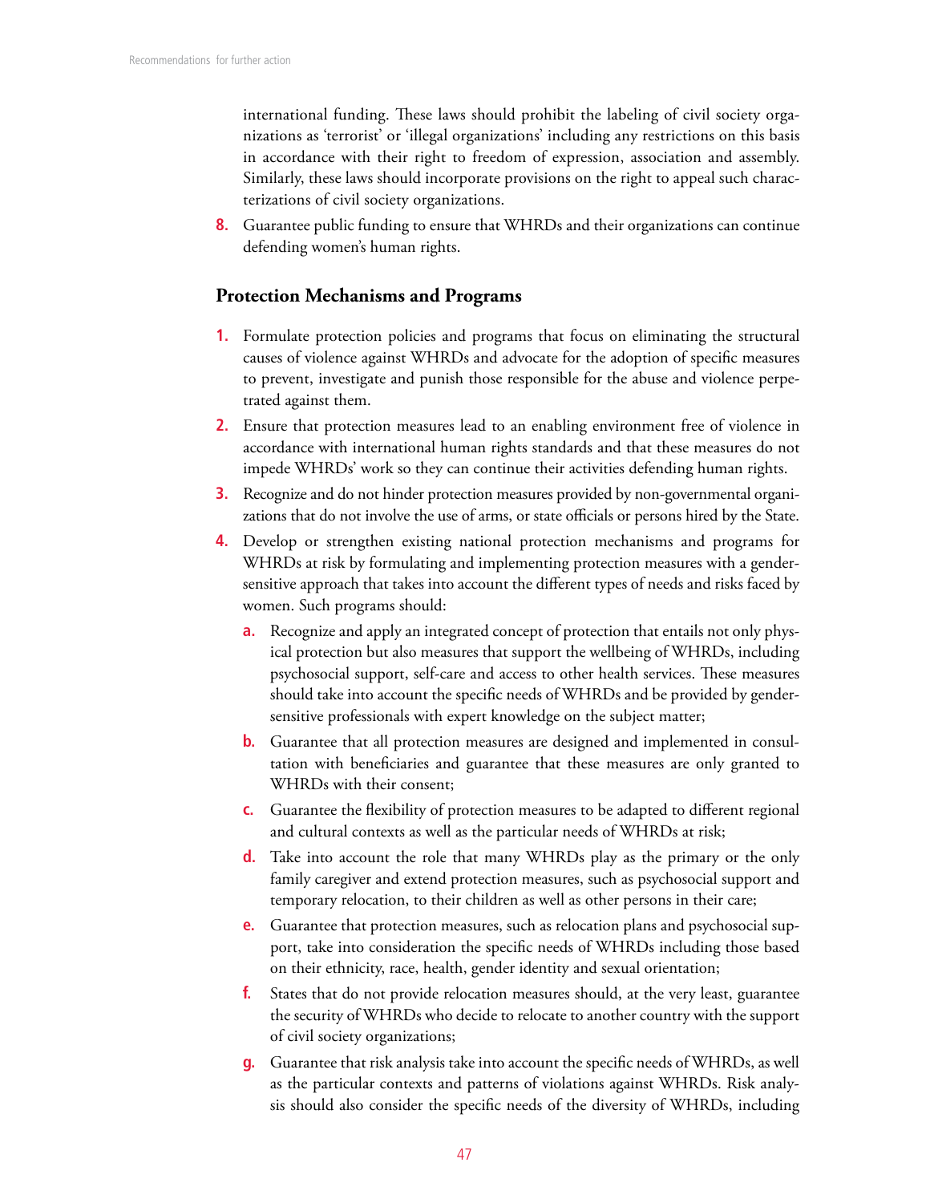international funding. These laws should prohibit the labeling of civil society organizations as 'terrorist' or 'illegal organizations' including any restrictions on this basis in accordance with their right to freedom of expression, association and assembly. Similarly, these laws should incorporate provisions on the right to appeal such characterizations of civil society organizations.

**8.** Guarantee public funding to ensure that WHRDs and their organizations can continue defending women's human rights.

### **Protection Mechanisms and Programs**

- **1.** Formulate protection policies and programs that focus on eliminating the structural causes of violence against WHRDs and advocate for the adoption of specific measures to prevent, investigate and punish those responsible for the abuse and violence perpetrated against them.
- **2.** Ensure that protection measures lead to an enabling environment free of violence in accordance with international human rights standards and that these measures do not impede WHRDs' work so they can continue their activities defending human rights.
- **3.** Recognize and do not hinder protection measures provided by non-governmental organizations that do not involve the use of arms, or state officials or persons hired by the State.
- **4.** Develop or strengthen existing national protection mechanisms and programs for WHRDs at risk by formulating and implementing protection measures with a gendersensitive approach that takes into account the different types of needs and risks faced by women. Such programs should:
	- **a.** Recognize and apply an integrated concept of protection that entails not only physical protection but also measures that support the wellbeing of WHRDs, including psychosocial support, self-care and access to other health services. These measures should take into account the specific needs of WHRDs and be provided by gendersensitive professionals with expert knowledge on the subject matter;
	- **b.** Guarantee that all protection measures are designed and implemented in consultation with beneficiaries and guarantee that these measures are only granted to WHRDs with their consent;
	- **c.** Guarantee the flexibility of protection measures to be adapted to different regional and cultural contexts as well as the particular needs of WHRDs at risk;
	- **d.** Take into account the role that many WHRDs play as the primary or the only family caregiver and extend protection measures, such as psychosocial support and temporary relocation, to their children as well as other persons in their care;
	- **e.** Guarantee that protection measures, such as relocation plans and psychosocial support, take into consideration the specific needs of WHRDs including those based on their ethnicity, race, health, gender identity and sexual orientation;
	- **f.** States that do not provide relocation measures should, at the very least, guarantee the security of WHRDs who decide to relocate to another country with the support of civil society organizations;
	- **g.** Guarantee that risk analysis take into account the specific needs of WHRDs, as well as the particular contexts and patterns of violations against WHRDs. Risk analysis should also consider the specific needs of the diversity of WHRDs, including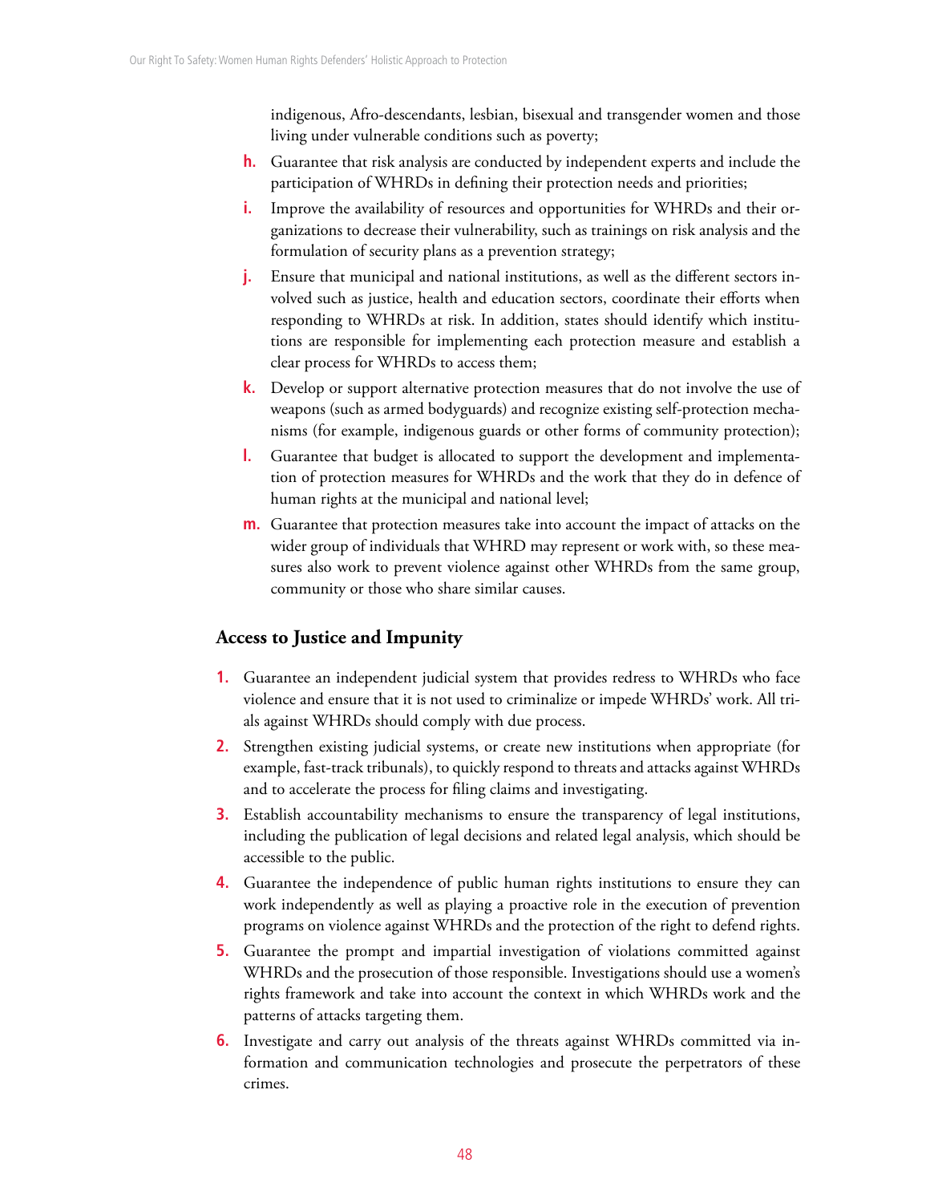indigenous, Afro-descendants, lesbian, bisexual and transgender women and those living under vulnerable conditions such as poverty;

- **h.** Guarantee that risk analysis are conducted by independent experts and include the participation of WHRDs in defining their protection needs and priorities;
- **i.** Improve the availability of resources and opportunities for WHRDs and their organizations to decrease their vulnerability, such as trainings on risk analysis and the formulation of security plans as a prevention strategy;
- **j.** Ensure that municipal and national institutions, as well as the different sectors involved such as justice, health and education sectors, coordinate their efforts when responding to WHRDs at risk. In addition, states should identify which institutions are responsible for implementing each protection measure and establish a clear process for WHRDs to access them;
- **k.** Develop or support alternative protection measures that do not involve the use of weapons (such as armed bodyguards) and recognize existing self-protection mechanisms (for example, indigenous guards or other forms of community protection);
- **l.** Guarantee that budget is allocated to support the development and implementation of protection measures for WHRDs and the work that they do in defence of human rights at the municipal and national level;
- **m.** Guarantee that protection measures take into account the impact of attacks on the wider group of individuals that WHRD may represent or work with, so these measures also work to prevent violence against other WHRDs from the same group, community or those who share similar causes.

#### **Access to Justice and Impunity**

- **1.** Guarantee an independent judicial system that provides redress to WHRDs who face violence and ensure that it is not used to criminalize or impede WHRDs' work. All trials against WHRDs should comply with due process.
- **2.** Strengthen existing judicial systems, or create new institutions when appropriate (for example, fast-track tribunals), to quickly respond to threats and attacks against WHRDs and to accelerate the process for filing claims and investigating.
- **3.** Establish accountability mechanisms to ensure the transparency of legal institutions, including the publication of legal decisions and related legal analysis, which should be accessible to the public.
- **4.** Guarantee the independence of public human rights institutions to ensure they can work independently as well as playing a proactive role in the execution of prevention programs on violence against WHRDs and the protection of the right to defend rights.
- **5.** Guarantee the prompt and impartial investigation of violations committed against WHRDs and the prosecution of those responsible. Investigations should use a women's rights framework and take into account the context in which WHRDs work and the patterns of attacks targeting them.
- **6.** Investigate and carry out analysis of the threats against WHRDs committed via information and communication technologies and prosecute the perpetrators of these crimes.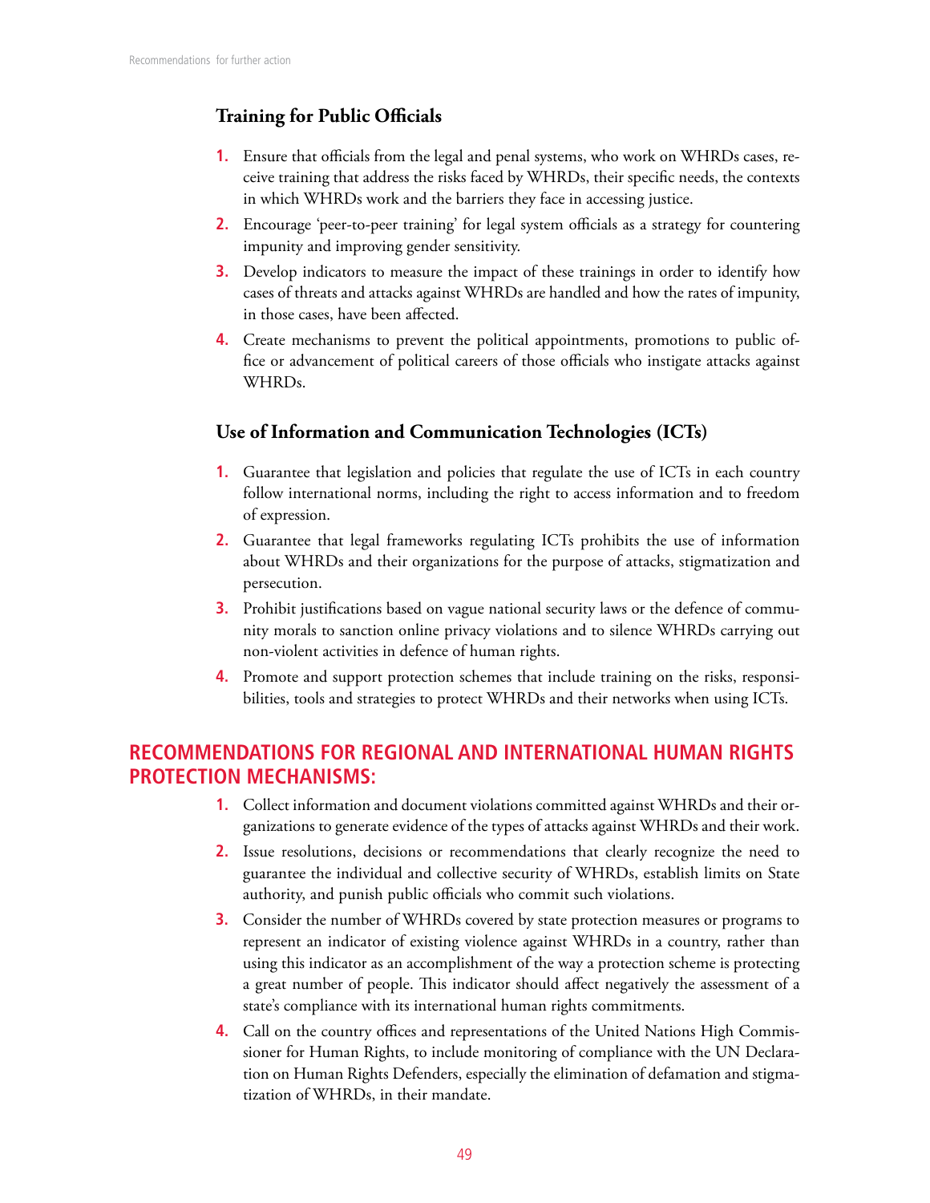### **Training for Public Officials**

- **1.** Ensure that officials from the legal and penal systems, who work on WHRDs cases, receive training that address the risks faced by WHRDs, their specific needs, the contexts in which WHRDs work and the barriers they face in accessing justice.
- **2.** Encourage 'peer-to-peer training' for legal system officials as a strategy for countering impunity and improving gender sensitivity.
- **3.** Develop indicators to measure the impact of these trainings in order to identify how cases of threats and attacks against WHRDs are handled and how the rates of impunity, in those cases, have been affected.
- **4.** Create mechanisms to prevent the political appointments, promotions to public office or advancement of political careers of those officials who instigate attacks against WHRDs.

### **Use of Information and Communication Technologies (ICTs)**

- **1.** Guarantee that legislation and policies that regulate the use of ICTs in each country follow international norms, including the right to access information and to freedom of expression.
- **2.** Guarantee that legal frameworks regulating ICTs prohibits the use of information about WHRDs and their organizations for the purpose of attacks, stigmatization and persecution.
- **3.** Prohibit justifications based on vague national security laws or the defence of community morals to sanction online privacy violations and to silence WHRDs carrying out non-violent activities in defence of human rights.
- **4.** Promote and support protection schemes that include training on the risks, responsibilities, tools and strategies to protect WHRDs and their networks when using ICTs.

### **RECOMMENDATIONS FOR REGIONAL AND INTERNATIONAL HUMAN RIGHTS PROTECTION MECHANISMS:**

- **1.** Collect information and document violations committed against WHRDs and their organizations to generate evidence of the types of attacks against WHRDs and their work.
- **2.** Issue resolutions, decisions or recommendations that clearly recognize the need to guarantee the individual and collective security of WHRDs, establish limits on State authority, and punish public officials who commit such violations.
- **3.** Consider the number of WHRDs covered by state protection measures or programs to represent an indicator of existing violence against WHRDs in a country, rather than using this indicator as an accomplishment of the way a protection scheme is protecting a great number of people. This indicator should affect negatively the assessment of a state's compliance with its international human rights commitments.
- **4.** Call on the country offices and representations of the United Nations High Commissioner for Human Rights, to include monitoring of compliance with the UN Declaration on Human Rights Defenders, especially the elimination of defamation and stigmatization of WHRDs, in their mandate.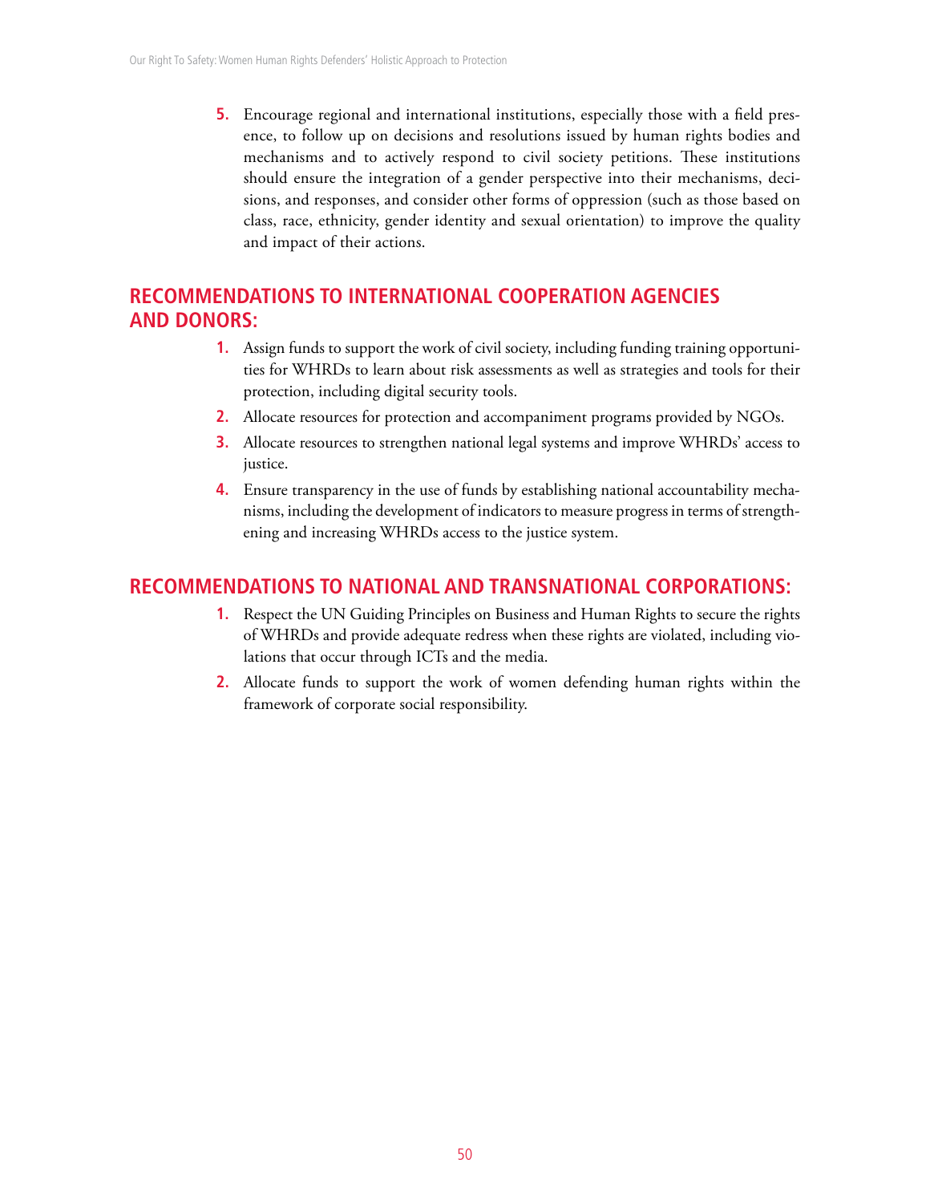**5.** Encourage regional and international institutions, especially those with a field presence, to follow up on decisions and resolutions issued by human rights bodies and mechanisms and to actively respond to civil society petitions. These institutions should ensure the integration of a gender perspective into their mechanisms, decisions, and responses, and consider other forms of oppression (such as those based on class, race, ethnicity, gender identity and sexual orientation) to improve the quality and impact of their actions.

### **RECOMMENDATIONS TO INTERNATIONAL COOPERATION AGENCIES AND DONORS:**

- **1.** Assign funds to support the work of civil society, including funding training opportunities for WHRDs to learn about risk assessments as well as strategies and tools for their protection, including digital security tools.
- **2.** Allocate resources for protection and accompaniment programs provided by NGOs.
- **3.** Allocate resources to strengthen national legal systems and improve WHRDs' access to justice.
- **4.** Ensure transparency in the use of funds by establishing national accountability mechanisms, including the development of indicators to measure progress in terms of strengthening and increasing WHRDs access to the justice system.

### **RECOMMENDATIONS TO NATIONAL AND TRANSNATIONAL CORPORATIONS:**

- **1.** Respect the UN Guiding Principles on Business and Human Rights to secure the rights of WHRDs and provide adequate redress when these rights are violated, including violations that occur through ICTs and the media.
- **2.** Allocate funds to support the work of women defending human rights within the framework of corporate social responsibility.